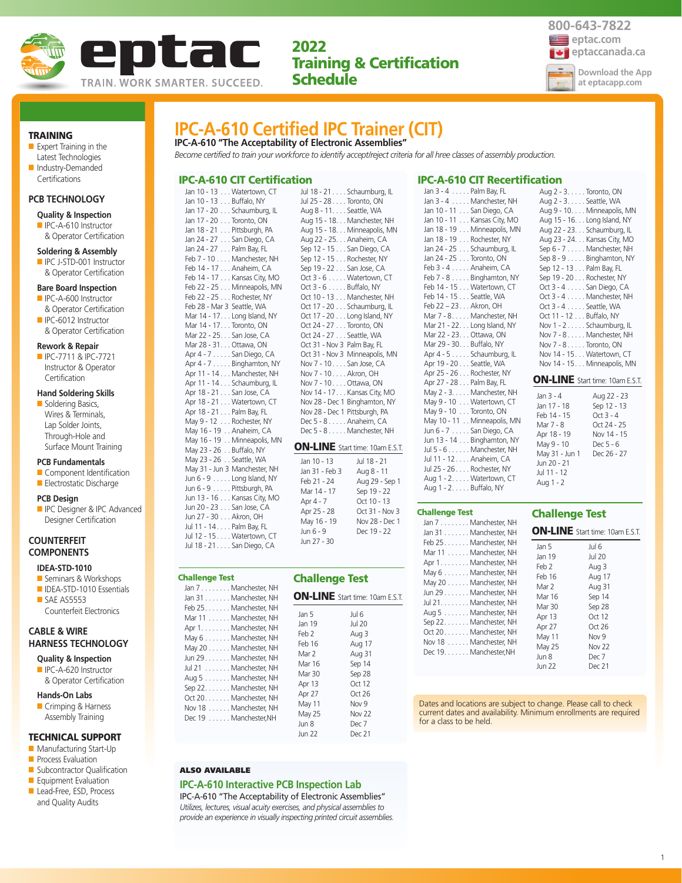



TRAINING

- Expert Training in the Latest Technologies ■ Industry-Demanded
- Certifications

## **PCB TECHNOLOGY**

## **Quality & Inspection**

■ IPC-A-610 Instructor & Operator Certification

#### **Soldering & Assembly**

■ IPC J-STD-001 Instructor & Operator Certification

#### **Bare Board Inspection**

- IPC-A-600 Instructor & Operator Certification
- IPC-6012 Instructor & Operator Certification

#### **Rework & Repair**

■ IPC-7711 & IPC-7721 Instructor & Operator Certification

#### **Hand Soldering Skills**

■ Soldering Basics, Wires & Terminals, Lap Solder Joints, Through-Hole and Surface Mount Training

#### **PCB Fundamentals**

- Component Identification ■ Electrostatic Discharge
- **PCB Design**
- IPC Designer & IPC Advanced Designer Certification

### **COUNTERFEIT COMPONENTS**

## **IDEA-STD-1010**

- Seminars & Workshops
- IDEA-STD-1010 Essentials ■ SAE AS5553 Counterfeit Electronics

## **CABLE & WIRE HARNESS TECHNOLOGY**

- **Quality & Inspection** ■ IPC-A-620 Instructor
- & Operator Certification

## **Hands-On Labs**

■ Crimping & Harness Assembly Training

## TECHNICAL SUPPORT

- Manufacturing Start-Up
- Process Evaluation
- Subcontractor Qualification ■ Equipment Evaluation
- Lead-Free, ESD, Process
- and Quality Audits

## **IPC-A-610 Certified IPC Trainer (CIT) IPC-A-610 "The Acceptability of Electronic Assemblies"**

*Become certified to train your workforce to identify accept/reject criteria for all hree classes of assembly production.*

## IPC-A-610 CIT Certification

Jan 10 - 13 . . . Watertown, CT Jan 10 - 13 . . . Buffalo, NY Jan 17 - 20 . . . Schaumburg, IL Jan 17 - 20 . . . Toronto, ON Jan 18 - 21 . . . Pittsburgh, PA Jan 24 - 27 . . . San Diego, CA Jan 24 - 27 . . . Palm Bay, FL Feb 7 - 10 . . . . Manchester, NH Feb 14 - 17 . . . Anaheim, CA Feb 14 - 17 . . . Kansas City, MO Feb 22 - 25 . . . Minneapolis, MN Feb 22 - 25 . . . Rochester, NY Feb 28 - Mar 3 Seattle, WA Mar 14 - 17. . . Long Island, NY Mar 14 - 17. . . Toronto, ON Mar 22 - 25. . . San Jose, CA Mar 28 - 31. . . Ottawa, ON Apr 4 - 7 . . . . . San Diego, CA Apr 4 - 7 . . . . . Binghamton, NY Apr 11 - 14 . . . Manchester, NH Apr 11 - 14 . . . Schaumburg, IL Apr 18 - 21 . . . San Jose, CA Apr 18 - 21 . . . Watertown, CT Apr 18 - 21 . . . Palm Bay, FL May 9 - 12 . . . Rochester, NY May 16 - 19 . . Anaheim, CA May 16 - 19 . . Minneapolis, MN May 23 - 26 . . Buffalo, NY May 23 - 26 . . Seattle, WA May 31 - Jun 3 Manchester, NH Jun 6 - 9 . . . . . Long Island, NY Jun 6 - 9 . . . . . Pittsburgh, PA Jun 13 - 16 . . . Kansas City, MO Jun 20 - 23 . . . San Jose, CA Jun 27 - 30 . . . Akron, OH Jul 11 - 14 . . . . Palm Bay, FL

Jul 12 - 15 . . . . Watertown, CT Jul 18 - 21 . . . . San Diego, CA

Challenge Test

ON-LINE Start time: 10am E.S.T. Jul 18 - 21 . . . . Schaumburg, IL Jul 25 - 28 . . . . Toronto, ON Aug 8 - 11. . . . Seattle, WA Aug 15 - 18. . . Manchester, NH Aug 15 - 18. . . Minneapolis, MN Aug 22 - 25. . . Anaheim, CA Sep 12 - 15 . . . San Diego, CA Sep 12 - 15 . . . Rochester, NY Sep 19 - 22 . . . San Jose, CA Oct 3 - 6 . . . . . Watertown, CT Oct 3 - 6 . . . . . Buffalo, NY Oct 10 - 13 . . . Manchester, NH Oct 17 - 20 . . . Schaumburg, IL Oct 17 - 20 . . . Long Island, NY Oct 24 - 27 . . . Toronto, ON Oct 24 - 27 . . . Seattle, WA Oct 31 - Nov 3 Palm Bay, FL Oct 31 - Nov 3 Minneapolis, MN Nov 7 - 10. . . . San Jose, CA Nov 7 - 10. . . . Akron, OH Nov 7 - 10. . . . Ottawa, ON Nov 14 - 17. . . Kansas City, MO Nov 28 - Dec 1 Binghamton, NY Nov 28 - Dec 1 Pittsburgh, PA Dec 5 - 8 . . . . . Anaheim, CA Dec 5 - 8 . . . . . Manchester, NH

| Jan 10 - 13    | Jul 18 - 21    |
|----------------|----------------|
| Jan 31 - Feb 3 | Aug 8 - 11     |
| Feb 21 - 24    | Aug 29 - Sep 1 |
| Mar 14 - 17    | Sep 19 - 22    |
| Apr 4 - 7      | Oct 10 - 13    |
| Apr 25 - 28    | Oct 31 - Nov 3 |
| May 16 - 19    | Nov 28 - Dec 1 |
| $\lim 6 - 9$   | Dec 19 - 22    |
| Jun 27 - 30    |                |

| hallenge Test:<br>Jan 7 Manchester, NH                                                                                                                                                                                                                                                                                              | <b>Challenge Test</b>                                                                                            |                                                                                                                                                                              |
|-------------------------------------------------------------------------------------------------------------------------------------------------------------------------------------------------------------------------------------------------------------------------------------------------------------------------------------|------------------------------------------------------------------------------------------------------------------|------------------------------------------------------------------------------------------------------------------------------------------------------------------------------|
| Jan 31 Manchester, NH<br>Feb 25. Manchester, NH<br>Mar 11 Manchester, NH<br>Apr 1. Manchester, NH<br>May 6 Manchester, NH<br>May 20 Manchester, NH<br>Jun 29. Manchester, NH<br>Jul 21 Manchester, NH<br>Aug 5 Manchester, NH<br>Sep 22. Manchester, NH<br>Oct 20. Manchester, NH<br>Nov 18 Manchester, NH<br>Dec 19 Manchester, NH | Jan 5<br>Jan 19<br>Feb 2<br>Feb 16<br>Mar 2<br>Mar 16<br>Mar 30<br>Apr 13<br>Apr 27<br>May 11<br>May 25<br>Jun 8 | <b>ON-LINE</b> Start time: 10am E.S.T.<br>Jul 6<br><b>Jul 20</b><br>Aug 3<br>Aug 17<br>Aug 31<br>Sep 14<br>Sep 28<br>Oct 12<br>Oct 26<br>Nov 9<br>Nov <sub>22</sub><br>Dec 7 |
|                                                                                                                                                                                                                                                                                                                                     | <b>Jun 22</b>                                                                                                    | Dec 21                                                                                                                                                                       |

## IPC-A-610 CIT Recertification

Jan 3 - 4 . . . . . Palm Bay, FL Jan 3 - 4 . . . . . Manchester, NH Jan 10 - 11 . . . San Diego, CA Jan 10 - 11 . . . Kansas City, MO Jan 18 - 19 . . . Minneapolis, MN Jan 18 - 19 . . . Rochester, NY Jan 24 - 25 . . . Schaumburg, IL Jan 24 - 25 . . . Toronto, ON Feb 3 - 4 . . . . . Anaheim, CA Feb 7 - 8 . . . . . Binghamton, NY Feb 14 - 15 . . . Watertown, CT Feb 14 - 15 . . . Seattle, WA Feb 22 – 23. . . Akron, OH Mar 7 - 8. . . . . Manchester, NH Mar 21 - 22. . . Long Island, NY Mar 22 - 23. . . Ottawa, ON Mar 29 - 30. . . Buffalo, NY Apr 4 - 5 . . . . . Schaumburg, IL Apr 19 - 20 . . . Seattle, WA Apr 25 - 26 . . . Rochester, NY Apr 27 - 28 . . . Palm Bay, FL May 2 - 3. . . . . Manchester, NH May 9 - 10 . . . Watertown, CT May 9 - 10 . . . Toronto, ON May 10 - 11 . . Minneapolis, MN Jun 6 - 7 . . . . . San Diego, CA Jun 13 - 14 . . . Binghamton, NY Jul 5 - 6 . . . . . . Manchester, NH Jul 11 - 12 . . . . Anaheim, CA Jul 25 - 26 . . . . Rochester, NY Aug 1 - 2. . . . . Watertown, CT Aug 1 - 2. . . . . Buffalo, NY

|             | Aug 2 - 3. Toronto, ON                 |
|-------------|----------------------------------------|
|             | Aug 2 - 3. Seattle, WA                 |
|             | Aug 9 - 10. Minneapolis, MN            |
|             | Aug 15 - 16. Long Island, NY           |
|             | Aug 22 - 23. Schaumburg, IL            |
|             | Aug 23 - 24. Kansas City, MO           |
|             | Sep 6 - 7 Manchester, NH               |
|             | Sep 8 - 9 Binghamton, NY               |
|             | Sep 12 - 13 Palm Bay, FL               |
|             | Sep 19 - 20 Rochester, NY              |
|             | Oct 3 - 4 San Diego, CA                |
|             | Oct 3 - 4 Manchester, NH               |
|             | Oct 3 - 4 Seattle, WA                  |
|             | Oct 11 - 12 Buffalo, NY                |
|             | Nov 1 - 2 Schaumburg, IL               |
|             | Nov 7 - 8 Manchester, NH               |
|             | Nov 7 - 8 Toronto, ON                  |
|             | Nov 14 - 15 Watertown, CT              |
|             | Nov 14 - 15. Minneapolis, MN           |
|             | <b>ON-LINE</b> Start time: 10am E.S.T. |
| $lan 3 - 4$ | Aug 22 - 23                            |

| Jan 3 - 4      | Aug 22 - 23 |
|----------------|-------------|
| Jan 17 - 18    | Sep 12 - 13 |
| Feb 14 - 15    | Oct $3 - 4$ |
| Mar 7 - 8      | Oct 24 - 25 |
| Apr 18 - 19    | Nov 14 - 15 |
| May 9 - 10     | Dec 5 - 6   |
| May 31 - Jun 1 | Dec 26 - 27 |
| Jun 20 - 21    |             |
| Jul 11 - 12    |             |
| Aug 1 - 2      |             |
|                |             |

# Challenge Test

| Jan 7 Manchester, NH                                                                                                                                                                                                                                                           |                                                                                                                 |
|--------------------------------------------------------------------------------------------------------------------------------------------------------------------------------------------------------------------------------------------------------------------------------|-----------------------------------------------------------------------------------------------------------------|
| Jan 31 Manchester, NH                                                                                                                                                                                                                                                          |                                                                                                                 |
| Feb 25 Manchester, NH<br>Mar 11 Manchester, NH<br>Apr 1 Manchester, NH<br>May 6 Manchester, NH<br>May 20 Manchester, NH<br>Jun 29 Manchester, NH<br>Jul 21. Manchester, NH<br>Aug 5 Manchester, NH<br>Sep 22 Manchester, NH<br>Oct 20. Manchester, NH<br>Nov 18 Manchester, NH | <b>ON-LINE</b><br>Jan 5<br>Jan 19<br>Feb 2<br>Feb 16<br>Mar 2<br>Mar 16<br>Mar 30<br>Apr 13<br>Apr 27<br>May 11 |
| Dec 19. Manchester, NH                                                                                                                                                                                                                                                         | May 25<br>Jun 8<br>$\ln n$ 22                                                                                   |

 $E$  Start time: 10am E.S.T.

Challenge Test

| Jan 5         | Jul 6            |
|---------------|------------------|
| Jan 19        | Jul 20           |
| Feb 2         | Aug 3            |
| Feb 16        | Aug 17           |
| Mar 2         | Aug 31           |
| Mar 16        | Sep 14           |
| Mar 30        | Sep 28           |
| Apr 13        | Oct 12           |
| Apr 27        | Oct26            |
| May 11        | Nov <sub>9</sub> |
| May 25        | Nov 22           |
| Jun 8         | Dec 7            |
| <b>Jun 22</b> | Dec 21           |

Dates and locations are subject to change. Please call to check current dates and availability. Minimum enrollments are required for a class to be held.

#### ALSO AVAILABLE

#### **IPC-A-610 Interactive PCB Inspection Lab**

IPC-A-610 "The Acceptability of Electronic Assemblies" *Utilizes, lectures, visual acuity exercises, and physical assemblies to provide an experience in visually inspecting printed circuit assemblies.*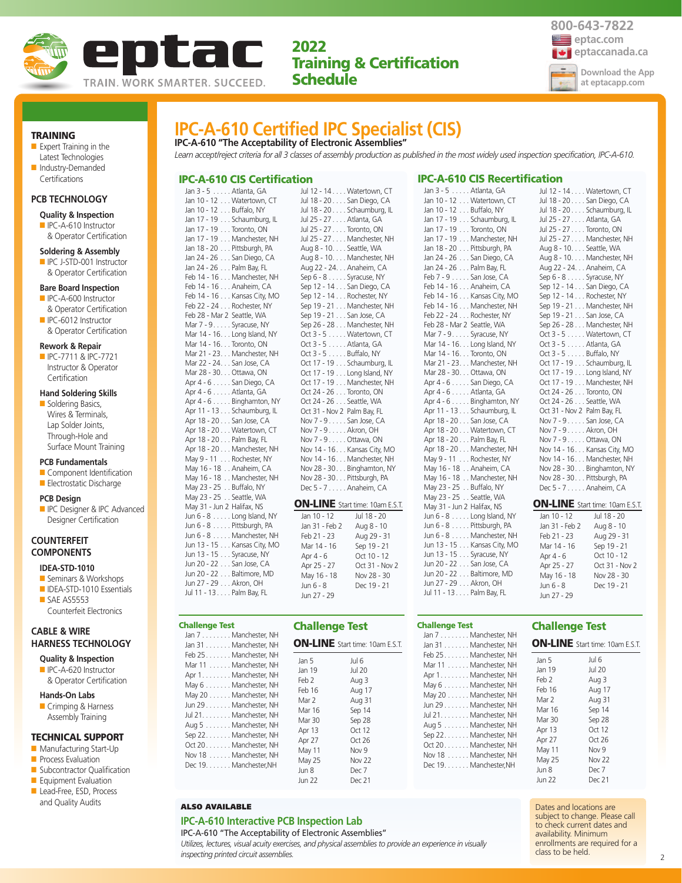

*Learn accept/reject criteria for all 3 classes of assembly production as published in the most widely used inspection specification, IPC-A-610.*

**IPC-A-610 Certified IPC Specialist (CIS)**

**IPC-A-610 "The Acceptability of Electronic Assemblies"**

IPC-A-610 CIS Certification

Jan 3 - 5 . . . . . Atlanta, GA



TRAINING

■ Expert Training in the Latest Technologies ■ Industry-Demanded

## Certifications

## **PCB TECHNOLOGY**

#### **Quality & Inspection**

■ IPC-A-610 Instructor & Operator Certification

#### **Soldering & Assembly**

■ IPC J-STD-001 Instructor & Operator Certification

#### **Bare Board Inspection**

- IPC-A-600 Instructor & Operator Certification
- IPC-6012 Instructor & Operator Certification

## **Rework & Repair**

**Certification** 

■ IPC-7711 & IPC-7721 Instructor & Operator

## **Hand Soldering Skills**

■ Soldering Basics, Wires & Terminals, Lap Solder Joints, Through-Hole and Surface Mount Training

#### **PCB Fundamentals**

- Component Identification ■ Electrostatic Discharge
- 

#### **PCB Design**

**ID** IPC Designer & IPC Advanced Designer Certification

### **COUNTERFEIT COMPONENTS**

## **IDEA-STD-1010**

- Seminars & Workshops
- IDEA-STD-1010 Essentials ■ SAE AS5553 Counterfeit Electronics

## **CABLE & WIRE HARNESS TECHNOLOGY**

- **Quality & Inspection** ■ IPC-A-620 Instructor
- & Operator Certification

## **Hands-On Labs**

■ Crimping & Harness Assembly Training

## TECHNICAL SUPPORT

- Manufacturing Start-Up
- **Process Evaluation**
- Subcontractor Qualification
- Equipment Evaluation ■ Lead-Free, ESD, Process
- and Quality Audits

| Jan 10 - 12 Watertown, CT    |                         | Jul 18 - 20. San Diego, CA             |
|------------------------------|-------------------------|----------------------------------------|
| Jan 10 - 12 Buffalo, NY      |                         | Jul 18 - 20 Schaumburg, IL             |
| Jan 17 - 19 Schaumburg, IL   | Jul 25 - 27 Atlanta, GA |                                        |
| Jan 17 - 19 Toronto, ON      |                         | Jul 25 - 27 Toronto, ON                |
| Jan 17 - 19 Manchester, NH   |                         | Jul 25 - 27 Manchester, NH             |
| Jan 18 - 20 Pittsburgh, PA   | Aug 8 - 10. Seattle, WA |                                        |
| Jan 24 - 26 San Diego, CA    |                         | Aug 8 - 10. Manchester, NH             |
| Jan 24 - 26 Palm Bay, FL     |                         | Aug 22 - 24. Anaheim, CA               |
| Feb 14 - 16 Manchester, NH   |                         | Sep 6 - 8 Syracuse, NY                 |
| Feb 14 - 16 Anaheim, CA      |                         | Sep 12 - 14 San Diego, CA              |
| Feb 14 - 16 Kansas City, MO  |                         | Sep 12 - 14 Rochester, NY              |
| Feb 22 - 24 Rochester, NY    |                         | Sep 19 - 21 Manchester, NH             |
| Feb 28 - Mar 2 Seattle, WA   |                         | Sep 19 - 21 San Jose, CA               |
| Mar 7 - 9. Syracuse, NY      |                         | Sep 26 - 28 Manchester, NH             |
| Mar 14 - 16. Long Island, NY |                         | Oct 3 - 5 Watertown, CT                |
| Mar 14 - 16. Toronto, ON     | Oct 3 - 5 Atlanta, GA   |                                        |
| Mar 21 - 23. Manchester, NH  | Oct 3 - 5 Buffalo, NY   |                                        |
| Mar 22 - 24. San Jose, CA    |                         | Oct 17 - 19 Schaumburg, IL             |
| Mar 28 - 30. Ottawa, ON      |                         | Oct 17 - 19 Long Island, NY            |
| Apr 4 - 6 San Diego, CA      |                         | Oct 17 - 19 Manchester, NH             |
| Apr 4 - 6 Atlanta, GA        |                         | Oct 24 - 26 Toronto, ON                |
| Apr 4 - 6 Binghamton, NY     |                         | Oct 24 - 26 Seattle, WA                |
| Apr 11 - 13 Schaumburg, IL   |                         | Oct 31 - Nov 2 Palm Bay, FL            |
| Apr 18 - 20 San Jose, CA     |                         | Nov 7 - 9. San Jose, CA                |
| Apr 18 - 20 Watertown, CT    | Nov 7 - 9 Akron, OH     |                                        |
| Apr 18 - 20 Palm Bay, FL     |                         | Nov 7 - 9. Ottawa, ON                  |
| Apr 18 - 20 Manchester, NH   |                         | Nov 14 - 16. Kansas City, MO           |
| May 9 - 11 Rochester, NY     |                         | Nov 14 - 16. Manchester, NH            |
| May 16 - 18 Anaheim, CA      |                         | Nov 28 - 30. Binghamton, NY            |
| May 16 - 18 Manchester, NH   |                         | Nov 28 - 30 Pittsburgh, PA             |
| May 23 - 25 Buffalo, NY      |                         | Dec 5 - 7 Anaheim, CA                  |
| May 23 - 25 Seattle, WA      |                         |                                        |
| May 31 - Jun 2 Halifax, NS   |                         | <b>ON-LINE</b> Start time: 10am E.S.T. |
| Jun $6 - 8$ Long Island, NY  | Jan 10 - 12             | Jul 18 - 20                            |
| Jun 6 - 8 Pittsburgh, PA     | Jan 31 - Feb 2          | Aug 8 - 10                             |
| Jun 6 - 8 Manchester, NH     | Feb 21 - 23             | Aug 29 - 31                            |
| Jun 13 - 15 Kansas City, MO  | Mar 14 - 16             | Sep 19 - 21                            |
| Jun 13 - 15 Syracuse, NY     | Apr 4 - 6               | Oct 10 - 12                            |
| Jun 20 - 22 San Jose, CA     | Apr 25 - 27             | Oct 31 - Nov 2                         |
| Jun 20 - 22 Baltimore, MD    | May 16 - 18             | Nov 28 - 30                            |
| Jun 27 - 29 Akron, OH        | Jun 6 - 8               | Dec 19 - 21                            |
| Jul 11 - 13 Palm Bav. FL     | 1.1222222               |                                        |

## Challenge Test

| <b>Challenge Test</b>                                                                                                                                                                                                                                                                                                                                        |                                                                                    |                                                                                         |
|--------------------------------------------------------------------------------------------------------------------------------------------------------------------------------------------------------------------------------------------------------------------------------------------------------------------------------------------------------------|------------------------------------------------------------------------------------|-----------------------------------------------------------------------------------------|
| Jan 7 Manchester, NH<br>Jan 31 Manchester, NH<br>Feb 25. Manchester, NH<br>Mar 11 Manchester, NH<br>Apr 1. Manchester, NH<br>May 6 Manchester, NH<br>May 20 Manchester, NH<br>Jun 29 Manchester, NH<br>Jul 21. Manchester, NH<br>Aug 5 Manchester, NH<br>Sep 22. Manchester, NH<br>Oct 20. Manchester, NH<br>Nov 18 Manchester, NH<br>Dec 19. Manchester, NH | <b>Challenge Test</b><br>Jan 5<br>Jan 19<br>Feb 2<br>Feb 16<br>Mar 2               | <b>ON-LINE</b> Start time: 10am E.S.T.<br>Jul 6<br>Jul 20<br>Aug 3<br>Aug 17<br>Aug 31  |
|                                                                                                                                                                                                                                                                                                                                                              | Mar 16<br>Mar 30<br>Apr 13<br>Apr 27<br>May 11<br>May 25<br>Jun 8<br><b>Jun 22</b> | Sep 14<br>Sep 28<br>Oct 12<br>Oct $26$<br>Nov 9<br>Nov <sub>22</sub><br>Dec 7<br>Dec 21 |

## ALSO AVAILABLE

## **IPC-A-610 Interactive PCB Inspection Lab**

IPC-A-610 "The Acceptability of Electronic Assemblies"

*Utilizes, lectures, visual acuity exercises, and physical assemblies to provide an experience in visually inspecting printed circuit assemblies.*

## IPC-A-610 CIS Recertification

 $Jan 3 E$   $A+Jan 5 GA$ 

| Jali J - J Audrita, UA           |
|----------------------------------|
| Jan 10 - 12 Watertown, CT        |
| Jan 10 - 12 Buffalo, NY          |
| Jan 17 - 19 Schaumburg, IL       |
| Jan 17 - 19 Toronto, ON          |
| Jan 17 - 19 Manchester, NH       |
| Jan 18 - 20 Pittsburgh, PA       |
| Jan 24 - 26 San Diego, CA        |
| Jan 24 - 26 Palm Bay, FL         |
| Feb 7 - 9 San Jose, CA           |
| Feb 14 - 16 Anaheim, CA          |
| Feb 14 - 16 Kansas City, MO      |
| Feb 14 - 16 Manchester, NH       |
| Feb 22 - 24 Rochester, NY        |
| Feb 28 - Mar 2 Seattle, WA       |
| Mar 7 - 9. Syracuse, NY          |
| Mar 14 - 16. Long Island, NY     |
| Mar 14 - 16. Toronto, ON         |
| Mar 21 - 23. Manchester, NH      |
| Mar 28 - 30. Ottawa, ON          |
| Apr 4 - 6 San Diego, CA          |
| Apr 4 - 6 Atlanta, GA            |
| Apr 4 - 6 Binghamton, NY         |
| Apr 11 - 13 Schaumburg, IL       |
| Apr 18 - 20 San Jose, CA         |
| Apr 18 - 20 Watertown, CT        |
| Apr 18 - 20 Palm Bay, FL         |
| Apr 18 - 20 Manchester, NH       |
| May 9 - 11 Rochester, NY         |
| May 16 - 18 Anaheim, CA          |
| May 16 - 18 Manchester, NH       |
| May 23 - 25 $\ldots$ Buffalo, NY |
| May 23 - 25 Seattle, WA          |
| May 31 - Jun 2 Halifax, NS       |
| Jun 6 - 8 Long Island, NY        |
| Jun 6 - 8 Pittsburgh, PA         |
| Jun 6 - 8 Manchester, NH         |
| Jun 13 - 15 Kansas City, MO      |
| Jun 13 - 15 Syracuse, NY         |
| Jun 20 - 22 San Jose, CA         |
| Jun 20 - 22 Baltimore, MD        |
| Jun 27 - 29 Akron, OH            |
| Jul 11 - 13 Palm Bay, FL         |
|                                  |

#### Jul 25 - 27 . . . . Toronto, ON Jul 25 - 27 . . . . Manchester, NH Aug 8 - 10. . . . Seattle, WA Aug 8 - 10. . . . Manchester, NH Aug 22 - 24. . . Anaheim, CA Sep 6 - 8 . . . . . Syracuse, NY Sep 12 - 14 . . . San Diego, CA Sep 12 - 14 . . . Rochester, NY Sep 19 - 21 . . . Manchester, NH Sep 19 - 21 . . . San Jose, CA Sep 26 - 28 . . . Manchester, NH Oct 3 - 5 . . . . . Watertown, CT Oct 3 - 5 . . . . . Atlanta, GA Oct 3 - 5 . . . . . Buffalo, NY Oct 17 - 19 . . . Schaumburg, IL Oct 17 - 19 . . . Long Island, NY Oct 17 - 19 . . . Manchester, NH Oct 24 - 26 . . . Toronto, ON Oct 24 - 26 . . . Seattle, WA Oct 31 - Nov 2 Palm Bay, FL Nov 7 - 9 . . . . . San Jose, CA Nov 7 - 9 . . . . . Akron, OH Nov 7 - 9 . . . . . Ottawa, ON Nov 14 - 16. . . Kansas City, MO Nov 14 - 16. . . Manchester, NH Nov 28 - 30. . . Binghamton, NY Nov 28 - 30. . . Pittsburgh, PA Dec 5 - 7 . . . . . Anaheim, CA ON-LINE Start time: 10am E.S.T.

Jul 12 - 14 . . . . Watertown, CT Jul 18 - 20 . . . . San Diego, CA Jul 18 - 20 . . . . Schaumburg, IL Jul 25 - 27 . . . . Atlanta, GA

| Jan 10 - 12    | Jul 18 - 20    |
|----------------|----------------|
| Jan 31 - Feb 2 | Aug 8 - 10     |
| Feb 21 - 23    | Aug 29 - 31    |
| Mar 14 - 16    | Sep 19 - 21    |
| Apr 4 - 6      | Oct 10 - 12    |
| Apr 25 - 27    | Oct 31 - Nov 2 |
| May 16 - 18    | Nov 28 - 30    |
| $\lim 6 - 8$   | Dec 19 - 21    |
| Jun 27 - 29    |                |

## Challenge Test

| Jan 7 Manchester, NH   |
|------------------------|
| Jan 31 Manchester, NH  |
| Feb 25. Manchester, NH |
| Mar 11 Manchester, NH  |
| Apr 1. Manchester, NH  |
| May 6 Manchester, NH   |
| May 20 Manchester, NH  |
| Jun 29 Manchester, NH  |
| Jul 21. Manchester, NH |
| Aug 5 Manchester, NH   |
| Sep 22. Manchester, NH |
| Oct 20 Manchester, NH  |
| Nov 18 Manchester, NH  |
| Dec 19. Manchester, NH |
|                        |

## Challenge Test ON-LINE Start time: 10am E.S.T.

| Jan 5  | Jul 6         |
|--------|---------------|
| Jan 19 | Jul 20        |
| Feb 2  | Aug 3         |
| Feb 16 | Aug 17        |
| Mar 2  | Aug 31        |
| Mar 16 | Sep 14        |
| Mar 30 | Sep 28        |
| Apr 13 | Oct 12        |
| Apr 27 | Oct 26        |
| May 11 | Nov 9         |
| May 25 | <b>Nov 22</b> |
| Jun 8  | Dec 7         |
| Jun 22 | Dec 21        |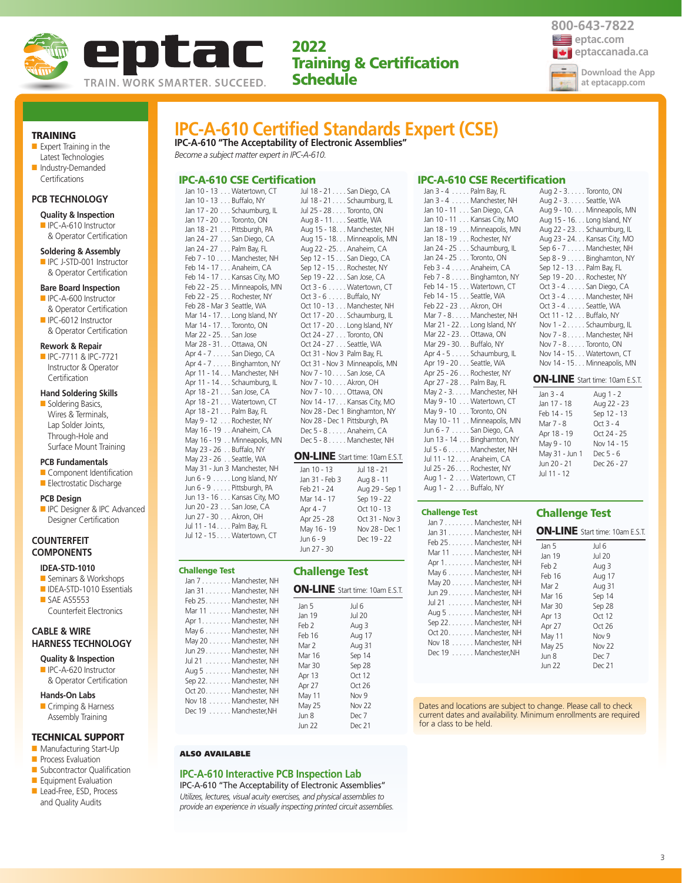



### TRAINING

- Expert Training in the Latest Technologies
- Industry-Demanded Certifications

## **PCB TECHNOLOGY**

- **Quality & Inspection**
- IPC-A-610 Instructor & Operator Certification

- **Soldering & Assembly**
- IPC J-STD-001 Instructor & Operator Certification

#### **Bare Board Inspection**

- IPC-A-600 Instructor & Operator Certification
- IPC-6012 Instructor & Operator Certification

#### **Rework & Repair**

■ IPC-7711 & IPC-7721 Instructor & Operator Certification

#### **Hand Soldering Skills**

■ Soldering Basics, Wires & Terminals, Lap Solder Joints, Through-Hole and Surface Mount Training

#### **PCB Fundamentals**

- Component Identification
- Electrostatic Discharge

#### **PCB Design**

**ID** IPC Designer & IPC Advanced Designer Certification

## **COUNTERFEIT COMPONENTS**

## **IDEA-STD-1010**

- Seminars & Workshops ■ IDEA-STD-1010 Essentials
- SAE AS5553 Counterfeit Electronics

## **CABLE & WIRE HARNESS TECHNOLOGY**

- **Quality & Inspection** ■ IPC-A-620 Instructor
- & Operator Certification

## **Hands-On Labs**

■ Crimping & Harness Assembly Training

## TECHNICAL SUPPORT

- Manufacturing Start-Up
- Process Evaluation
- Subcontractor Qualification
- Equipment Evaluation
- Lead-Free, ESD, Process and Quality Audits

## **IPC-A-610 Certified Standards Expert (CSE) IPC-A-610 "The Acceptability of Electronic Assemblies"** *Become a subject matter expert in IPC-A-610.*

## IPC-A-610 CSE Certification

Jan 10 - 13 . . . Watertown, CT Jan 10 - 13 . . . Buffalo, NY Jan 17 - 20 . . . Schaumburg, IL Jan 17 - 20 . . . Toronto, ON Jan 18 - 21 . . . Pittsburgh, PA Jan 24 - 27 . . . San Diego, CA Jan 24 - 27 . . . Palm Bay, FL Feb 7 - 10 . . . . Manchester, NH Feb 14 - 17 . . . Anaheim, CA Feb 14 - 17 . . . Kansas City, MO Feb 22 - 25 . . . Minneapolis, MN Feb 22 - 25 . . . Rochester, NY Feb 28 - Mar 3 Seattle, WA Mar 14 - 17. . . Long Island, NY Mar 14 - 17. . . Toronto, ON Mar 22 - 25. . . San Jose Mar 28 - 31. . . Ottawa, ON Apr 4 - 7 . . . . . San Diego, CA Apr 4 - 7 . . . . . Binghamton, NY Apr 11 - 14 . . . Manchester, NH Apr 11 - 14 . . . Schaumburg, IL Apr 18 - 21 . . . San Jose, CA Apr 18 - 21 . . . Watertown, CT Apr 18 - 21 . . . Palm Bay, FL May 9 - 12 . . . Rochester, NY May 16 - 19 . . Anaheim, CA May 16 - 19 . . Minneapolis, MN May 23 - 26 . . Buffalo, NY May 23 - 26 . . Seattle, WA May 31 - Jun 3 Manchester, NH Jun 6 - 9 . . . . . Long Island, NY Jun 6 - 9 . . . . . Pittsburgh, PA Jun 13 - 16 . . . Kansas City, MO Jun 20 - 23 . . . San Jose, CA Jun 27 - 30 . . . Akron, OH

Jul 11 - 14 . . . . Palm Bay, FL Jul 12 - 15 . . . . Watertown, CT

Challenge Test

Jul 18 - 21 . . . . San Diego, CA Jul 18 - 21 . . . . Schaumburg, IL Jul 25 - 28 . . . . Toronto, ON Aug 8 - 11. . . . Seattle, WA Aug 15 - 18. . . Manchester, NH Aug 15 - 18. . . Minneapolis, MN Aug 22 - 25. . . Anaheim, CA Sep 12 - 15 . . . San Diego, CA Sep 12 - 15 . . . Rochester, NY Sep 19 - 22 . . . San Jose, CA Oct 3 - 6 . . . . . Watertown, CT Oct 3 - 6 . . . . . Buffalo, NY Oct 10 - 13 . . . Manchester, NH Oct 17 - 20 . . . Schaumburg, IL Oct 17 - 20 . . . Long Island, NY Oct 24 - 27 . . . Toronto, ON Oct 24 - 27 . . . Seattle, WA Oct 31 - Nov 3 Palm Bay, FL Oct 31 - Nov 3 Minneapolis, MN Nov 7 - 10. . . . San Jose, CA Nov 7 - 10. . . . Akron, OH Nov 7 - 10. . . . Ottawa, ON Nov 14 - 17. . . Kansas City, MO Nov 28 - Dec 1 Binghamton, NY Nov 28 - Dec 1 Pittsburgh, PA Dec 5 - 8 . . . . . Anaheim, CA Dec 5 - 8 . . . . . Manchester, NH ON-LINE Start time: 10am E.S.T.

| Jan 10 - 13    | Jul 18 - 21    |
|----------------|----------------|
| Jan 31 - Feb 3 | Aug 8 - 11     |
| Feb 21 - 24    | Aug 29 - Sep 1 |
| Mar 14 - 17    | Sep 19 - 22    |
| Apr 4 - 7      | Oct 10 - 13    |
| Apr 25 - 28    | Oct 31 - Nov 3 |
| May 16 - 19    | Nov 28 - Dec 1 |
| Jun 6 - 9      | Dec 19 - 22    |
| Jun 27 - 30    |                |

## Challenge Test

| Jan 7 Manchester, NH<br>Jan 31 Manchester, NH                                                                                                                                                                                                                                                              |                                                                                                                                   | <b>ON-LINE</b> Start time: 10am E.S.T.                                                                                            |
|------------------------------------------------------------------------------------------------------------------------------------------------------------------------------------------------------------------------------------------------------------------------------------------------------------|-----------------------------------------------------------------------------------------------------------------------------------|-----------------------------------------------------------------------------------------------------------------------------------|
| Feb 25. Manchester, NH<br>Mar 11 Manchester, NH<br>Apr 1. Manchester, NH<br>May 6 Manchester, NH<br>May 20 Manchester, NH<br>Jun 29. Manchester, NH<br>Jul 21 Manchester, NH<br>Aug 5 Manchester, NH<br>Sep 22. Manchester, NH<br>Oct 20. Manchester, NH<br>Nov 18 Manchester, NH<br>Dec 19 Manchester, NH | Jan 5<br>Jan 19<br>Feb 2<br>Feb 16<br>Mar 2<br>Mar 16<br>Mar 30<br>Apr 13<br>Apr 27<br>May 11<br>May 25<br>Jun 8<br><b>Jun 22</b> | Jul 6<br><b>Jul 20</b><br>Aug 3<br>Aug 17<br>Aug 31<br>Sep 14<br>Sep 28<br>Oct 12<br>Oct 26<br>Nov 9<br>Nov 22<br>Dec 7<br>Dec 21 |

## IPC-A-610 CSE Recertification Jan 3 - 4 . . . . . Palm Bay, FL

| Jan 3 - 4 Manchester, NH     |  |
|------------------------------|--|
| Jan 10 - 11 San Diego, CA    |  |
| Jan 10 - 11 Kansas City, MO  |  |
| Jan 18 - 19 Minneapolis, MN  |  |
| Jan 18 - 19 Rochester, NY    |  |
| Jan 24 - 25 Schaumburg, IL   |  |
| Jan 24 - 25 Toronto, ON      |  |
| Feb 3 - 4 Anaheim, CA        |  |
| Feb 7 - 8 Binghamton, NY     |  |
| Feb 14 - 15 Watertown, CT    |  |
| Feb 14 - 15 Seattle, WA      |  |
| Feb 22 - 23 Akron, OH        |  |
| Mar 7 - 8. Manchester, NH    |  |
| Mar 21 - 22. Long Island, NY |  |
| Mar 22 - 23. Ottawa, ON      |  |
| Mar 29 - 30. Buffalo, NY     |  |
| Apr 4 - 5 Schaumburg, IL     |  |
| Apr 19 - 20 Seattle, WA      |  |
| Apr 25 - 26 Rochester, NY    |  |
| Apr 27 - 28 Palm Bay, FL     |  |
| May 2 - 3. Manchester, NH    |  |
| May 9 - 10 Watertown, CT     |  |
| May 9 - 10 Toronto, ON       |  |
| May 10 - 11 Minneapolis, MN  |  |
| Jun 6 - 7 San Diego, CA      |  |
| Jun 13 - 14 Binghamton, NY   |  |
| Jul 5 - 6 Manchester, NH     |  |
| Jul 11 - 12 Anaheim, CA      |  |
| Jul 25 - 26 Rochester, NY    |  |
| Aug 1 - 2 Watertown, CT      |  |
| Aug 1 - 2 Buffalo, NY        |  |

#### Challenge Test

| Jan 31 Manchester, NH                                                                                                                                                                                                                                                            | ON-L                                                                                                |
|----------------------------------------------------------------------------------------------------------------------------------------------------------------------------------------------------------------------------------------------------------------------------------|-----------------------------------------------------------------------------------------------------|
|                                                                                                                                                                                                                                                                                  |                                                                                                     |
| Feb 25 Manchester, NH<br>Mar 11 Manchester, NH<br>Apr 1. Manchester, NH<br>May 6 Manchester, NH<br>May 20 Manchester, NH<br>Jun 29. Manchester, NH<br>Jul 21 Manchester, NH<br>Aug 5 Manchester, NH<br>Sep 22. Manchester, NH<br>Oct 20. Manchester, NH<br>Nov 18 Manchester, NH | Jan 5<br>Jan 19<br>Feb 2<br>Feb 16<br>Mar 2<br>Mar 1<br>Mar 3<br>Apr 13<br>Apr 27<br>May 1<br>May 2 |
| Dec 19 Manchester, NH                                                                                                                                                                                                                                                            | Jun 8<br>مصنبا                                                                                      |

| Aug 2 - 3. Toronto, ON                 |
|----------------------------------------|
| Aug 2 - 3. Seattle, WA                 |
| Aug 9 - 10. Minneapolis, MN            |
| Aug 15 - 16. Long Island, NY           |
| Aug 22 - 23. Schaumburg, IL            |
| Aug 23 - 24. Kansas City, MO           |
| Sep 6 - 7 Manchester, NH               |
| Sep 8 - 9 Binghamton, NY               |
| Sep 12 - 13 Palm Bay, FL               |
| Sep 19 - 20 Rochester, NY              |
| Oct 3 - 4 San Diego, CA                |
| Oct 3 - 4 Manchester, NH               |
| Oct 3 - 4 Seattle, WA                  |
| Oct 11 - 12 Buffalo, NY                |
| Nov 1 - 2 Schaumburg, IL               |
| Nov 7 - 8 Manchester, NH               |
| Nov 7 - 8 Toronto, ON                  |
| Nov 14 - 15 Watertown, CT              |
| Nov 14 - 15 Minneapolis, MN            |
|                                        |
| <b>ON-LINE</b> Start time: 10am E.S.T. |

| Jan 3 - 4      | Aug 1 - 2   |
|----------------|-------------|
| Jan 17 - 18    | Aug 22 - 23 |
| Feb 14 - 15    | Sep 12 - 13 |
| Mar 7 - 8      | $Oct3 - 4$  |
| Apr 18 - 19    | Oct 24 - 25 |
| May 9 - 10     | Nov 14 - 15 |
| May 31 - Jun 1 | Dec 5 - 6   |
| Jun 20 - 21    | Dec 26 - 27 |
| Jul 11 - 12    |             |
|                |             |

## Challenge Test

#### $JNE$  Start time: 10am E.S.T.

| Jan 5  | Jul 6            |
|--------|------------------|
| Jan 19 | Jul 20           |
| Feb 2  | Aug 3            |
| Feb 16 | Aug 17           |
| Mar 2  | Aug 31           |
| Mar 16 | Sep 14           |
| Mar 30 | Sep 28           |
| Apr 13 | Oct 12           |
| Apr 27 | Oct26            |
| May 11 | Nov <sub>9</sub> |
| May 25 | <b>Nov 22</b>    |
| Jun 8  | Dec 7            |
| Jun 22 | Dec 21           |

Dates and locations are subject to change. Please call to check current dates and availability. Minimum enrollments are required for a class to be held.

#### ALSO AVAILABLE

#### **IPC-A-610 Interactive PCB Inspection Lab**

IPC-A-610 "The Acceptability of Electronic Assemblies" *Utilizes, lectures, visual acuity exercises, and physical assemblies to provide an experience in visually inspecting printed circuit assemblies.*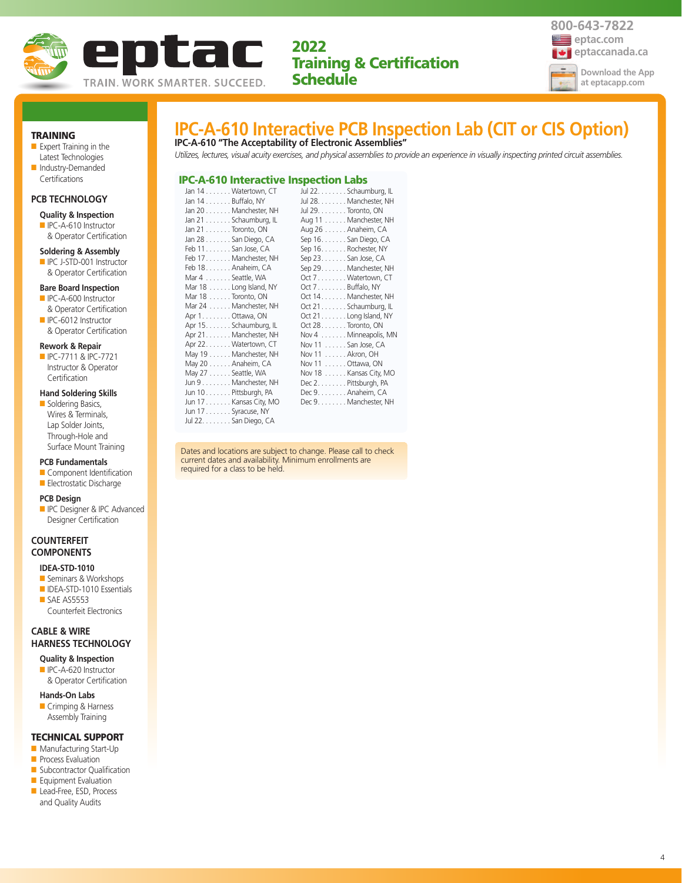



## TRAINING

■ Expert Training in the Latest Technologies ■ Industry-Demanded

## **PCB TECHNOLOGY**

Certifications

## **Quality & Inspection**

- IPC-A-610 Instructor
- & Operator Certification

#### **Soldering & Assembly**

■ IPC J-STD-001 Instructor & Operator Certification

#### **Bare Board Inspection**

- IPC-A-600 Instructor & Operator Certification
- IPC-6012 Instructor & Operator Certification

#### **Rework & Repair**

■ IPC-7711 & IPC-7721 Instructor & Operator **Certification** 

## **Hand Soldering Skills**

■ Soldering Basics, Wires & Terminals, Lap Solder Joints, Through-Hole and Surface Mount Training

### **PCB Fundamentals**

- Component Identification
- Electrostatic Discharge

#### **PCB Design**

■ IPC Designer & IPC Advanced Designer Certification

## **COUNTERFEIT COMPONENTS**

#### **IDEA-STD-1010**

- Seminars & Workshops
- IDEA-STD-1010 Essentials ■ SAE AS5553 Counterfeit Electronics

## **CABLE & WIRE HARNESS TECHNOLOGY**

**Quality & Inspection** ■ IPC-A-620 Instructor

& Operator Certification

#### **Hands-On Labs**

■ Crimping & Harness Assembly Training

## TECHNICAL SUPPORT

- Manufacturing Start-Up
- **Process Evaluation**
- Subcontractor Qualification ■ Equipment Evaluation
- Lead-Free, ESD, Process
- and Quality Audits

## **IPC-A-610 Interactive PCB Inspection Lab (CIT or CIS Option) IPC-A-610 "The Acceptability of Electronic Assemblies"**

*Utilizes, lectures, visual acuity exercises, and physical assemblies to provide an experience in visually inspecting printed circuit assemblies.*

#### IPC-A-610 Interactive Inspection Labs

|                                      |                          | ------------          |                         |
|--------------------------------------|--------------------------|-----------------------|-------------------------|
|                                      | Jan 14 Watertown, CT     |                       | Jul 22. Schaumburg, IL  |
| Jan $14 \ldots \ldots$ . Buffalo, NY |                          |                       | Jul 28. Manchester, NH  |
|                                      | Jan 20 Manchester, NH    | Jul 29. Toronto, ON   |                         |
|                                      | Jan 21 Schaumburg, IL    |                       | Aug 11 Manchester, NH   |
| Jan $21$ Toronto, ON                 |                          | Aug 26 Anaheim, CA    |                         |
|                                      | Jan 28 San Diego, CA     |                       | Sep 16. San Diego, CA   |
| Feb 11 San Jose, CA                  |                          | Sep 16. Rochester, NY |                         |
|                                      | Feb 17. Manchester, NH   | Sep 23. San Jose, CA  |                         |
| Feb 18. Anaheim, CA                  |                          |                       | Sep 29. Manchester, NH  |
| Mar 4 Seattle, WA                    |                          |                       | Oct 7 Watertown, CT     |
|                                      | Mar $18$ Long Island, NY | Oct 7. Buffalo, NY    |                         |
| Mar 18 Toronto, ON                   |                          |                       | Oct 14. Manchester, NH  |
|                                      | Mar 24 Manchester, NH    |                       | Oct 21. Schaumburg, IL  |
| Apr 1. Ottawa, ON                    |                          |                       | Oct 21. Long Island, NY |
|                                      | Apr 15. Schaumburg, IL   | Oct 28Toronto, ON     |                         |
|                                      | Apr 21. Manchester, NH   |                       | Nov 4 Minneapolis, MN   |
|                                      | Apr 22. Watertown, CT    | Nov 11  San Jose, CA  |                         |
|                                      | May 19 Manchester, NH    | Nov 11  Akron, OH     |                         |
|                                      | May 20 Anaheim, CA       | Nov 11 Ottawa, ON     |                         |
| May 27 Seattle, WA                   |                          |                       | Nov 18 Kansas City, MO  |
|                                      | Jun 9 Manchester, NH     | Dec 2. Pittsburgh, PA |                         |
|                                      | Jun 10 Pittsburgh, PA    | Dec 9. Anaheim, CA    |                         |
|                                      | Jun 17 Kansas City, MO   |                       | Dec 9. Manchester, NH   |
| Jun 17 Syracuse, NY                  |                          |                       |                         |
|                                      | Jul 22. San Diego, CA    |                       |                         |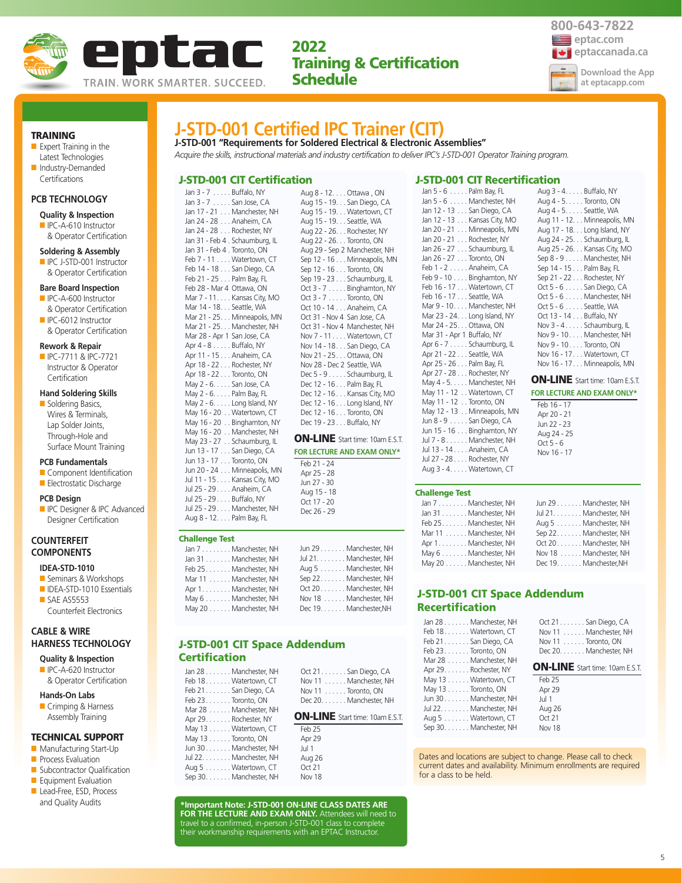



Aug 3 - 4. . . . . Buffalo, NY Aug 4 - 5. . . . . Toronto, ON Aug 4 - 5. . . . . Seattle, WA Aug 11 - 12. . . Minneapolis, MN Aug 17 - 18. . . Long Island, NY Aug 24 - 25. . . Schaumburg, IL Aug 25 - 26. . . Kansas City, MO Sep 8 - 9 . . . . . Manchester, NH Sep 14 - 15 . . . Palm Bay, FL Sep 21 - 22 . . . Rochester, NY Oct 5 - 6 . . . . . San Diego, CA Oct 5 - 6 . . . . . Manchester, NH Oct 5 - 6 . . . . . Seattle, WA Oct 13 - 14 . . . Buffalo, NY Nov 3 - 4 . . . . . Schaumburg, IL Nov 9 - 10. . . . Manchester, NH Nov 9 - 10. . . . Toronto, ON Nov 16 - 17. . . Watertown, CT Nov 16 - 17. . . Minneapolis, MN ON-LINE Start time: 10am E.S.T. **FOR LECTURE AND EXAM ONLY\***

TRAINING

- Expert Training in the Latest Technologies ■ Industry-Demanded
- **Certifications**

## **PCB TECHNOLOGY**

- **Quality & Inspection**
- IPC-A-610 Instructor & Operator Certification

#### **Soldering & Assembly**

■ IPC J-STD-001 Instructor & Operator Certification

#### **Bare Board Inspection**

- IPC-A-600 Instructor & Operator Certification
- IPC-6012 Instructor & Operator Certification

#### **Rework & Repair**

**Certification** 

■ IPC-7711 & IPC-7721 Instructor & Operator

## **Hand Soldering Skills**

■ Soldering Basics, Wires & Terminals, Lap Solder Joints, Through-Hole and Surface Mount Training

#### **PCB Fundamentals**

- Component Identification
- Electrostatic Discharge

#### **PCB Design**

**ID** IPC Designer & IPC Advanced Designer Certification

## **COUNTERFEIT COMPONENTS**

## **IDEA-STD-1010**

- Seminars & Workshops
- IDEA-STD-1010 Essentials ■ SAE AS5553 Counterfeit Electronics

## **CABLE & WIRE HARNESS TECHNOLOGY**

- **Quality & Inspection** ■ IPC-A-620 Instructor
- & Operator Certification

## **Hands-On Labs**

■ Crimping & Harness Assembly Training

### TECHNICAL SUPPORT

- Manufacturing Start-Up
- **Process Evaluation**
- Subcontractor Qualification
- Equipment Evaluation ■ Lead-Free, ESD, Process
- and Quality Audits

## **J-STD-001 Certified IPC Trainer (CIT)**

**J-STD-001 "Requirements for Soldered Electrical & Electronic Assemblies"** *Acquire the skills, instructional materials and industry certification to deliver IPC's J-STD-001 Operator Training program.*

> Aug 8 - 12. . . . Ottawa , ON Aug 15 - 19. . . San Diego, CA Aug 15 - 19. . . Watertown, CT Aug 15 - 19. . . Seattle, WA Aug 22 - 26. . . Rochester, NY Aug 22 - 26. . . Toronto, ON Aug 29 - Sep 2 Manchester, NH Sep 12 - 16 . . . Minneapolis, MN Sep 12 - 16 . . . Toronto, ON Sep 19 - 23 . . . Schaumburg, IL Oct 3 - 7 . . . . . Binghamton, NY Oct 3 - 7 . . . . . Toronto, ON Oct 10 - 14 . . . Anaheim, CA Oct 31 - Nov 4 San Jose, CA Oct 31 - Nov 4 Manchester, NH Nov 7 - 11. . . . Watertown, CT Nov 14 - 18. . . San Diego, CA Nov 21 - 25. . . Ottawa, ON Nov 28 - Dec 2 Seattle, WA Dec 5 - 9 . . . . . Schaumburg, IL Dec 12 - 16 . . . Palm Bay, FL Dec 12 - 16 . . . Kansas City, MO Dec 12 - 16 . . . Long Island, NY Dec 12 - 16 . . . Toronto, ON Dec 19 - 23 . . . Buffalo, NY ON-LINE Start time: 10am E.S.T. **FOR LECTURE AND EXAM ONLY\***

## J-STD-001 CIT Certification

Jan 3 - 7 . . . . . Buffalo, NY Jan 3 - 7 . . . . . San Jose, CA Jan 17 - 21 . . . Manchester, NH Jan 24 - 28 . . . Anaheim, CA Jan 24 - 28 . . . Rochester, NY Jan 31 - Feb 4 . Schaumburg, IL Jan 31 - Feb 4 . Toronto, ON Feb 7 - 11 . . . . Watertown, CT Feb 14 - 18 . . . San Diego, CA Feb 21 - 25 . . . Palm Bay, FL Feb 28 - Mar 4 Ottawa, ON Mar 7 - 11. . . . Kansas City, MO Mar 14 - 18. . . Seattle, WA Mar 21 - 25. . . Minneapolis, MN Mar 21 - 25. . . Manchester, NH Mar 28 - Apr 1 San Jose, CA Apr 4 - 8 . . . . . Buffalo, NY Apr 11 - 15 . . . Anaheim, CA Apr 18 - 22 . . . Rochester, NY Apr 18 - 22 . . . Toronto, ON May 2 - 6. . . . . San Jose, CA May 2 - 6. . . . . Palm Bay, FL May 2 - 6. . . . . Long Island, NY May 16 - 20 . . Watertown, CT May 16 - 20 . . Binghamton, NY May 16 - 20 . . Manchester, NH May 23 - 27 . . Schaumburg, IL Jun 13 - 17 . . . San Diego, CA Jun 13 - 17 . . . Toronto, ON Jun 20 - 24 . . . Minneapolis, MN Jul 11 - 15 . . . . Kansas City, MO Jul 25 - 29 . . . . Anaheim, CA Jul 25 - 29 . . . . Buffalo, NY

Challenge Test

Apr

Jul 25 - 29 . . . . Manchester, NH Aug 8 - 12. . . . Palm Bay, FL

| Jan 7 Manchester, NH  | Jun 29 Manchester, NH  |
|-----------------------|------------------------|
| Jan 31 Manchester, NH | Jul 21. Manchester, NH |
| Feb 25Manchester, NH  | Aug 5 Manchester, NH   |
| Mar 11 Manchester, NH | Sep 22. Manchester, NH |
| Apr 1. Manchester, NH | Oct 20 Manchester, NH  |
| May 6 Manchester, NH  | Nov 18 Manchester, NH  |
| May 20 Manchester, NH | Dec 19. Manchester, NH |
|                       |                        |

Feb 21 - 24 Apr 25 - 28 Jun 27 - 30 Aug 15 - 18 Oct 17 - 20 Dec 26 - 29

## J-STD-001 CIT Space Addendum **Certification**

| Jan 28 Manchester, NH<br>Feb 18 Watertown, CT<br>Feb 21 San Diego, CA<br>Feb $23$ Toronto, ON | Oct 21. San Diego, CA<br>Nov 11 Manchester, NH<br>Nov 11 Toronto, ON<br>Dec 20. Manchester, NH |
|-----------------------------------------------------------------------------------------------|------------------------------------------------------------------------------------------------|
| Mar 28 Manchester, NH<br>Apr 29. Rochester, NY                                                | <b>ON-LINE</b> Start time: 10am E.S.T.                                                         |
| May 13 Watertown, CT                                                                          | Feb 25                                                                                         |
| May 13 Toronto, ON                                                                            | Apr 29                                                                                         |
| Jun 30 Manchester, NH                                                                         | Jul 1                                                                                          |
| Jul 22. Manchester, NH                                                                        | Aug 26                                                                                         |
| Aug 5 Watertown, CT                                                                           | Oct 21                                                                                         |
| Sep 30. Manchester, NH                                                                        | <b>Nov 18</b>                                                                                  |

**\*Important Note: J-STD-001 ON-LINE CLASS DATES ARE FOR THE LECTURE AND EXAM ONLY.** Attendees will need to travel to a confirmed, in-person J-STD-001 class to complete their workmanship requirements with an EPTAC Instructor.

## J-STD-001 CIT Recertification

| Jan 5 - 6 Palm Bay, FL       |
|------------------------------|
| Jan 5 - 6 Manchester, NH     |
| Jan 12 - 13 San Diego, CA    |
| Jan 12 - 13 Kansas City, MO  |
| Jan 20 - 21 Minneapolis, MN  |
| Jan 20 - 21 Rochester, NY    |
| Jan 26 - 27 Schaumburg, IL   |
| Jan 26 - 27 Toronto, ON      |
| Feb 1 - 2 Anaheim, CA        |
| Feb 9 - 10 Binghamton, NY    |
| Feb 16 - 17 Watertown, CT    |
| Feb 16 - 17 Seattle, WA      |
| Mar 9 - 10. Manchester, NH   |
| Mar 23 - 24. Long Island, NY |
| Mar 24 - 25. Ottawa, ON      |
| Mar 31 - Apr 1 Buffalo, NY   |
| Apr 6 - 7 Schaumburg, IL     |
| Apr 21 - 22 Seattle, WA      |
| Apr 25 - 26 Palm Bay, FL     |
| Apr 27 - 28 Rochester, NY    |
| May 4 - 5. Manchester, NH    |
| May 11 - 12 Watertown, CT    |
| May 11 - 12 Toronto, ON      |
| May 12 - 13 Minneapolis, MN  |
| Jun 8 - 9 San Diego, CA      |
| Jun 15 - 16 Binghamton, NY   |
| Jul 7 - 8 Manchester, NH     |
| Jul 13 - 14 Anaheim, CA      |
| Jul 27 - 28 Rochester, NY    |
| Aug 3 - 4. Watertown, CT     |

#### Challenge Test

| Jan 7 Manchester, NH  | Jun 29 Manchester, NH  |
|-----------------------|------------------------|
| Jan 31 Manchester, NH | Jul 21. Manchester, NH |
| Feb 25Manchester, NH  | Aug 5 Manchester, NH   |
| Mar 11 Manchester, NH | Sep 22. Manchester, NH |
| Apr 1. Manchester, NH | Oct 20 Manchester, NH  |
| May 6 Manchester, NH  | Nov 18 Manchester, NH  |
| May 20 Manchester, NH | Dec 19. Manchester, NH |

Feb 16 - 17 Apr 20 - 21 Jun 22 - 23 Aug 24 - 25  $Oct 5 - 6$ Nov 16 - 17

## J-STD-001 CIT Space Addendum Recertification

|                    | Oct 21. San Diego, CA  |
|--------------------|------------------------|
|                    | Nov 11 Manchester, NH  |
| Nov 11 Toronto, ON |                        |
|                    | Dec 20. Manchester, NH |
|                    |                        |

## ON-LINE Start time: 10am E.S.T.

| Feb 25        |
|---------------|
| Apr 29        |
| Jul 1         |
| Aug 26        |
| Oct 21        |
| <b>Nov 18</b> |
|               |

Dates and locations are subject to change. Please call to check current dates and availability. Minimum enrollments are required for a class to be held.

5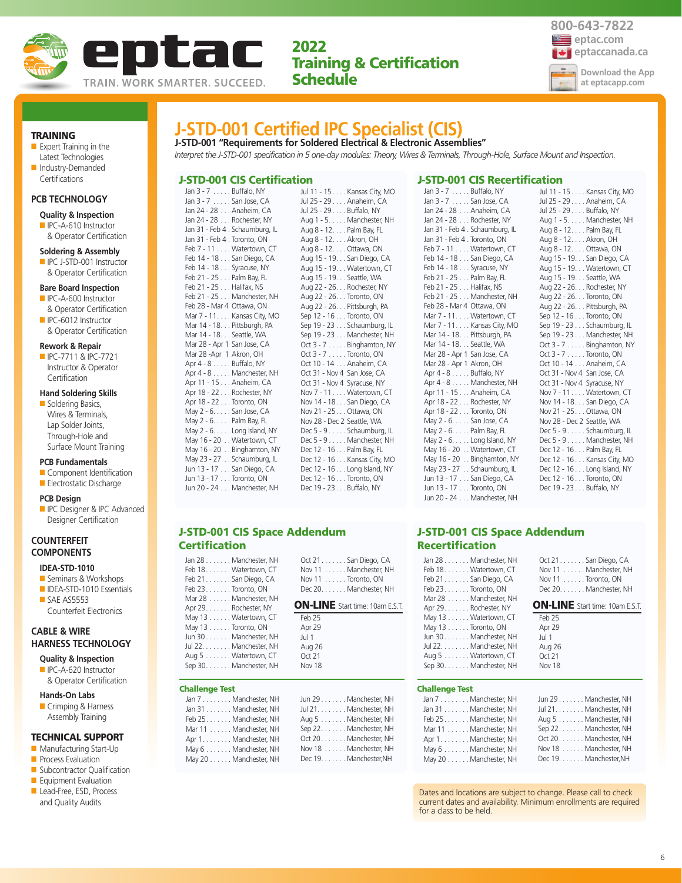



TRAINING

■ Expert Training in the Latest Technologies ■ Industry-Demanded

## **PCB TECHNOLOGY**

**Certifications** 

## **Quality & Inspection**

■ IPC-A-610 Instructor & Operator Certification

#### **Soldering & Assembly**

■ IPC J-STD-001 Instructor & Operator Certification

#### **Bare Board Inspection**

- IPC-A-600 Instructor & Operator Certification
- IPC-6012 Instructor & Operator Certification

#### **Rework & Repair**

■ IPC-7711 & IPC-7721 Instructor & Operator **Certification** 

## **Hand Soldering Skills**

■ Soldering Basics, Wires & Terminals, Lap Solder Joints, Through-Hole and Surface Mount Training

#### **PCB Fundamentals**

- Component Identification ■ Electrostatic Discharge
- 

#### **PCB Design**

**ID** IPC Designer & IPC Advanced Designer Certification

## **COUNTERFEIT COMPONENTS**

## **IDEA-STD-1010**

- Seminars & Workshops ■ IDEA-STD-1010 Essentials
- SAE AS5553 Counterfeit Electronics

## **CABLE & WIRE HARNESS TECHNOLOGY**

- **Quality & Inspection** ■ IPC-A-620 Instructor
- & Operator Certification

## **Hands-On Labs**

■ Crimping & Harness Assembly Training

#### TECHNICAL SUPPORT

- Manufacturing Start-Up
- **Process Evaluation**
- Subcontractor Qualification
- Equipment Evaluation
- Lead-Free, ESD, Process and Quality Audits

## **J-STD-001 Certified IPC Specialist (CIS)**

**J-STD-001 "Requirements for Soldered Electrical & Electronic Assemblies"** *Interpret the J-STD-001 specification in 5 one-day modules: Theory, Wires & Terminals, Through-Hole, Surface Mount and Inspection.*

#### J-STD-001 CIS Certification

Jan 3 - 7 . . . . . Buffalo, NY Jan 3 - 7 . . . . . San Jose, CA Jan 24 - 28 . . . Anaheim, CA Jan 24 - 28 . . . Rochester, NY Jan 31 - Feb 4 . Schaumburg Jan 31 - Feb 4 . Toronto, O Feb 7 - 11 . . . . Watertow Feb 14 - 18 . . . San Diego Feb 14 - 18 . . . Syracuse, Feb 21 - 25  $\dots$  Palm Bay, Feb 21 - 25 . . . Halifax, NS Feb  $21 - 25$  . . . Mancheste Feb 28 - Mar 4 Ottawa, C Mar 7 - 11. . . . Kansas Cit Mar 14 - 18. . . Pittsburgh Mar 14 - 18. . . Seattle, W Mar 28 - Apr 1 San Jose, Mar 28 -Apr 1 Akron, OH Apr 4 - 8 . . . . . Buffalo, N Apr 4 - 8 . . . . . Manchester, NH Apr 11 - 15 . . . Anaheim, CA Apr 18 - 22 . . . Rochester, Apr 18 - 22 . . . Toronto, O May 2 - 6. . . . . San Jose, May 2 - 6. . . . . Palm Bay, May  $2 - 6. \ldots$ . Long Islan May  $16 - 20$  . . Watertow May 16 - 20 . . Binghamto May 23 - 27 . . Schaumburg Jun 13 - 17 . . . San Diego Jun 13 - 17 . . . Toronto, O Jun 20 - 24 . . . Mancheste Jul 11 - 15 . . . . Kansas City, MO Jul 25 - 29 . . . . Anaheim, CA Jul 25 - 29 . . . . Buffalo, NY

| , NY           | Aug 1 - 5. Manchester, NH   |
|----------------|-----------------------------|
| urg, IL        | Aug 8 - 12. Palm Bay, FL    |
| ЭN             | Aug 8 - 12. Akron, OH       |
| n, CT          | Aug 8 - 12. Ottawa, ON      |
| ), CA          | Aug 15 - 19. San Diego, CA  |
| ΝY             | Aug 15 - 19. Watertown, CT  |
| FL             | Aug 15 - 19. Seattle, WA    |
| S.             | Aug 22 - 26. Rochester, NY  |
| er, NH         | Aug 22 - 26. Toronto, ON    |
| ЭN             | Aug 22 - 26. Pittsburgh, PA |
| tv, MO         | Sep 12 - 16 Toronto, ON     |
| ı, PA          | Sep 19 - 23 Schaumburg, IL  |
| IA.            | Sep 19 - 23 Manchester, NH  |
| CА             | Oct 3 - 7 Binghamton, NY    |
| $\overline{a}$ | Oct 3 - 7 Toronto, ON       |
| Y.             | Oct 10 - 14 Anaheim, CA     |
| er, NH         | Oct 31 - Nov 4 San Jose, CA |
| CA             | Oct 31 - Nov 4 Syracuse, NY |
| : NY           | Nov 7 - 11. Watertown, CT   |
| W.             | Nov 14 - 18. San Diego, CA  |
| СA             | Nov 21 - 25 Ottawa, ON      |
| FL.            | Nov 28 - Dec 2 Seattle, WA  |
| ıd, NY         | Dec 5 - 9 Schaumburg, IL    |
| n. CT          | Dec 5 - 9 Manchester, NH    |
| on, NY         | Dec 12 - 16 Palm Bay, FL    |
| urg, IL        | Dec 12 - 16 Kansas City, MO |
| ), CA          | Dec 12 - 16 Long Island, NY |
| ЭN             | Dec 12 - 16 Toronto, ON     |
| er, NH         | Dec 19 - 23 Buffalo, NY     |
|                |                             |

### J-STD-001 CIS Recertification

Jan 3 - 7 . . . . . Buffalo, NY Jan 3 - 7 . . . . . San Jose, CA Jan 24 - 28 . . . Anaheim, CA Jan 24 - 28 . . . Rochester, NY Jan 31 - Feb 4 . Schaumburg, IL Jan 31 - Feb 4 . Toronto, ON Feb 7 - 11 . . . . Watertown, CT Feb 14 - 18 . . . San Diego, CA Feb 14 - 18 . . . Syracuse, NY Feb 21 - 25 . . . Palm Bay, FL Feb 21 - 25 . . . Halifax, NS Feb 21 - 25 . . . Manchester, NH Feb 28 - Mar 4 Ottawa, ON Mar 7 - 11.... Watertown, CT Mar 7 - 11. . . . Kansas City, MO Mar 14 - 18. . . Pittsburgh, PA Mar 14 - 18. . . Seattle, WA Mar 28 - Apr 1 San Jose, CA Mar 28 - Apr 1 Akron, OH Apr 4 - 8 . . . . . Buffalo, NY Apr 4 - 8 . . . . . Manchester, NH Apr 11 - 15 . . . Anaheim, CA Apr 18 - 22 . . . Rochester, NY Apr 18 - 22 . . . Toronto, ON May 2 - 6. . . . . San Jose, CA May 2 - 6. . . . . Palm Bay, FL May 2 - 6. . . . . Long Island, NY May 16 - 20 . . Watertown, CT May 16 - 20 . . Binghamton, NY May 23 - 27 . . Schaumburg, IL Jun 13 - 17 . . . San Diego, CA Jun 13 - 17 . . . Toronto, ON Jun 20 - 24 . . . Manchester, NH

Jul 11 - 15 . . . . Kansas City, MO Jul 25 - 29 . . . . Anaheim, CA Jul 25 - 29 . . . . Buffalo, NY Aug 1 - 5. . . . . Manchester, NH Aug 8 - 12. . . . Palm Bay, FL Aug 8 - 12. . . . Akron, OH Aug 8 - 12. . . . Ottawa, ON Aug 15 - 19. . . San Diego, CA Aug 15 - 19. . . Watertown, CT Aug 15 - 19. . . Seattle, WA Aug 22 - 26. . . Rochester, NY Aug 22 - 26. . . Toronto, ON Aug 22 - 26. . . Pittsburgh, PA Sep 12 - 16 . . . Toronto, ON Sep 19 - 23 . . . Schaumburg, IL Sep 19 - 23 . . . Manchester, NH Oct 3 - 7 . . . . . Binghamton, NY Oct 3 - 7 . . . . . Toronto, ON Oct 10 - 14 . . . Anaheim, CA Oct 31 - Nov 4 San Jose, CA Oct 31 - Nov 4 Syracuse, NY Nov 7 - 11. . . . Watertown, CT Nov 14 - 18. . . San Diego, CA Nov 21 - 25. . . Ottawa, ON Nov 28 - Dec 2 Seattle, WA Dec 5 - 9 . . . . . Schaumburg, IL Dec 5 - 9 . . . . . Manchester, NH Dec 12 - 16 . . . Palm Bay, FL Dec 12 - 16 . . . Kansas City, MO Dec 12 - 16 . . . Long Island, NY Dec 12 - 16 . . . Toronto, ON Dec 19 - 23 . . . Buffalo, NY

### J-STD-001 CIS Space Addendum **Certification**

| Jan 28 Manchester, NH                                                                        | Oct 21 San Diego, CA              |
|----------------------------------------------------------------------------------------------|-----------------------------------|
| Feb 18. Watertown, CT                                                                        | Nov 11 Manchester, NH             |
| Feb 21 San Diego, CA                                                                         | Nov 11 Toronto, ON                |
| Feb 23 Toronto, ON                                                                           | Dec 20. Manchester, NH            |
| Mar 28 Manchester, NH                                                                        | <b>ON-LINE</b> Start time: 10am E |
| Apr 29. Rochester, NY<br>May 13 Watertown, CT<br>May 13 Toronto, ON<br>Jun 30 Manchester, NH | Feb 25<br>Apr 29<br>Jul 1         |

| Feb 25        |  |
|---------------|--|
| Apr 29        |  |
| Jul 1         |  |
| Aug 26        |  |
| Oct 21        |  |
| <b>Nov 18</b> |  |

| <b>Challenge Test</b> |                           |  |
|-----------------------|---------------------------|--|
| $1 - 7$               | A Annual contract A H. L. |  |

| JAI I /  . IVIAI IU IESLEI, INI I |  |
|-----------------------------------|--|
| Jan 31 Manchester, NH             |  |
| Feb 25 Manchester, NH             |  |
| Mar 11 Manchester, NH             |  |
| Apr 1. Manchester, NH             |  |
| May 6 Manchester, NH              |  |
| May 20 Manchester, NH             |  |

Jul 22. . . . . . . . Manchester, NH Aug 5 . . . . . . . Watertown, CT Sep 30. . . . . . . Manchester, NH

| 1    |  |  |  |
|------|--|--|--|
| g 26 |  |  |  |
| t 21 |  |  |  |
| v 18 |  |  |  |
|      |  |  |  |
|      |  |  |  |

| Jun 29 Manchester, NH  |  |
|------------------------|--|
| Jul 21. Manchester, NH |  |
| Aug 5 Manchester, NH   |  |
| Sep 22. Manchester, NH |  |
| Oct 20Manchester, NH   |  |
| Nov 18 Manchester, NH  |  |
| Dec 19. Manchester, NH |  |

## J-STD-001 CIS Space Addendum Recertification

lan 28

| Jan 28 Manchester, NH<br>Feb 18. Watertown, CT<br>Feb 21San Diego, CA<br>Feb $23$ Toronto, ON<br>Mar 28 Manchester, NH | Oct 21. San Diego, CA<br>Nov 11 Manchester, NH<br>Nov $11 \ldots \ldots$ Toronto, ON<br>Dec 20. Manchester, NH |
|------------------------------------------------------------------------------------------------------------------------|----------------------------------------------------------------------------------------------------------------|
| Apr 29. Rochester, NY                                                                                                  | <b>ON-LINE</b> Start time: 10am E.S.T.                                                                         |
| May 13 Watertown, CT                                                                                                   | Feb 25                                                                                                         |
| May 13 Toronto, ON                                                                                                     | Apr 29                                                                                                         |
| Jun 30 Manchester, NH                                                                                                  | Jul 1                                                                                                          |
| Jul 22. Manchester, NH                                                                                                 | Aug 26                                                                                                         |
| Aug 5 Watertown, CT                                                                                                    | Oct21                                                                                                          |
| Sep 30. Manchester, NH                                                                                                 | <b>Nov 18</b>                                                                                                  |
|                                                                                                                        |                                                                                                                |
| <b>Challenge Test</b>                                                                                                  |                                                                                                                |
| Jan 7 Manchester, NH                                                                                                   | Jun 29 Manchester, NH                                                                                          |
| Jan 31 Manchester, NH                                                                                                  | Jul 21. Manchester, NH                                                                                         |
| Feb 25 Manchester, NH                                                                                                  | Aug 5 Manchester, NH                                                                                           |
| Mar 11 Manchester, NH                                                                                                  | Sep 22. Manchester, NH                                                                                         |

| Apr 1. Manchester, NH |  |  | Oct 20 Manchester, NH |  |
|-----------------------|--|--|-----------------------|--|
| May 6 Manchester, NH  |  |  | Nov 18 Manchester, NH |  |
| May 20 Manchester, NH |  |  | Dec 19. Manchester.NH |  |
|                       |  |  |                       |  |
|                       |  |  |                       |  |
|                       |  |  |                       |  |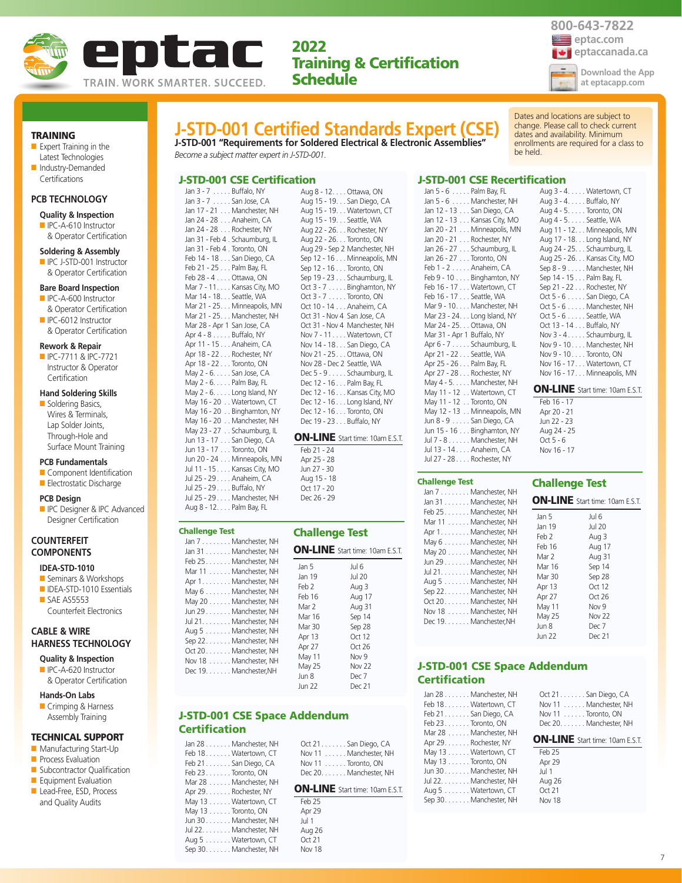

## eptac.com **exploitant extendio for the extendio of the extendio extendio and allegated according to the extendio of the extendio extendio and according to the extendio according to the extendio of the extendio according to the exten 800-643-7822 Download the App at eptacapp.com**

Dates and locations are subject to change. Please call to check current dates and availability. Minimum enrollments are required for a class to

TRAINING

■ Expert Training in the Latest Technologies ■ Industry-Demanded

#### **PCB TECHNOLOGY**

**Certifications** 

#### **Quality & Inspection**

■ IPC-A-610 Instructor & Operator Certification

#### **Soldering & Assembly**

■ IPC J-STD-001 Instructor & Operator Certification

#### **Bare Board Inspection**

- IPC-A-600 Instructor & Operator Certification
- IPC-6012 Instructor & Operator Certification

#### **Rework & Repair**

■ IPC-7711 & IPC-7721 Instructor & Operator **Certification** 

## **Hand Soldering Skills**

■ Soldering Basics, Wires & Terminals, Lap Solder Joints, Through-Hole and Surface Mount Training

#### **PCB Fundamentals**

- Component Identification ■ Electrostatic Discharge
- 

#### **PCB Design**

**ID** IPC Designer & IPC Advanced Designer Certification

## **COUNTERFEIT COMPONENTS**

## **IDEA-STD-1010**

- Seminars & Workshops ■ IDEA-STD-1010 Essentials
- SAE AS5553 Counterfeit Electronics

## **CABLE & WIRE HARNESS TECHNOLOGY**

- **Quality & Inspection** ■ IPC-A-620 Instructor
- & Operator Certification **Hands-On Labs**

■ Crimping & Harness Assembly Training

#### TECHNICAL SUPPORT

- Manufacturing Start-Up
- **Process Evaluation**
- Subcontractor Qualification
- Equipment Evaluation ■ Lead-Free, ESD, Process
- and Quality Audits

# **J-STD-001 Certified Standards Expert (CSE)**

**J-STD-001 "Requirements for Soldered Electrical & Electronic Assemblies"** *Become a subject matter expert in J-STD-001.*

## J-STD-001 CSE Certification

Jan 3 - 7 . . . . . Buffalo, NY Jan 3 - 7 . . . . . San Jose, CA Jan 17 - 21 . . . Manchester, NH Jan 24 - 28 . . . Anaheim, CA Jan 24 - 28 . . . Rochester, NY Jan 31 - Feb 4 . Schaumburg, IL Jan 31 - Feb 4 . Toronto, ON Feb 14 - 18 . . . San Diego, CA Feb 21 - 25 . . . Palm Bay, FL Feb 28 - 4 . . . . Ottawa, ON Mar 7 - 11. . . . Kansas City, MO Mar 14 - 18. . . Seattle, WA Mar 21 - 25. . . Minneapolis, MN Mar 21 - 25. . . Manchester, NH Mar 28 - Apr 1 San Jose, CA Apr 4 - 8 . . . . . Buffalo, NY Apr 11 - 15 . . . Anaheim, CA Apr 18 - 22 . . . Rochester, NY Apr 18 - 22 . . . Toronto, ON May 2 - 6. . . . . San Jose, CA May 2 - 6. . . . . Palm Bay, FL May 2 - 6. . . . . Long Island, NY May 16 - 20 . . Watertown, CT May 16 - 20 . . Binghamton, NY May 16 - 20 . . Manchester, NH May 23 - 27 . . Schaumburg, IL Jun 13 - 17 . . . San Diego, CA Jun 13 - 17 . . . Toronto, ON Jun 20 - 24 . . . Minneapolis, MN Jul 11 - 15 . . . . Kansas City, MO Jul 25 - 29 . . . . Anaheim, CA

Jul 25 - 29 . . . . Buffalo, NY Jul 25 - 29 . . . . Manchester, NH Aug 8 - 12. . . . Palm Bay, FL

Challenge Test

Aug 8 - 12. . . . Ottawa, ON Aug 15 - 19. . . San Diego, CA Aug 15 - 19. . . Watertown, CT Aug 15 - 19. . . Seattle, WA Aug 22 - 26. . . Rochester, NY Aug 22 - 26. . . Toronto, ON Aug 29 - Sep 2 Manchester, NH Sep 12 - 16 . . . Minneapolis, MN Sep 12 - 16 . . . Toronto, ON Sep 19 - 23 . . . Schaumburg, IL Oct 3 - 7 . . . . . Binghamton, NY Oct 3 - 7 . . . . . Toronto, ON Oct 10 - 14 . . . Anaheim, CA Oct 31 - Nov 4 San Jose, CA Oct 31 - Nov 4 Manchester, NH Nov 7 - 11. . . . Watertown, CT Nov 14 - 18. . . San Diego, CA Nov 21 - 25. . . Ottawa, ON Nov 28 - Dec 2 Seattle, WA Dec 5 - 9 . . . . . Schaumburg, IL Dec 12 - 16 . . . Palm Bay, FL Dec 12 - 16 . . . Kansas City, MO Dec 12 - 16 . . . Long Island, NY Dec 12 - 16 . . . Toronto, ON Dec 19 - 23 . . . Buffalo, NY

## ON-LINE Start time: 10am E.S.T.

#### Feb 21 - 24 Apr 25 - 28 Jun 27 - 30 Aug 15 - 18 Oct 17 - 20 Dec 26 - 29

| <b>hallenge Test</b><br>Jan 7 Manchester, NH                                                                                                                                                                                                                                                               | <b>Challenge Test</b>                                                                                                             |                                                                                                                                              |
|------------------------------------------------------------------------------------------------------------------------------------------------------------------------------------------------------------------------------------------------------------------------------------------------------------|-----------------------------------------------------------------------------------------------------------------------------------|----------------------------------------------------------------------------------------------------------------------------------------------|
| Jan 31 Manchester, NH                                                                                                                                                                                                                                                                                      |                                                                                                                                   | <b>ON-LINE</b> Start time: 10am E.S.T.                                                                                                       |
| Feb 25 Manchester, NH<br>Mar 11 Manchester, NH<br>Apr 1. Manchester, NH<br>May 6 Manchester, NH<br>May 20 Manchester, NH<br>Jun 29 Manchester, NH<br>Jul 21. Manchester, NH<br>Aug 5 Manchester, NH<br>Sep 22. Manchester, NH<br>Oct 20. Manchester, NH<br>Nov 18 Manchester, NH<br>Dec 19. Manchester, NH | Jan 5<br>Jan 19<br>Feb 2<br>Feb 16<br>Mar 2<br>Mar 16<br>Mar 30<br>Apr 13<br>Apr 27<br>May 11<br>May 25<br>Jun 8<br><b>Jun 22</b> | Jul 6<br><b>Jul 20</b><br>Aug 3<br>Aug 17<br>Aug 31<br>Sep 14<br>Sep 28<br>Oct 12<br>Oct 26<br>Nov <sub>9</sub><br>Nov 22<br>Dec 7<br>Dec 21 |
|                                                                                                                                                                                                                                                                                                            |                                                                                                                                   |                                                                                                                                              |

## J-STD-001 CSE Space Addendum **Certification**

Apr 29. . . . . . . Rochester, NY May 13 . . . . . . Watertown, CT May 13 . . . . . . Toronto, ON Jun 30 . . . . . . . Manchester, NH Jul 22. . . . . . . . Manchester, NH Aug 5 . . . . . . . Watertown, CT Sep 30. . . . . . . Manchester, NH

| Jan 28 Manchester, NH | Oct 21. San Diego, CA          |
|-----------------------|--------------------------------|
| Feb 18. Watertown, CT | Nov 11 Manchester, NH          |
| Feb 21 San Diego, CA  | Nov $11, \ldots$ . Toronto, ON |
| Feb $23$ Toronto. ON  | Dec 20. Manchester, NH         |
| Mar 28 Manchester, NH |                                |

#### ON-LINE Start time: 10am E.S.T.

| Feb 25 |  |
|--------|--|
| Apr 29 |  |
| Jul 1  |  |
| Aug 26 |  |
| Oct 21 |  |
| Nov 18 |  |

#### J-STD-001 CSE Recertification Jan 5 - 6 . . . . . Palm Bay, FL

be held.

Jan 5 - 6 . . . . . Manchester, NH Jan 12 - 13 . . . San Diego, CA Jan 12 - 13 . . . Kansas City, MO Jan 20 - 21 . . . Minneapolis, MN Jan 20 - 21 . . . Rochester, NY Jan 26 - 27 . . . Schaumburg, IL Jan 26 - 27 . . . Toronto, ON Feb 1 - 2 . . . . . Anaheim, CA<br>Feb 9 - 10 . . . . Binghamton, I Binghamton, NY Feb 16 - 17 . . . Watertown, CT Feb 16 - 17 . . . Seattle, WA Mar 9 - 10. . . . Manchester, NH Mar 23 - 24. . . Long Island, NY Mar 24 - 25. . . Ottawa, ON Mar 31 - Apr 1 Buffalo, NY Apr 6 - 7 . . . . . Schaumburg, IL Apr 21 - 22 . . . Seattle, WA Apr 25 - 26 . . . Palm Bay, FL Apr 27 - 28 . . . Rochester, NY May 4 - 5. . . . . Manchester, NH May 11 - 12 . . Watertown, CT May 11 - 12 . . Toronto, ON May 12 - 13 . . Minneapolis, MN Jun 8 - 9 . . . . . San Diego, CA Jun 15 - 16 . . . Binghamton, NY Jul 7 - 8 . . . . . . Manchester, NH Jul 13 - 14 . . . . Anaheim, CA Jul 27 - 28 . . . . Rochester, NY

#### Challenge Test

| Jan 7 Manchester, NH   |    |
|------------------------|----|
| Jan 31 Manchester, NH  | Ol |
| Feb 25 Manchester, NH  |    |
| Mar 11 Manchester, NH  | Ja |
| Apr 1. Manchester, NH  | Ja |
| May 6 Manchester, NH   | Fe |
| May 20 Manchester, NH  | Fe |
| Jun 29 Manchester, NH  | М  |
| Jul 21. Manchester, NH | М  |
| Aug 5 Manchester, NH   | М  |
| Sep 22. Manchester, NH | Aı |
| Oct 20. Manchester, NH | A  |
| Nov 18 Manchester, NH  | Μ  |
| Dec 19. Manchester, NH | М  |
|                        | Ju |
|                        |    |

# Challenge Test

| NΗ                                                                   |                                                                                                                                   |                                                                                                                                                         |
|----------------------------------------------------------------------|-----------------------------------------------------------------------------------------------------------------------------------|---------------------------------------------------------------------------------------------------------------------------------------------------------|
| NΗ                                                                   |                                                                                                                                   | <b>ON-LINE</b> Start time: 10am E.S.T.                                                                                                                  |
| NΗ<br>NΗ<br>NΗ<br>NΗ<br>NΗ<br>NΗ<br>NΗ<br>NΗ<br>NΗ<br>NΗ<br>NΗ<br>JΗ | Jan 5<br>Jan 19<br>Feb 2<br>Feb 16<br>Mar 2<br>Mar 16<br>Mar 30<br>Apr 13<br>Apr 27<br>May 11<br>May 25<br>Jun 8<br><b>Jun 22</b> | Jul 6<br><b>Jul 20</b><br>Aug 3<br>Aug 17<br>Aug 31<br>Sep 14<br>Sep 28<br>Oct 12<br>Oct 26<br>Nov <sub>9</sub><br>Nov <sub>22</sub><br>Dec 7<br>Dec 21 |
|                                                                      |                                                                                                                                   |                                                                                                                                                         |

## J-STD-001 CSE Space Addendum **Certification**

| Jan 28 Manchester, NH<br>Feb 18 Watertown, CT<br>Feb 21 San Diego, CA | Oct 21. San Diego, CA<br>Nov 11 Manchester, NH<br>Nov 11 Toronto, ON |
|-----------------------------------------------------------------------|----------------------------------------------------------------------|
| Feb 23 Toronto, ON                                                    | Dec 20. Manchester, NH                                               |
| Mar 28 Manchester, NH<br>Apr 29. Rochester, NY                        | <b>ON-LINE</b> Start time: 10am E.S.T.                               |
| May 13 Watertown, CT                                                  | Feb 25                                                               |
| May 13 Toronto, ON                                                    | Apr 29                                                               |
| Jun 30 Manchester, NH                                                 | Jul 1                                                                |
| Jul 22. Manchester, NH                                                | Aug 26                                                               |
| Aug 5 Watertown, CT                                                   | Oct 21                                                               |
| Sep 30. Manchester, NH                                                | Nov 18                                                               |

| Aug 3 - 4. Watertown, CT     |
|------------------------------|
| Aug 3 - 4. Buffalo, NY       |
| Aug 4 - 5. Toronto, ON       |
| Aug 4 - 5. Seattle, WA       |
| Aug 11 - 12. Minneapolis, MN |
| Aug 17 - 18. Long Island, NY |
| Aug 24 - 25. Schaumburg, IL  |
| Aug 25 - 26. Kansas City, MO |
| Sep 8 - 9 Manchester, NH     |
| Sep 14 - 15 Palm Bay, FL     |
| Sep 21 - 22 Rochester, NY    |
| Oct 5 - 6 San Diego, CA      |
| Oct 5 - 6 Manchester, NH     |
| Oct 5 - 6 Seattle, WA        |

 $\overline{X}$ 

Oct 13 - 14 . . . Buffalo, NY Nov 3 - 4 . . . . . Schaumburg, IL Nov 9 - 10. . . . Manchester, NH Nov 9 - 10. . . . Toronto, ON Nov 16 - 17. . . Watertown, CT Nov 16 - 17. . . Minneapolis, MN

ON-LINE Start time: 10am E.S.T.

Feb 16 - 17 Apr 20 - 21 Jun 22 - 23 Aug 24 - 25  $Ort 5 - 6$ Nov 16 - 17

| Apr 29        |  |
|---------------|--|
| Jul 1         |  |
| Aug 26        |  |
| Oct21         |  |
| <b>Nov 18</b> |  |
|               |  |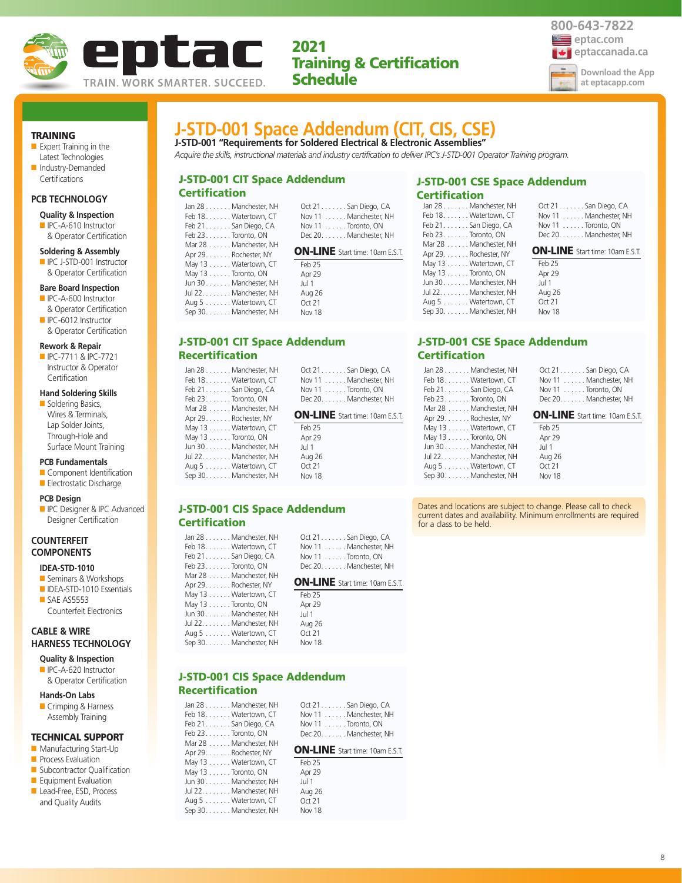



TRAINING

- Expert Training in the Latest Technologies ■ Industry-Demanded
- Certifications

## **PCB TECHNOLOGY**

- **Quality & Inspection**
- IPC-A-610 Instructor & Operator Certification

#### **Soldering & Assembly**

■ IPC J-STD-001 Instructor & Operator Certification

#### **Bare Board Inspection**

- IPC-A-600 Instructor & Operator Certification
- IPC-6012 Instructor & Operator Certification

#### **Rework & Repair**

■ IPC-7711 & IPC-7721 Instructor & Operator **Certification** 

### **Hand Soldering Skills**

■ Soldering Basics, Wires & Terminals, Lap Solder Joints, Through-Hole and Surface Mount Training

## **PCB Fundamentals**

- Component Identification ■ Electrostatic Discharge
- 
- **PCB Design**
- **ID** IPC Designer & IPC Advanced Designer Certification

## **COUNTERFEIT COMPONENTS**

## **IDEA-STD-1010**

- Seminars & Workshops ■ IDEA-STD-1010 Essentials
- SAE AS5553 Counterfeit Electronics

## **CABLE & WIRE HARNESS TECHNOLOGY**

- **Quality & Inspection** ■ IPC-A-620 Instructor
- & Operator Certification

## **Hands-On Labs**

■ Crimping & Harness Assembly Training

#### TECHNICAL SUPPORT

- Manufacturing Start-Up
- **Process Evaluation**
- Subcontractor Qualification
- Equipment Evaluation
- Lead-Free, ESD, Process and Quality Audits

| J-STD-001 Space Addendum (CIT, CIS, CSE)                                 |  |  |  |  |
|--------------------------------------------------------------------------|--|--|--|--|
| J-STD-001 "Requirements for Soldered Electrical & Electronic Assemblies" |  |  |  |  |

*Acquire the skills, instructional materials and industry certification to deliver IPC's J-STD-001 Operator Training program.*

## J-STD-001 CIT Space Addendum **Certification** Oct 21. . . . . . . San Diego, CA

| Jan 28 Manchester, NH  | Oct 21 San Diego, CA                   |
|------------------------|----------------------------------------|
| Feb 18. Watertown, CT  | Nov 11 Manchester, NH                  |
| Feb 21 San Diego, CA   | Nov 11 Toronto, ON                     |
| Feb $23$ Toronto, ON   | Dec 20. Manchester, NH                 |
| Mar 28 Manchester, NH  |                                        |
| Apr 29. Rochester, NY  | <b>ON-LINE</b> Start time: 10am E.S.T. |
| May 13 Watertown, CT   | Feb 25                                 |
| May 13 Toronto, ON     | Apr 29                                 |
| Jun 30 Manchester, NH  | Jul 1                                  |
| Jul 22. Manchester, NH | Aug 26                                 |
| Aug 5 Watertown, CT    | Oct $21$                               |
| Sep 30. Manchester, NH | <b>Nov 18</b>                          |

Apr 29. . . . . . . Rochester, NY

|                 |  | J-STD-001 CIT Space Addendum |
|-----------------|--|------------------------------|
| Recertification |  |                              |

| Jan 28 Manchester, NH | Oct 21. San Diego, CA       |
|-----------------------|-----------------------------|
| Feb 18. Watertown, CT | Nov 11 Manchester, NH       |
| Feb 21 San Diego, CA  | Nov $11 \ldots$ Toronto, ON |
| Feb 23Toronto. ON     | Dec 20. Manchester, NH      |
| Mar 28 Manchester, NH |                             |

## ON-LINE Start time: 10am E.S.T.

#### May 13 . . . . . . Watertown, CT May 13 . . . . . . Toronto, ON Jun 30 . . . . . . . Manchester, NH Jul 22. . . . . . . . Manchester, NH Aug 5 . . . . . . . Watertown, CT Sep 30. . . . . . . Manchester, NH Feb 25 Apr 29 Jul 1 Aug 26 Oct 21 Nov 18

## J-STD-001 CIS Space Addendum **Certification**

| Jan 28 Manchester, NH  | Oct $21$ San Diego, CA                 |
|------------------------|----------------------------------------|
| Feb 18 Watertown, CT   | Nov 11 Manchester, NH                  |
| Feb 21 San Diego, CA   | Nov 11 Toronto, ON                     |
| Feb 23 Toronto, ON     | Dec 20. Manchester, NH                 |
| Mar 28 Manchester, NH  |                                        |
| Apr 29. Rochester, NY  | <b>ON-LINE</b> Start time: 10am E.S.T. |
| May 13 Watertown, CT   | Feb 25                                 |
| May 13 Toronto, ON     | Apr 29                                 |
| Jun 30Manchester, NH   | Jul 1                                  |
| Jul 22. Manchester, NH | Aug 26                                 |
| Aug 5 Watertown, CT    | Oct 21                                 |
| Sep 30. Manchester, NH | Nov 18                                 |

# J-STD-001 CIS Space Addendum

## Recertification

|                       | Jan 28 Manchester, NH  |
|-----------------------|------------------------|
|                       | Feb 18. Watertown, CT  |
| Feb 21. San Diego, CA |                        |
| Feb 23. Toronto, ON   |                        |
|                       | Mar 28 Manchester, NH  |
| Apr 29. Rochester, NY |                        |
|                       | May 13 Watertown, CT   |
| May 13 Toronto, ON    |                        |
|                       | Jun 30 Manchester, NH  |
|                       | Jul 22. Manchester, NH |
|                       | Aug 5 Watertown, CT    |
|                       | Sep 30. Manchester, NH |
|                       |                        |

| Oct 21. San Diego, CA |
|-----------------------|
| Nov 11 Manchester, NH |
| Nov 11 Toronto, ON    |
| Dec 20 Manchester NH  |

### ON-LINE Start time: 10am E.S.T.

|   | Feb 25 |
|---|--------|
|   | Apr 29 |
| ⊣ | Jul 1  |
| ┥ | Aug 26 |
|   | Oct 21 |
| ⊣ | Nov 18 |
|   |        |

## J-STD-001 CSE Space Addendum Certification

| Jan 28 Manchester, NH  |  |
|------------------------|--|
| Feb 18. Watertown, CT  |  |
| Feb 21 San Diego, CA   |  |
| Feb 23. Toronto, ON    |  |
| Mar 28 Manchester, NH  |  |
| Apr 29. Rochester, NY  |  |
| May 13 Watertown, CT   |  |
| May 13 Toronto, ON     |  |
| Jun 30 Manchester, NH  |  |
| Jul 22. Manchester, NH |  |
| Aug 5 Watertown, CT    |  |
| Sep 30. Manchester, NH |  |
|                        |  |

#### Oct 21. . . . . . . San Diego, CA Nov 11 . . . . . . Manchester, NH Nov 11 . . . . . . Toronto, ON Dec 20. . . . . . . Manchester, NH

ON-LINE Start time: 10am E.S.T.

| Feb 25 |  |
|--------|--|
| Apr 29 |  |
| Jul 1  |  |
| Aug 26 |  |
| Oct21  |  |
| Nov 18 |  |

## J-STD-001 CSE Space Addendum **Certification**

| Jan 28 Manchester, NH  | Oct 21. San Diego, CA                  |
|------------------------|----------------------------------------|
| Feb 18 Watertown, CT   | Nov 11 Manchester, NH                  |
| Feb 21 San Diego, CA   | Nov 11 Toronto, ON                     |
| Feb 23 Toronto, ON     | Dec 20. Manchester, NH                 |
| Mar 28 Manchester, NH  |                                        |
| Apr 29. Rochester, NY  | <b>ON-LINE</b> Start time: 10am E.S.T. |
| May 13 Watertown, CT   | Feb 25                                 |
| May 13 Toronto, ON     | Apr 29                                 |
| Jun 30 Manchester, NH  | Jul 1                                  |
| Jul 22. Manchester, NH | Aug 26                                 |
| Aug 5 Watertown, CT    | Oct 21                                 |
| Sep 30. Manchester, NH | Nov 18                                 |

Dates and locations are subject to change. Please call to check current dates and availability. Minimum enrollments are required for a class to be held.

8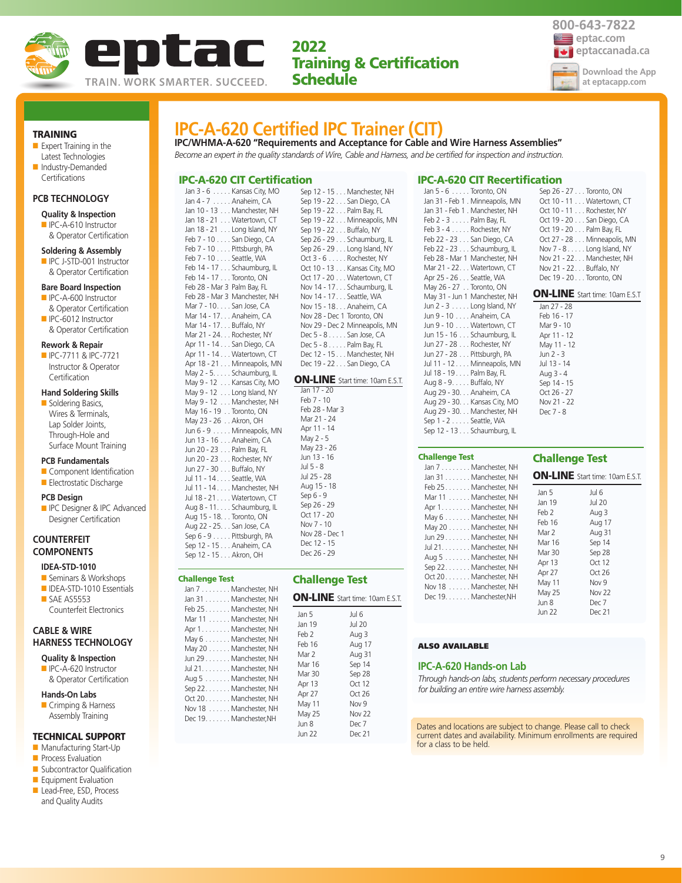



Oct 10 - 11 . . . Watertown, CT Oct 10 - 11 . . . Rochester, NY Oct 19 - 20 . . . San Diego, CA Oct 19 - 20 . . . Palm Bay, FL Oct 27 - 28 . . . Minneapolis, MN Nov 7 - 8 . . . . . Long Island, NY Nov 21 - 22. . . Manchester, NH Nov 21 - 22. . . Buffalo, NY Dec 19 - 20 . . . Toronto, ON

#### TRAINING

- Expert Training in the Latest Technologies
- Industry-Demanded

## **Certifications**

## **PCB TECHNOLOGY**

- **Quality & Inspection** ■ IPC-A-610 Instructor
- & Operator Certification

#### **Soldering & Assembly**

■ IPC J-STD-001 Instructor & Operator Certification

#### **Bare Board Inspection**

- IPC-A-600 Instructor & Operator Certification
- IPC-6012 Instructor & Operator Certification

#### **Rework & Repair**

■ IPC-7711 & IPC-7721 Instructor & Operator **Certification** 

### **Hand Soldering Skills**

■ Soldering Basics, Wires & Terminals, Lap Solder Joints, Through-Hole and Surface Mount Training

#### **PCB Fundamentals**

- Component Identification ■ Electrostatic Discharge
- 

#### **PCB Design**

■ IPC Designer & IPC Advanced Designer Certification

## **COUNTERFEIT COMPONENTS**

#### **IDEA-STD-1010**

- Seminars & Workshops
- IDEA-STD-1010 Essentials ■ SAE AS5553 Counterfeit Electronics

## **CABLE & WIRE HARNESS TECHNOLOGY**

- **Quality & Inspection** ■ IPC-A-620 Instructor
- & Operator Certification

#### **Hands-On Labs**

■ Crimping & Harness Assembly Training

## TECHNICAL SUPPORT

- Manufacturing Start-Up
- Process Evaluation
- Subcontractor Qualification
- Equipment Evaluation
- Lead-Free, ESD, Process and Quality Audits

## **IPC-A-620 Certified IPC Trainer (CIT)**

**IPC/WHMA-A-620 "Requirements and Acceptance for Cable and Wire Harness Assemblies"** *Become an expert in the quality standards of Wire, Cable and Harness, and be certified for inspection and instruction.*

### IPC-A-620 CIT Certification

Jan 3 - 6 . . . . . Kansas City, MO Jan 4 - 7 . . . . . Anaheim, CA Jan 10 - 13 . . . Manchester, NH Jan 18 - 21 . . . Watertown, CT Jan 18 - 21 . . . Long Island, NY Feb 7 - 10 . . . . San Diego, CA Feb 7 - 10 . . . . Pittsburgh, PA Feb 7 - 10 . . . . Seattle, WA Feb 14 - 17 . . . Schaumburg, IL Feb 14 - 17 . . . Toronto, ON Feb 28 - Mar 3 Palm Bay, FL Feb 28 - Mar 3 Manchester, NH Mar 7 - 10. . . . San Jose, CA Mar 14 - 17. . . Anaheim, CA Mar 14 - 17. . . Buffalo, NY Mar 21 - 24. . . Rochester, NY Apr 11 - 14 . . . San Diego, CA Apr 11 - 14 . . . Watertown, CT Apr 18 - 21 . . . Minneapolis, MN May 2 - 5. . . . . Schaumburg, IL May 9 - 12 . . . Kansas City, MO May 9 - 12 . . . Long Island, NY May 9 - 12 . . . Manchester, NH May 16 - 19 . . Toronto, ON May 23 - 26 . . Akron, OH Jun 6 - 9 . . . . . Minneapolis, MN Jun 13 - 16 . . . Anaheim, CA Jun 20 - 23 . . . Palm Bay, FL Jun 20 - 23 . . . Rochester, NY Jun 27 - 30 . . . Buffalo, NY Jul 11 - 14 . . . . Seattle, WA Jul 11 - 14 . . . . Manchester, NH Jul 18 - 21 . . . . Watertown, CT Aug 8 - 11. . . . Schaumburg, IL Aug 15 - 18. . . Toronto, ON Aug 22 - 25. . . San Jose, CA Sep 6 - 9 . . . . . Pittsburgh, PA Sep 12 - 15 . . . Anaheim, CA Sep 12 - 15 . . . Akron, OH

## Challenge Test

| nancinje iest          |  |
|------------------------|--|
| Jan 7 Manchester, NH   |  |
| Jan 31 Manchester, NH  |  |
| Feb 25 Manchester, NH  |  |
| Mar 11 Manchester, NH  |  |
| Apr 1. Manchester, NH  |  |
| May 6 Manchester, NH   |  |
| May 20 Manchester, NH  |  |
| Jun 29 Manchester, NH  |  |
| Jul 21. Manchester, NH |  |
| Aug 5 Manchester, NH   |  |
| Sep 22Manchester, NH   |  |
| Oct 20 Manchester, NH  |  |
| Nov 18 Manchester, NH  |  |
| Dec 19. Manchester, NH |  |
|                        |  |
|                        |  |
|                        |  |

| Sep 12 - 15 Manchester, NH          |  |
|-------------------------------------|--|
| Sep 19 - 22 San Diego, CA           |  |
| Sep 19 - 22 Palm Bay, FL            |  |
| Sep 19 - 22 Minneapolis, MN         |  |
| Sep 19 - 22 Buffalo, NY             |  |
| Sep 26 - 29 Schaumburg, IL          |  |
| Sep $26 - 29$ Long Island, NY       |  |
| Oct $3 - 6$ Rochester, NY           |  |
| Oct 10 - 13 Kansas City, MO         |  |
| Oct 17 - 20 Watertown, CT           |  |
| Nov 14 - 17 Schaumburg, IL          |  |
| Nov 14 - 17. Seattle, WA            |  |
| Nov 15 - 18. Anaheim, CA            |  |
| Nov 28 - Dec 1 Toronto, ON          |  |
| Nov 29 - Dec 2 Minneapolis, MN      |  |
| Dec 5 - 8 San Jose, CA              |  |
| Dec 5 - 8 Palm Bay, FL              |  |
| Dec 12 - 15 Manchester, NH          |  |
| Dec 19 - 22 San Diego, CA           |  |
|                                     |  |
| <b>ON-LINE</b> Start time: 10am EST |  |

#### Start time: 10am E.S.T. Jan 17 - 20

Feb 7 - 10 Feb 28 - Mar 3 Mar 21 - 24 Apr 11 - 14 May 2 - 5 May 23 - 26 Jun 13 - 16 Jul 5 - 8 Jul 25 - 28 Aug 15 - 18 Sep 6 - 9 Sep 26 - 29 Oct 17 - 20 Nov 7 - 10 Nov 28 - Dec 1 Dec 12 - 15 Dec 26 - 29

#### Challenge Test ON-LINE Start time: 10am E.S.T. Jan 5 Jan 19 Jul 6 Jul 20

| Feb 2  | Aug 3            |
|--------|------------------|
| Feb 16 | Aug 17           |
| Mar 2  | Aug 31           |
| Mar 16 | Sep 14           |
| Mar 30 | Sep 28           |
| Apr 13 | Oct $12$         |
| Apr 27 | Oct $26$         |
| May 11 | Nov <sub>9</sub> |
| May 25 | Nov 22           |
| Jun 8  | Dec 7            |
| Jun 22 | Dec 21           |

#### Jan 31 - Feb 1 . Manchester, NH Feb 2 - 3 . . . . . Palm Bay, FL Feb 3 - 4 . . . . . Rochester, NY Feb 22 - 23 . . . San Diego, CA Feb 22 - 23 . . . Schaumburg, IL Feb 28 - Mar 1 Manchester, NH Mar 21 - 22. . . Watertown, CT Apr 25 - 26 . . . Seattle, WA May 26 - 27 . . Toronto, ON May 31 - Jun 1 Manchester, NH Jun 2 - 3 . . . . . Long Island, NY Jun 9 - 10 . . . . Anaheim, CA Jun 9 - 10 . . . . Watertown, CT Jun 15 - 16 . . . Schaumburg, IL Jun 27 - 28 . . . Rochester, NY Jun 27 - 28 . . . Pittsburgh, PA Jul 11 - 12 . . . . Minneapolis, MN Jul 18 - 19 . . . . Palm Bay, FL Aug 8 - 9. . . . . Buffalo, NY Aug 29 - 30. . . Anaheim, CA Aug 29 - 30. . . Kansas City, MO Aug 29 - 30. . . Manchester, NH Sep 1 - 2 . . . . . Seattle, WA Sep 12 - 13 . . . Schaumburg, IL

#### Challenge Test Jan 7 . . . . . . . . Manchester, NH  $lan<sub>3</sub>$ Feb 2

| Jan 31 Manchester, NH                                                                                                                                                                                                                                                                                     |                                                                                                                                          | <b>ON-LINE</b> Start time: 10am E.S.                                                                                                    |
|-----------------------------------------------------------------------------------------------------------------------------------------------------------------------------------------------------------------------------------------------------------------------------------------------------------|------------------------------------------------------------------------------------------------------------------------------------------|-----------------------------------------------------------------------------------------------------------------------------------------|
| Feb 25 Manchester, NH<br>Mar 11 Manchester, NH<br>Apr 1. Manchester, NH<br>May 6 Manchester, NH<br>May 20 Manchester, NH<br>Jun 29 Manchester, NH<br>Jul 21. Manchester, NH<br>Aug 5 Manchester, NH<br>Sep 22. Manchester, NH<br>Oct 20 Manchester, NH<br>Nov 18 Manchester, NH<br>Dec 19. Manchester, NH | Jan 5<br>Jan 19<br>Feb 2<br>Feb 16<br>Mar 2<br><b>Mar 16</b><br>Mar 30<br>Apr 13<br>Apr 27<br>May 11<br>May 25<br>Jun 8<br><b>Jun 22</b> | Jul 6<br><b>Jul 20</b><br>Aug 3<br>Aug 17<br>Aug 31<br>Sep 14<br>Sep 28<br>Oct 12<br>Oct26<br>Nov 9<br><b>Nov 22</b><br>Dec 7<br>Dec 21 |

#### ALSO AVAILABLE

#### **IPC-A-620 Hands-on Lab**

*Through hands-on labs, students perform necessary procedures for building an entire wire harness assembly.*

Dates and locations are subject to change. Please call to check current dates and availability. Minimum enrollments are required for a class to be held.

#### IPC-A-620 CIT Recertification Jan 5 - 6 . . . . . Toronto, ON Sep 26 - 27 . . . Toronto, ON

Jan 31 - Feb 1 . Minneapolis, MN

| <b>ON-LINE</b> Start time: 10am E.S.T                                                                                                                                       |                |  |
|-----------------------------------------------------------------------------------------------------------------------------------------------------------------------------|----------------|--|
| Jan 27 - 28<br>Feb 16 - 17<br>Mar 9 - 10<br>Apr 11 - 12<br>May 11 - 12<br>Jun $2 - 3$<br>Jul 13 - 14<br>Aug 3 - 4<br>Sep 14 - 15<br>Oct 26 - 27<br>Nov 21 - 22<br>Dec 7 - 8 |                |  |
| <b>Challenge Test</b>                                                                                                                                                       |                |  |
| <b>ON-LINE</b> Start time: 10am E.S.T.                                                                                                                                      |                |  |
| Jan 5<br>$\ln 10$                                                                                                                                                           | Jul 6<br>∩ר ا⊔ |  |

9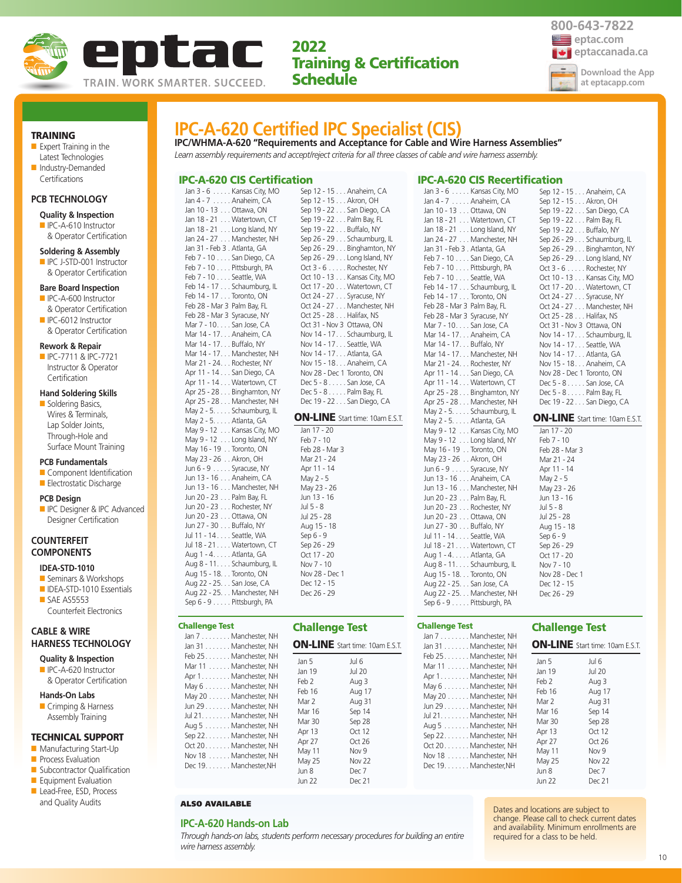

**IPC/WHMA-A-620 "Requirements and Acceptance for Cable and Wire Harness Assemblies"** *Learn assembly requirements and accept/reject criteria for all three classes of cable and wire harness assembly.*

**IPC-A-620 Certified IPC Specialist (CIS)**



#### TRAINING

■ Expert Training in the Latest Technologies ■ Industry-Demanded

#### **PCB TECHNOLOGY**

Certifications

#### **Quality & Inspection**

■ IPC-A-610 Instructor & Operator Certification

#### **Soldering & Assembly**

■ IPC J-STD-001 Instructor & Operator Certification

#### **Bare Board Inspection**

- IPC-A-600 Instructor & Operator Certification
- IPC-6012 Instructor & Operator Certification

#### **Rework & Repair**

■ IPC-7711 & IPC-7721 Instructor & Operator **Certification** 

#### **Hand Soldering Skills**

■ Soldering Basics, Wires & Terminals, Lap Solder Joints, Through-Hole and Surface Mount Training

#### **PCB Fundamentals**

- Component Identification
- Electrostatic Discharge

#### **PCB Design**

**ID** IPC Designer & IPC Advanced Designer Certification

## **COUNTERFEIT COMPONENTS**

**CABLE & WIRE** 

- **IDEA-STD-1010**
- Seminars & Workshops ■ IDEA-STD-1010 Essentials
- SAE AS5553 Counterfeit Electronics

## **HARNESS TECHNOLOGY**

- **Quality & Inspection** ■ IPC-A-620 Instructor
- & Operator Certification

## **Hands-On Labs**

■ Crimping & Harness Assembly Training

#### TECHNICAL SUPPORT

- Manufacturing Start-Up
- **Process Evaluation**
- Subcontractor Qualification
- Equipment Evaluation
- Lead-Free, ESD, Process and Quality Audits

| Jan 3 - 6 Kansas City, MO    | Sep 12 - 15 Anaheim, CA                |
|------------------------------|----------------------------------------|
| Jan 4 - 7 Anaheim, CA        | Sep 12 - 15 Akron, OH                  |
| Jan 10 - 13 Ottawa, ON       | Sep 19 - 22 San Diego, CA              |
| Jan 18 - 21 Watertown, CT    | Sep 19 - 22 Palm Bay, FL               |
| Jan 18 - 21 Long Island, NY  | Sep 19 - 22 Buffalo, NY                |
| Jan 24 - 27 Manchester, NH   | Sep 26 - 29 Schaumburg, IL             |
| Jan 31 - Feb 3 . Atlanta, GA | Sep 26 - 29 Binghamton, NY             |
| Feb 7 - 10 San Diego, CA     | Sep 26 - 29 Long Island, NY            |
| Feb 7 - 10 Pittsburgh, PA    | Oct 3 - 6 Rochester, NY                |
| Feb 7 - 10 Seattle, WA       | Oct 10 - 13 Kansas City, MO            |
| Feb 14 - 17 Schaumburg, IL   | Oct 17 - 20 Watertown, CT              |
| Feb 14 - 17 Toronto, ON      | Oct 24 - 27 Syracuse, NY               |
|                              |                                        |
| Feb 28 - Mar 3 Palm Bay, FL  | Oct 24 - 27 Manchester, NH             |
| Feb 28 - Mar 3 Syracuse, NY  | Oct 25 - 28 Halifax, NS                |
| Mar 7 - 10. San Jose, CA     | Oct 31 - Nov 3 Ottawa, ON              |
| Mar 14 - 17. Anaheim, CA     | Nov 14 - 17. Schaumburg, IL            |
| Mar 14 - 17. Buffalo, NY     | Nov 14 - 17. Seattle, WA               |
| Mar 14 - 17. Manchester, NH  | Nov 14 - 17. Atlanta, GA               |
| Mar 21 - 24. Rochester, NY   | Nov 15 - 18. Anaheim, CA               |
| Apr 11 - 14 San Diego, CA    | Nov 28 - Dec 1 Toronto, ON             |
| Apr 11 - 14 Watertown, CT    | Dec $5 - 8 \ldots$ . San Jose, CA      |
| Apr 25 - 28 Binghamton, NY   | Dec 5 - 8 Palm Bay, FL                 |
| Apr 25 - 28 Manchester, NH   | Dec 19 - 22 San Diego, CA              |
| May 2 - 5. Schaumburg, IL    | <b>ON-LINE</b> Start time: 10am E.S.T. |
| May 2 - 5. Atlanta, GA       |                                        |
| May 9 - 12 Kansas City, MO   | Jan 17 - 20                            |
| May 9 - 12 Long Island, NY   | Feb 7 - 10                             |
| May 16 - 19 Toronto, ON      | Feb 28 - Mar 3                         |
| May 23 - 26 Akron, OH        | Mar 21 - 24                            |
| Jun 6 - 9 Syracuse, NY       | Apr 11 - 14                            |
| Jun 13 - 16 Anaheim, CA      | May 2 - 5                              |
| Jun 13 - 16 Manchester, NH   | May 23 - 26                            |
| Jun 20 - 23 Palm Bay, FL     | Jun 13 - 16                            |
| Jun 20 - 23 Rochester, NY    | Jul 5 - 8                              |
| Jun 20 - 23 Ottawa, ON       | Jul 25 - 28                            |
| Jun 27 - 30 Buffalo, NY      | Aug 15 - 18                            |
| Jul 11 - 14 Seattle, WA      | Sep 6 - 9                              |
| Jul 18 - 21 Watertown, CT    | Sep 26 - 29                            |
| Aug 1 - 4. Atlanta, GA       | Oct 17 - 20                            |
| Aug 8 - 11. Schaumburg, IL   | Nov 7 - 10                             |
| Aug 15 - 18. Toronto, ON     | Nov 28 - Dec 1                         |
| Aug 22 - 25. San Jose, CA    | Dec 12 - 15                            |
| Aug 22 - 25. Manchester, NH  | Dec 26 - 29                            |
| Sep 6 - 9 Pittsburgh, PA     |                                        |

IPC-A-620 CIS Certification  $V$ ancas City, MO

## Challenge Test

| <b>Challenge Test</b>                                                                                                                                                                                                                                                                                                            | <b>Challenge Test</b>                                                                                   |                                                                                                                                                                     |
|----------------------------------------------------------------------------------------------------------------------------------------------------------------------------------------------------------------------------------------------------------------------------------------------------------------------------------|---------------------------------------------------------------------------------------------------------|---------------------------------------------------------------------------------------------------------------------------------------------------------------------|
| Jan 7 Manchester, NH<br>Jan 31 Manchester, NH<br>Feb 25. Manchester, NH<br>Mar 11 Manchester, NH<br>Apr 1. Manchester, NH<br>May 6 Manchester, NH<br>May 20 Manchester, NH<br>Jun 29 Manchester, NH<br>Jul 21. Manchester, NH<br>Aug 5 Manchester, NH<br>Sep 22. Manchester, NH<br>Oct 20Manchester, NH<br>Nov 18 Manchester, NH | Jan 5<br>Jan 19<br>Feb 2<br>Feb 16<br>Mar 2<br>Mar 16<br>Mar 30<br>Apr 13<br>Apr 27<br>May 11<br>May 25 | <b>ON-LINE</b> Start time: 10am E.S.T.<br>Jul 6<br><b>Jul 20</b><br>Aug 3<br>Aug 17<br>Aug 31<br>Sep 14<br>Sep 28<br>Oct $12$<br>Oct $26$<br>Nov 9<br><b>Nov 22</b> |
| Dec 19. Manchester, NH                                                                                                                                                                                                                                                                                                           | Jun 8<br><b>Jun 22</b>                                                                                  | Dec 7<br>Dec 21                                                                                                                                                     |

#### ALSO AVAILABLE

#### **IPC-A-620 Hands-on Lab**

*Through hands-on labs, students perform necessary procedures for building an entire wire harness assembly.*

#### IPC-A-620 CIS Recertification

| Jan 3 - 6 Kansas City, MO    | Sep 12 - 15 Anaheim, CA                |
|------------------------------|----------------------------------------|
| Jan 4 - 7 Anaheim, CA        | Sep 12 - 15 Akron, OH                  |
| Jan 10 - 13 Ottawa, ON       | Sep 19 - 22 San Diego, CA              |
| Jan 18 - 21 Watertown, CT    | Sep 19 - 22 Palm Bay, FL               |
| Jan 18 - 21 Long Island, NY  | Sep 19 - 22 Buffalo, NY                |
| Jan 24 - 27 Manchester, NH   | Sep 26 - 29 Schaumburg, IL             |
| Jan 31 - Feb 3 . Atlanta, GA | Sep 26 - 29 Binghamton, NY             |
| Feb 7 - 10 San Diego, CA     | Sep 26 - 29 Long Island, NY            |
| Feb 7 - 10 Pittsburgh, PA    | Oct 3 - 6 Rochester, NY                |
| Feb 7 - 10 Seattle, WA       | Oct 10 - 13 Kansas City, MO            |
| Feb 14 - 17 Schaumburg, IL   | Oct 17 - 20 Watertown, CT              |
| Feb 14 - 17 Toronto, ON      | Oct 24 - 27 Syracuse, NY               |
| Feb 28 - Mar 3 Palm Bay, FL  | Oct 24 - 27 Manchester, NH             |
| Feb 28 - Mar 3 Syracuse, NY  | Oct 25 - 28 Halifax, NS                |
| Mar 7 - 10. San Jose, CA     | Oct 31 - Nov 3 Ottawa, ON              |
| Mar 14 - 17. Anaheim, CA     | Nov 14 - 17. Schaumburg, IL            |
| Mar 14 - 17. Buffalo, NY     | Nov 14 - 17. Seattle, WA               |
| Mar 14 - 17. Manchester, NH  | Nov 14 - 17. Atlanta, GA               |
| Mar 21 - 24. Rochester, NY   | Nov 15 - 18. Anaheim, CA               |
| Apr 11 - 14 San Diego, CA    | Nov 28 - Dec 1 Toronto, ON             |
| Apr 11 - 14 Watertown, CT    | Dec 5 - 8 San Jose, CA                 |
| Apr 25 - 28 Binghamton, NY   | Dec 5 - 8 Palm Bay, FL                 |
|                              |                                        |
| Apr 25 - 28 Manchester, NH   | Dec 19 - 22 San Diego, CA              |
| May 2 - 5. Schaumburg, IL    |                                        |
| May 2 - 5. Atlanta, GA       | <b>ON-LINE</b> Start time: 10am E.S.T. |
| May 9 - 12 Kansas City, MO   | Jan 17 - 20                            |
| May 9 - 12 Long Island, NY   | Feb 7 - 10                             |
| May 16 - 19 Toronto, ON      | Feb 28 - Mar 3                         |
| May 23 - 26 Akron, OH        | Mar 21 - 24                            |
| Jun 6 - 9 Syracuse, NY       | Apr 11 - 14                            |
| Jun 13 - 16 Anaheim, CA      | May 2 - 5                              |
| Jun 13 - 16 Manchester, NH   | May 23 - 26                            |
| Jun 20 - 23 Palm Bay, FL     | Jun 13 - 16                            |
| Jun 20 - 23 Rochester, NY    | Jul 5 - 8                              |
| Jun 20 - 23 Ottawa, ON       | Jul 25 - 28                            |
| Jun 27 - 30 Buffalo, NY      | Aug 15 - 18                            |
| Jul 11 - 14 Seattle, WA      | Sep 6 - 9                              |
| Jul 18 - 21 Watertown, CT    | Sep 26 - 29                            |
| Aug 1 - 4. Atlanta, GA       | Oct 17 - 20                            |
| Aug 8 - 11. Schaumburg, IL   | Nov 7 - 10                             |
| Aug 15 - 18. Toronto, ON     | Nov 28 - Dec 1                         |
| Aug 22 - 25. San Jose, CA    | Dec 12 - 15                            |
| Aug 22 - 25. Manchester, NH  | Dec 26 - 29                            |

## Challenge Test

| Jan 7 Manchester, NH   |   |
|------------------------|---|
| Jan 31 Manchester, NH  | O |
| Feb 25 Manchester, NH  |   |
| Mar 11 Manchester, NH  | J |
| Apr 1 Manchester, NH   | J |
| May 6 Manchester, NH   | F |
| May 20 Manchester, NH  | F |
| Jun 29 Manchester, NH  | ľ |
| Jul 21. Manchester, NH | ľ |
| Aug 5 Manchester, NH   | ľ |
| Sep 22Manchester, NH   | ŀ |
| Oct 20 Manchester, NH  | ŀ |
| Nov 18  Manchester, NH | ľ |
| Dec 19. Manchester, NH | ľ |
|                        | J |

Challenge Test

#### **N-LINE** Start time: 10am E.S.T. Jan 5 Jul 6

| .      | ט וטנ             |
|--------|-------------------|
| Jan 19 | <b>Jul 20</b>     |
| Feb 2  | Aug 3             |
| Feb 16 | Aug 17            |
| Mar 2  | Aug 31            |
| Mar 16 | Sep 14            |
| Mar 30 | Sep 28            |
| Apr 13 | Oct 12            |
| Apr 27 | Oct 26            |
| May 11 | Nov 9             |
| May 25 | Nov <sub>22</sub> |
| Jun 8  | Dec 7             |
| Jun 22 | Dec 21            |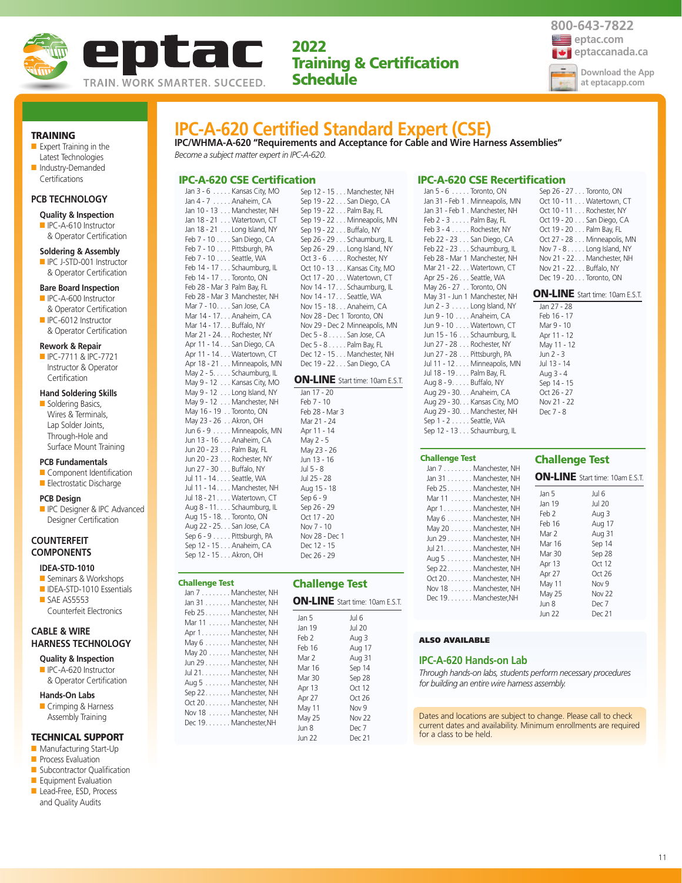



#### TRAINING

■ Expert Training in the Latest Technologies ■ Industry-Demanded

## **PCB TECHNOLOGY**

**Certifications** 

## **Quality & Inspection**

■ IPC-A-610 Instructor & Operator Certification

### **Soldering & Assembly**

■ IPC J-STD-001 Instructor & Operator Certification

#### **Bare Board Inspection**

- IPC-A-600 Instructor & Operator Certification
- IPC-6012 Instructor & Operator Certification

#### **Rework & Repair**

■ IPC-7711 & IPC-7721 Instructor & Operator **Certification** 

## **Hand Soldering Skills**

■ Soldering Basics, Wires & Terminals, Lap Solder Joints, Through-Hole and Surface Mount Training

#### **PCB Fundamentals**

- Component Identification ■ Electrostatic Discharge
- 

## **PCB Design**

**ID** IPC Designer & IPC Advanced Designer Certification

## **COUNTERFEIT COMPONENTS**

## **IDEA-STD-1010**

- Seminars & Workshops ■ IDEA-STD-1010 Essentials
- SAE AS5553 Counterfeit Electronics

## **CABLE & WIRE HARNESS TECHNOLOGY**

- **Quality & Inspection** ■ IPC-A-620 Instructor
- & Operator Certification

### **Hands-On Labs**

■ Crimping & Harness Assembly Training

## TECHNICAL SUPPORT

- Manufacturing Start-Up
- **Process Evaluation**
- Subcontractor Qualification ■ Equipment Evaluation
- Lead-Free, ESD, Process
- and Quality Audits

| <b>IPC-A-620 Certified Standard Expert (CSE)</b> |  |  |
|--------------------------------------------------|--|--|
|                                                  |  |  |

**IPC/WHMA-A-620 "Requirements and Acceptance for Cable and Wire Harness Assemblies"** *Become a subject matter expert in IPC-A-620.*

> Sep 19 - 22 . . . San Diego, CA Sep 19 - 22 . . . Palm Bay, FL

#### IPC-A-620 CSE Certification Sep 12 - 15 . . . Manchester, NH

Jan 3 - 6 . . . . . Kansas City, MO Jan 4 - 7 . . . . . Anaheim, CA Jan 10 - 13 . . . Manchester, NH Jan 18 - 21 . . . Watertown, CT Jan 18 - 21 . . . Long Island, NY Feb 7 - 10 . . . . San Diego, CA Feb 7 - 10 . . . . Pittsburgh, PA Feb 7 - 10 . . . . Seattle, WA Feb 14 - 17 . . . Schaumburg, IL Feb 14 - 17 . . . Toronto, ON Feb 28 - Mar 3 Palm Bay, FL Feb 28 - Mar 3 Manchester, NH Mar 7 - 10. . . . San Jose, CA Mar 14 - 17. . . Anaheim, CA Mar 14 - 17. . . Buffalo, NY Mar 21 - 24. . . Rochester, NY Apr 11 - 14 . . . San Diego, CA Apr 11 - 14 . . . Watertown, CT Apr 18 - 21 . . . Minneapolis, MN May 2 - 5. . . . . Schaumburg, IL May 9 - 12 . . . Kansas City, MO May 9 - 12 . . . Long Island, NY May 9 - 12 . . . Manchester, NH May 16 - 19 . . Toronto, ON May 23 - 26 . . Akron, OH Jun 6 - 9 . . . . . Minneapolis, MN Jun 13 - 16 . . . Anaheim, CA Jun 20 - 23 . . . Palm Bay, FL Jun 20 - 23 . . . Rochester, NY Jun 27 - 30 . . . Buffalo, NY Jul 11 - 14 . . . . Seattle, WA Jul 11 - 14 . . . . Manchester, NH Jul 18 - 21 . . . . Watertown, CT Aug 8 - 11. . . . Schaumburg, IL Aug 15 - 18. . . Toronto, ON Aug 22 - 25. . . San Jose, CA Sep 6 - 9 . . . . . Pittsburgh Sep 12 - 15 . . . Anaheim Sep 12 - 15 . . . Akron, O

Challenge Test

Oct 20. . . . . . . Manchester, NH Nov 18 . . . . . . Manchester, NH Dec 19. . . . . . . Manchester, NH

| Sep 6 - 9 Pittsburgh, PA<br>Sep 12 - 15 Anaheim, CA<br>Sep 12 - 15 Akron, OH                                                                                                                                                  | NOV Z8 - Dec T<br>Dec 12 - 15<br>Dec 26 - 29                                                |                                                                                                                |
|-------------------------------------------------------------------------------------------------------------------------------------------------------------------------------------------------------------------------------|---------------------------------------------------------------------------------------------|----------------------------------------------------------------------------------------------------------------|
| hallenge Test<br>Jan 7 Manchester, NH<br>Jan 31 Manchester, NH                                                                                                                                                                | <b>Challenge Test</b><br><b>ON-LINE</b> Start time:                                         |                                                                                                                |
| Feb 25 Manchester, NH<br>Mar 11 Manchester, NH<br>Apr 1. Manchester, NH<br>May 6 Manchester, NH<br>May 20 Manchester, NH<br>Jun 29 Manchester, NH<br>Jul 21. Manchester, NH<br>Aug 5 Manchester, NH<br>Sep 22. Manchester, NH | Jan 5<br>Jan 19<br>Feb 2<br>Feb 16<br>Mar 2<br>Mar 16<br>Mar 30<br>Apr 13<br>. <del>.</del> | Jul 6<br><b>Jul 20</b><br>Aug 3<br>Aug 1<br>Aug 3<br>Sep 14<br>Sep 28<br>Oct 12<br>$\cap$ $\rightarrow$ $\cap$ |

| <u>JUNII LLIIII CIIII DUI, L</u>  |  |
|-----------------------------------|--|
| Sep 19 - 22 Minneapolis, MN       |  |
| Sep 19 - 22 Buffalo, NY           |  |
| Sep 26 - 29 Schaumburg, IL        |  |
| Sep 26 - 29 Long Island, NY       |  |
| Oct $3 - 6$ Rochester, NY         |  |
| Oct 10 - 13 Kansas City, MO       |  |
| Oct 17 - 20 Watertown, CT         |  |
| Nov 14 - 17 Schaumburg, IL        |  |
| Nov 14 - 17 Seattle, WA           |  |
| Nov 15 - 18. Anaheim, CA          |  |
| Nov 28 - Dec 1 Toronto, ON        |  |
| Nov 29 - Dec 2 Minneapolis, MN    |  |
| Dec $5 - 8$ San Jose, CA          |  |
| Dec $5 - 8 \ldots$ . Palm Bay, FL |  |
| Dec 12 - 15 Manchester, NH        |  |
| Dec 19 - 22 San Diego, CA         |  |
|                                   |  |

## ON-LINE Start time: 10am E.S.T.

lar

| Jan 17 - 20    |
|----------------|
| Feb 7 - 10     |
| Feb 28 - Mar 3 |
| Mar 21 - 24    |
| Apr 11 - 14    |
| May 2 - 5      |
| May 23 - 26    |
| Jun 13 - 16    |
| Jul 5 - 8      |
| Jul 25 - 28    |
| Aug 15 - 18    |
| Sep 6 - 9      |
| Sep 26 - 29    |
| Oct 17 - 20    |
| Nov 7 - 10     |
| Nov 28 - Dec 1 |
| Dec 12 - 15    |
|                |

|        | <b>ON-LINE</b> Start time: 10am E.S.T. |
|--------|----------------------------------------|
| Jan 5  | Jul 6                                  |
| Jan 19 | Jul 20                                 |
| Feb 2  | Aug 3                                  |
| Feb 16 | Aug 17                                 |
| Mar 2  | Aug 31                                 |
| Mar 16 | Sep 14                                 |
| Mar 30 | Sep 28                                 |
| Apr 13 | Oct 12                                 |
| Apr 27 | Oct 26                                 |
| May 11 | Nov <sub>9</sub>                       |
| May 25 | <b>Nov 22</b>                          |
| Jun 8  | Dec 7                                  |
| Jun 22 | Dec 21                                 |
|        |                                        |

| Jan 31 - Feb 1 . Minneapolis, MN |
|----------------------------------|
| Jan 31 - Feb 1. Manchester, NH   |
| Feb $2 - 3$ Palm Bay, FL         |
| Feb 3 - 4 Rochester, NY          |
| Feb 22 - 23 San Diego, CA        |
| Feb 22 - 23 Schaumburg, IL       |
| Feb 28 - Mar 1 Manchester, NH    |
| Mar 21 - 22. Watertown, CT       |
| Apr 25 - 26 Seattle, WA          |
| May 26 - 27 Toronto, ON          |
| May 31 - Jun 1 Manchester, NH    |
| Jun 2 - 3 Long Island, NY        |
| Jun 9 - 10 Anaheim, CA           |
| Jun 9 - 10 Watertown, CT         |
| Jun 15 - 16 Schaumburg, IL       |
| Jun 27 - 28 Rochester, NY        |
| Jun 27 - 28 Pittsburgh, PA       |
| Jul 11 - 12 Minneapolis, MN      |
| Jul 18 - 19 Palm Bay, FL         |
| Aug 8 - 9. Buffalo, NY           |
| Aug 29 - 30. Anaheim, CA         |
| Aug 29 - 30. Kansas City, MO     |
| Aug 29 - 30. Manchester, NH      |
| Sep 1 - 2 Seattle, WA            |
| Sep 12 - 13 Schaumburg, IL       |
|                                  |

IPC-A-620 CSE Recertification

Jan 5 - 6 . . . . . Toronto, ON

#### Challenge Test

| Jan 7 Manchester, NH<br>Jan 31 Manchester, NH                                                                                                                                                                                                                                                            |                                                                                                                                   | <b>ON-LINE</b> Start time: 10am E.S.T.                                                                                                       |
|----------------------------------------------------------------------------------------------------------------------------------------------------------------------------------------------------------------------------------------------------------------------------------------------------------|-----------------------------------------------------------------------------------------------------------------------------------|----------------------------------------------------------------------------------------------------------------------------------------------|
| Feb 25. Manchester, NH<br>Mar 11 Manchester, NH<br>Apr 1. Manchester, NH<br>May 6 Manchester, NH<br>May 20 Manchester, NH<br>Jun 29 Manchester, NH<br>Jul 21. Manchester, NH<br>Aug 5 Manchester, NH<br>Sep 22 Manchester, NH<br>Oct 20Manchester, NH<br>Nov 18 Manchester, NH<br>Dec 19. Manchester, NH | Jan 5<br>Jan 19<br>Feb 2<br>Feb 16<br>Mar 2<br>Mar 16<br>Mar 30<br>Apr 13<br>Apr 27<br>May 11<br>May 25<br>Jun 8<br><b>Jun 22</b> | Jul 6<br><b>Jul 20</b><br>Aug 3<br>Aug 17<br>Aug 31<br>Sep 14<br>Sep 28<br>Oct 12<br>Oct 26<br>Nov <sub>9</sub><br>Nov 22<br>Dec 7<br>Dec 21 |

## ALSO AVAILABLE

#### **IPC-A-620 Hands-on Lab**

*Through hands-on labs, students perform necessary procedures for building an entire wire harness assembly.*

Dates and locations are subject to change. Please call to check current dates and availability. Minimum enrollments are required for a class to be held.

| Jul 13 - 14 |
|-------------|
| Aug 3 - 4   |
| Sep 14 - 15 |
| Oct 26 - 27 |
| Nov 21 - 22 |
| Dec 7 - 8   |
|             |
|             |
|             |
|             |

Jan 27 - 28 Feb 16 - 17 Mar 9 - 10 Apr 11 - 12 May 11 - 12  $\lim_{x \to 2} 2 - 3$ 

Sep 26 - 27 . . . Toronto, ON Oct 10 - 11 . . . Watertown, CT Oct 10 - 11 . . . Rochester, NY Oct 19 - 20 . . . San Diego, CA Oct 19 - 20 . . . Palm Bay, FL Oct 27 - 28 . . . Minneapolis, MN Nov 7 - 8 . . . . . Long Island, NY Nov 21 - 22. . . Manchester, NH Nov 21 - 22. . . Buffalo, NY Dec 19 - 20 . . . Toronto, ON ON-LINE Start time: 10am E.S.T.

## Challenge Test

| <b>SIVELIVE</b> STATE THE TOGHT E.S.T. |              |  |
|----------------------------------------|--------------|--|
| Jan 5                                  | Jul 6        |  |
| Jan 19                                 | Jul 20       |  |
| Feb 2                                  | Aug 3        |  |
| $F_{ab}$ 10                            | $\Lambda$ 17 |  |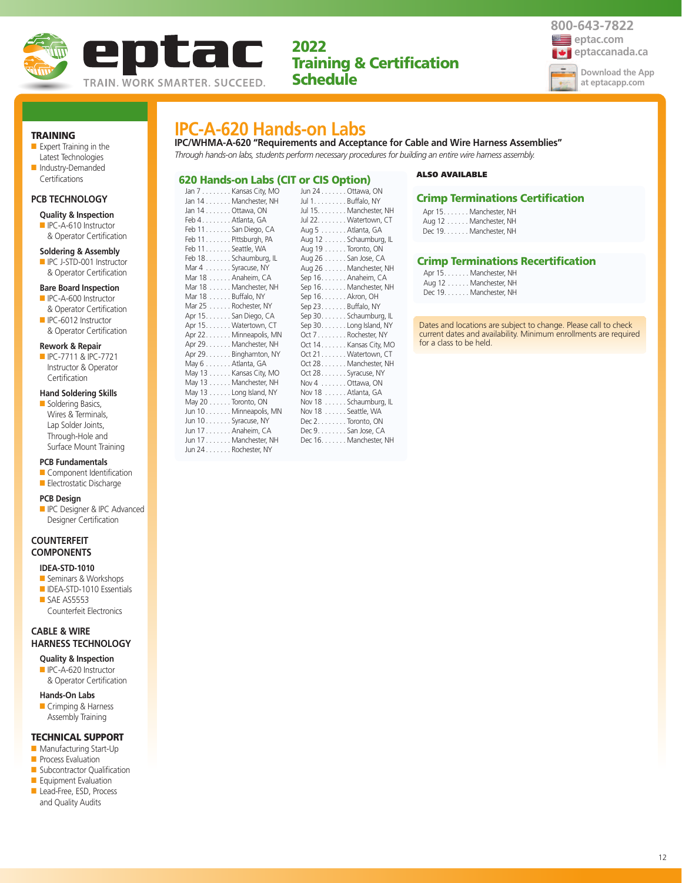



12

## TRAINING

■ Expert Training in the Latest Technologies ■ Industry-Demanded

## **PCB TECHNOLOGY**

Certifications

## **Quality & Inspection**

■ IPC-A-610 Instructor & Operator Certification

#### **Soldering & Assembly**

■ IPC J-STD-001 Instructor & Operator Certification

#### **Bare Board Inspection**

- IPC-A-600 Instructor & Operator Certification
- IPC-6012 Instructor & Operator Certification

#### **Rework & Repair**

■ IPC-7711 & IPC-7721 Instructor & Operator **Certification** 

## **Hand Soldering Skills**

■ Soldering Basics, Wires & Terminals, Lap Solder Joints, Through-Hole and Surface Mount Training

#### **PCB Fundamentals**

■ Component Identification ■ Electrostatic Discharge

## **PCB Design**

**ID** IPC Designer & IPC Advanced Designer Certification

## **COUNTERFEIT COMPONENTS**

## **IDEA-STD-1010**

- Seminars & Workshops
- IDEA-STD-1010 Essentials ■ SAE AS5553 Counterfeit Electronics

## **CABLE & WIRE HARNESS TECHNOLOGY**

**Quality & Inspection** ■ IPC-A-620 Instructor

& Operator Certification

### **Hands-On Labs**

■ Crimping & Harness Assembly Training

## TECHNICAL SUPPORT

- Manufacturing Start-Up
- **Process Evaluation**
- Subcontractor Qualification ■ Equipment Evaluation
- Lead-Free, ESD, Process
- and Quality Audits

## **IPC-A-620 Hands-on Labs**

**IPC/WHMA-A-620 "Requirements and Acceptance for Cable and Wire Harness Assemblies"** *Through hands-on labs, students perform necessary procedures for building an entire wire harness assembly.*

#### 620 Hands-on Labs (CIT or CIS Option) Ottawa, ON

| Jan 7 Kansas City, MO   | Jun 24. Ottawa, ON   |                         |
|-------------------------|----------------------|-------------------------|
| Jan 14 Manchester, NH   | Jul 1. Buffalo, NY   |                         |
| Jan 14 Ottawa, ON       |                      | Jul 15. Manchester, NH  |
| Feb 4. Atlanta, GA      |                      | Jul 22. Watertown, CT   |
| Feb 11. San Diego, CA   | Aug 5 Atlanta, GA    |                         |
| Feb 11 Pittsburgh, PA   |                      | Aug 12 Schaumburg, IL   |
| Feb 11. Seattle, WA     | Aug 19 Toronto, ON   |                         |
| Feb 18. Schaumburg, IL  | Aug 26 San Jose, CA  |                         |
| Mar 4 Syracuse, NY      |                      | Aug 26 Manchester, NH   |
| Mar 18 Anaheim, CA      | Sep 16. Anaheim, CA  |                         |
| Mar 18 Manchester, NH   |                      | Sep 16. Manchester, NH  |
| Mar 18 Buffalo, NY      | Sep 16. Akron, OH    |                         |
| Mar 25 Rochester, NY    | Sep 23. Buffalo, NY  |                         |
| Apr 15. San Diego, CA   |                      | Sep 30. Schaumburg, IL  |
| Apr 15. Watertown, CT   |                      | Sep 30. Long Island, NY |
| Apr 22. Minneapolis, MN |                      | Oct 7Rochester, NY      |
| Apr 29. Manchester, NH  |                      | Oct 14. Kansas City, MO |
| Apr 29. Binghamton, NY  |                      | Oct 21. Watertown, CT   |
| May 6 Atlanta, GA       |                      | Oct 28. Manchester, NH  |
| May 13 Kansas City, MO  | Oct 28. Syracuse, NY |                         |
| May 13 Manchester, NH   | Nov 4 Ottawa, ON     |                         |
| May 13 Long Island, NY  | Nov 18 Atlanta, GA   |                         |
| May 20 Toronto, ON      |                      | Nov 18 Schaumburg, IL   |
| Jun 10 Minneapolis, MN  | Nov 18 Seattle, WA   |                         |
| Jun 10 Syracuse, NY     | Dec 2. Toronto, ON   |                         |
| Jun 17 Anaheim, CA      | Dec 9. San Jose, CA  |                         |
| Jun 17 Manchester, NH   |                      | Dec 16. Manchester, NH  |
| Jun 24 Rochester, NY    |                      |                         |
|                         |                      |                         |

#### ALSO AVAILABLE

## Crimp Terminations Certification

Apr 15. . . . . . . Manchester, NH Aug 12 . . . . . . Manchester, NH Dec 19. . . . . . . Manchester, NH

## Crimp Terminations Recertification

Apr 15. . . . . . . Manchester, NH Aug 12 . . . . . . Manchester, NH Dec 19. . . . . . . Manchester, NH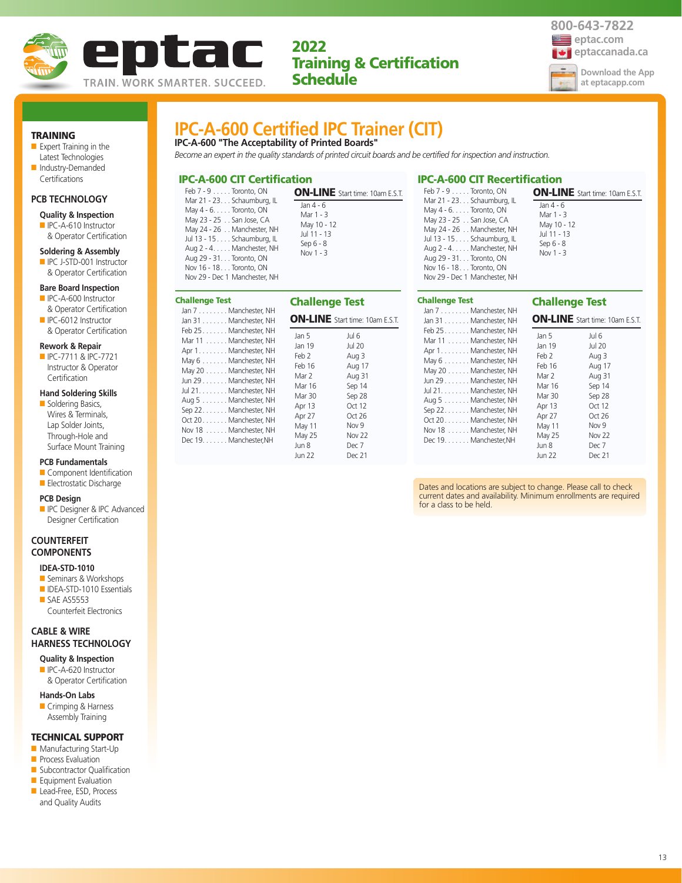



## TRAINING

■ Expert Training in the Latest Technologies ■ Industry-Demanded

## Certifications

## **PCB TECHNOLOGY**

- **Quality & Inspection**
- IPC-A-610 Instructor & Operator Certification

#### **Soldering & Assembly**

■ IPC J-STD-001 Instructor & Operator Certification

#### **Bare Board Inspection**

- IPC-A-600 Instructor & Operator Certification
- IPC-6012 Instructor & Operator Certification

#### **Rework & Repair**

■ IPC-7711 & IPC-7721 Instructor & Operator **Certification** 

#### **Hand Soldering Skills**

■ Soldering Basics, Wires & Terminals, Lap Solder Joints, Through-Hole and Surface Mount Training

### **PCB Fundamentals**

■ Component Identification

## ■ Electrostatic Discharge

#### **PCB Design**

**ID** IPC Designer & IPC Advanced Designer Certification

## **COUNTERFEIT COMPONENTS**

## **IDEA-STD-1010**

- Seminars & Workshops
- IDEA-STD-1010 Essentials ■ SAE AS5553 Counterfeit Electronics

## **CABLE & WIRE HARNESS TECHNOLOGY**

## **Quality & Inspection** ■ IPC-A-620 Instructor

& Operator Certification

#### **Hands-On Labs**

■ Crimping & Harness Assembly Training

## TECHNICAL SUPPORT

- Manufacturing Start-Up
- **Process Evaluation**
- Subcontractor Qualification ■ Equipment Evaluation
- Lead-Free, ESD, Process
- and Quality Audits

## **IPC-A-600 Certified IPC Trainer (CIT) IPC-A-600 "The Acceptability of Printed Boards"**

*Become an expert in the quality standards of printed circuit boards and be certified for inspection and instruction.*

## IPC-A-600 CIT Certification

Challenge Test

| Feb 7 - 9 Toronto, ON                                                                                                                                                                                                                                               | <b>ON-LINE</b> Start time: 10am E.S.T.                                           |
|---------------------------------------------------------------------------------------------------------------------------------------------------------------------------------------------------------------------------------------------------------------------|----------------------------------------------------------------------------------|
| Mar 21 - 23. Schaumburg, IL<br>May 4 - 6. Toronto, ON<br>May 23 - 25 San Jose, CA<br>May 24 - 26 Manchester, NH<br>Jul 13 - 15 Schaumburg, IL<br>Aug 2 - 4. Manchester, NH<br>Aug 29 - 31. Toronto, ON<br>Nov 16 - 18. Toronto, ON<br>Nov 29 - Dec 1 Manchester, NH | Jan 4 - 6<br>Mar 1 - 3<br>May 10 - 12<br>Jul 11 - 13<br>Sep $6 - 8$<br>Nov 1 - 3 |

| hallenge Test:                                                                                                                                                                                                                                       |                                                                                                    |                                                                                                                             |
|------------------------------------------------------------------------------------------------------------------------------------------------------------------------------------------------------------------------------------------------------|----------------------------------------------------------------------------------------------------|-----------------------------------------------------------------------------------------------------------------------------|
| Jan 7 Manchester, NH<br>Jan 31 Manchester, NH<br>Feb 25 Manchester, NH<br>Mar 11 Manchester, NH<br>Apr 1. Manchester, NH<br>May 6 Manchester, NH<br>May 20 Manchester, NH<br>Jun 29 Manchester, NH<br>Jul 21. Manchester, NH<br>Aug 5 Manchester, NH | <b>Challenge Test</b><br>Jan 5<br>Jan 19<br>Feb 2<br>Feb 16<br>Mar 2<br>Mar 16<br>Mar 30<br>Apr 13 | <b>ON-LINE</b> Start time: 10am E.S.T.<br>Jul 6<br><b>Jul 20</b><br>Aug 3<br>Aug 17<br>Aug 31<br>Sep 14<br>Sep 28<br>Oct 12 |
| Sep 22 Manchester, NH<br>Oct 20. Manchester, NH<br>Nov 18 Manchester, NH<br>Dec 19. Manchester, NH                                                                                                                                                   | Apr 27<br>May 11<br>May 25<br>Jun 8<br><b>Jun 22</b>                                               | Oct 26<br>Nov 9<br>Nov 22<br>Dec 7<br>Dec 21                                                                                |

| May 24 - 26 Manchester, NH<br>Jul 13 - 15 Schaumburg, IL<br>Aug 2 - 4. Manchester, NH<br>Aug 29 - 31. Toronto, ON<br>Nov 16 - 18. Toronto, ON<br>Nov 29 - Dec 1 Manchester, NH | IVIdy TU - T<br>Jul 11 - 13<br>Sep 6 - 8<br>Nov 1 - 3 |
|--------------------------------------------------------------------------------------------------------------------------------------------------------------------------------|-------------------------------------------------------|
| Challenge Test                                                                                                                                                                 | <b>Challen</b>                                        |
| Jan 7 Manchester, NH                                                                                                                                                           |                                                       |
| Jan 31 Manchester, NH                                                                                                                                                          | <b>ON-LINE</b>                                        |
| Feb 25 Manchester, NH                                                                                                                                                          | Jan 5                                                 |
| Mar 11 Manchester, NH<br>Apr 1. Manchester, NH                                                                                                                                 | Jan 19                                                |
|                                                                                                                                                                                | $F - L$                                               |

IPC-A-600 CIT Recertification

Feb 7 - 9 . . . . . Toronto, ON Mar 21 - 23. . . Schaumburg, IL May 4 - 6. . . . . Toronto, ON May 23 - 25 . . San Jose, CA

## llenge Test

Jan 4 - 6 Mar 1 - 3 May 10 - 12

 $\blacksquare$ INE Start time: 10am E.S.T.

ON-LINE Start time: 10am E.S.T.

| Feb 25. Manchester, NH<br>Mar 11 Manchester, NH<br>Apr 1. Manchester, NH<br>May 6 Manchester, NH<br>May 20 Manchester, NH<br>Jun 29 Manchester, NH<br>Jul 21. Manchester, NH<br>Aug 5 Manchester, NH<br>Sep 22. Manchester, NH<br>Oct 20. Manchester, NH<br>Nov 18 Manchester, NH<br>Dec 19. Manchester, NH | Jan 5<br>Jan 19<br>Feb 2<br>Feb 16<br>Mar 2<br>Mar 16<br>Mar 30<br>Apr 13<br>Apr 27<br>May 11<br>May 25<br>Jun 8<br>Jun 22 | Jul 6<br>Jul 20<br>Aug 3<br>Aug 17<br>Aug 31<br>Sep 14<br>Sep 28<br>Oct 12<br>Oct26<br>Nov <sub>9</sub><br><b>Nov 22</b><br>Dec 7<br>Dec 21 |
|-------------------------------------------------------------------------------------------------------------------------------------------------------------------------------------------------------------------------------------------------------------------------------------------------------------|----------------------------------------------------------------------------------------------------------------------------|---------------------------------------------------------------------------------------------------------------------------------------------|
|-------------------------------------------------------------------------------------------------------------------------------------------------------------------------------------------------------------------------------------------------------------------------------------------------------------|----------------------------------------------------------------------------------------------------------------------------|---------------------------------------------------------------------------------------------------------------------------------------------|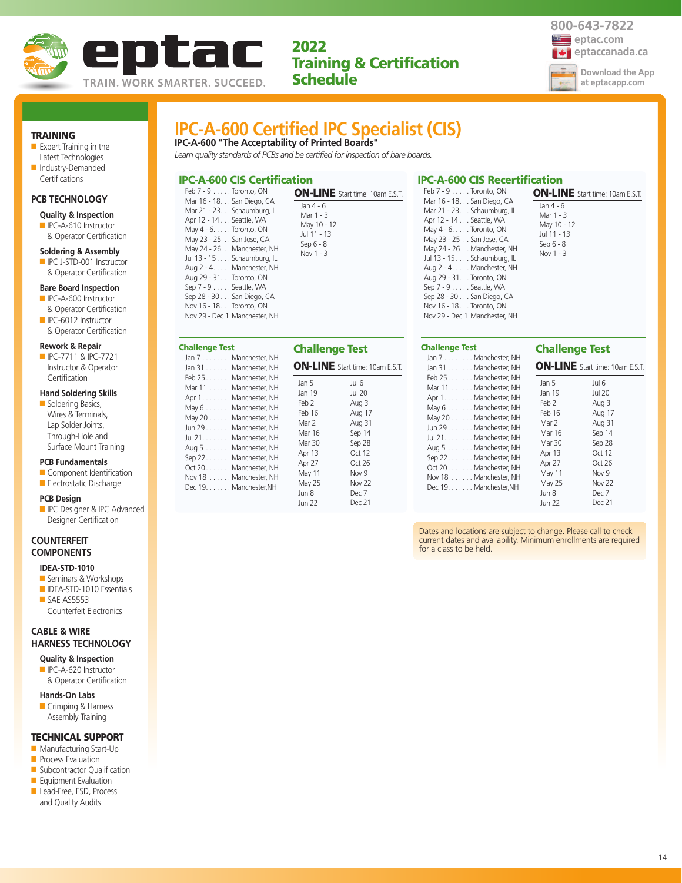



**Download the App at eptacapp.com**

## TRAINING

- Expert Training in the Latest Technologies ■ Industry-Demanded
- Certifications

## **PCB TECHNOLOGY**

#### **Quality & Inspection**

■ IPC-A-610 Instructor & Operator Certification

#### **Soldering & Assembly**

■ IPC J-STD-001 Instructor & Operator Certification

#### **Bare Board Inspection**

- IPC-A-600 Instructor & Operator Certification
- IPC-6012 Instructor & Operator Certification

#### **Rework & Repair**

■ IPC-7711 & IPC-7721 Instructor & Operator **Certification** 

### **Hand Soldering Skills**

■ Soldering Basics, Wires & Terminals, Lap Solder Joints, Through-Hole and Surface Mount Training

### **PCB Fundamentals**

■ Component Identification ■ Electrostatic Discharge

## **PCB Design**

**ID** IPC Designer & IPC Advanced Designer Certification

## **COUNTERFEIT COMPONENTS**

## **IDEA-STD-1010**

- Seminars & Workshops
- IDEA-STD-1010 Essentials ■ SAE AS5553 Counterfeit Electronics

## **CABLE & WIRE HARNESS TECHNOLOGY**

**Quality & Inspection** ■ IPC-A-620 Instructor

& Operator Certification

#### **Hands-On Labs**

■ Crimping & Harness Assembly Training

### TECHNICAL SUPPORT

- Manufacturing Start-Up
- **Process Evaluation**
- Subcontractor Qualification ■ Equipment Evaluation
- Lead-Free, ESD, Process
- and Quality Audits

# **IPC-A-600 Certified IPC Specialist (CIS)**

**IPC-A-600 "The Acceptability of Printed Boards"** *Learn quality standards of PCBs and be certified for inspection of bare boards.*

## IPC-A-600 CIS Certification

| Feb 7 - 9 Toronto, ON                                                                                                                                                                                                                                                                                                                                                             | <b>ON-LINE</b> Start time: 10am E.S.T.                                               |
|-----------------------------------------------------------------------------------------------------------------------------------------------------------------------------------------------------------------------------------------------------------------------------------------------------------------------------------------------------------------------------------|--------------------------------------------------------------------------------------|
| Mar 16 - 18. San Diego, CA<br>Mar 21 - 23. Schaumburg, IL<br>Apr 12 - 14 Seattle, WA<br>May 4 - 6. Toronto, ON<br>May 23 - 25 San Jose, CA<br>May 24 - 26 Manchester, NH<br>Jul 13 - 15 Schaumburg, IL<br>Aug 2 - 4. Manchester, NH<br>Aug 29 - 31. Toronto, ON<br>Sep 7 - 9 Seattle, WA<br>Sep 28 - 30 San Diego, CA<br>Nov 16 - 18 Toronto, ON<br>Nov 29 - Dec 1 Manchester, NH | Jan $4 - 6$<br>Mar 1 - 3<br>May 10 - 12<br>Jul 11 - 13<br>Sep $6 - 8$<br>Nov $1 - 3$ |

| Challenge Test<br>Jan 7 Manchester, NH                                                                                                                                                                                                                                                                                             | <b>Challenge Test</b>                                                                                            |                                                                                                                                                                   |
|------------------------------------------------------------------------------------------------------------------------------------------------------------------------------------------------------------------------------------------------------------------------------------------------------------------------------------|------------------------------------------------------------------------------------------------------------------|-------------------------------------------------------------------------------------------------------------------------------------------------------------------|
| Jan 31 Manchester, NH<br>Feb 25Manchester, NH<br>Mar 11 Manchester, NH<br>Apr 1. Manchester, NH<br>May 6 Manchester, NH<br>May 20 Manchester, NH<br>Jun 29 Manchester, NH<br>Jul 21. Manchester, NH<br>Aug 5 Manchester, NH<br>Sep 22. Manchester, NH<br>Oct 20. Manchester, NH<br>Nov 18 Manchester, NH<br>Dec 19. Manchester, NH | Jan 5<br>Jan 19<br>Feb 2<br>Feb 16<br>Mar 2<br>Mar 16<br>Mar 30<br>Apr 13<br>Apr 27<br>May 11<br>May 25<br>Jun 8 | <b>ON-LINE</b> Start time: 10am E.S.T.<br>Jul 6<br><b>Jul 20</b><br>Aug 3<br>Aug 17<br>Aug 31<br>Sep 14<br>Sep 28<br>Oct 12<br>Oct 26<br>Nov 9<br>Nov 22<br>Dec 7 |
|                                                                                                                                                                                                                                                                                                                                    | Jun 22                                                                                                           | Dec 21                                                                                                                                                            |

#### IPC-A-600 CIS Recertification Feb 7 - 9 . . . . . Toronto, ON Mar 16 - 18. . . San Diego, CA Mar 21 - 23. . . Schaumburg, IL Apr 12 - 14 . . . Seattle, WA May 4 - 6. . . . . Toronto, ON May 23 - 25 . . San Jose, CA May 24 - 26 . . Manchester, NH Jul 13 - 15 . . . . Schaumburg, IL Aug 2 - 4. . . . . Manchester, NH Aug 29 - 31. . . Toronto, ON Sep 7 - 9 . . . . . Seattle, WA Sep 28 - 30 . . . San Diego, CA ON-LINE Start time: 10am E.S.T.

Nov 16 - 18. . . Toronto, ON Nov 29 - Dec 1 Manchester, NH

#### Challenge Test Jan 7 . . . . . . . . Manchester, NH Jan 31 . . . . . . . Manchester, NH Challenge Test ON-LINE Start time: 10am E.S.T.

 $Ian 4 - 6$ Mar 1 - 3 May 10 - 12 Jul 11 - 13 Sep 6 - 8 Nov 1 - 3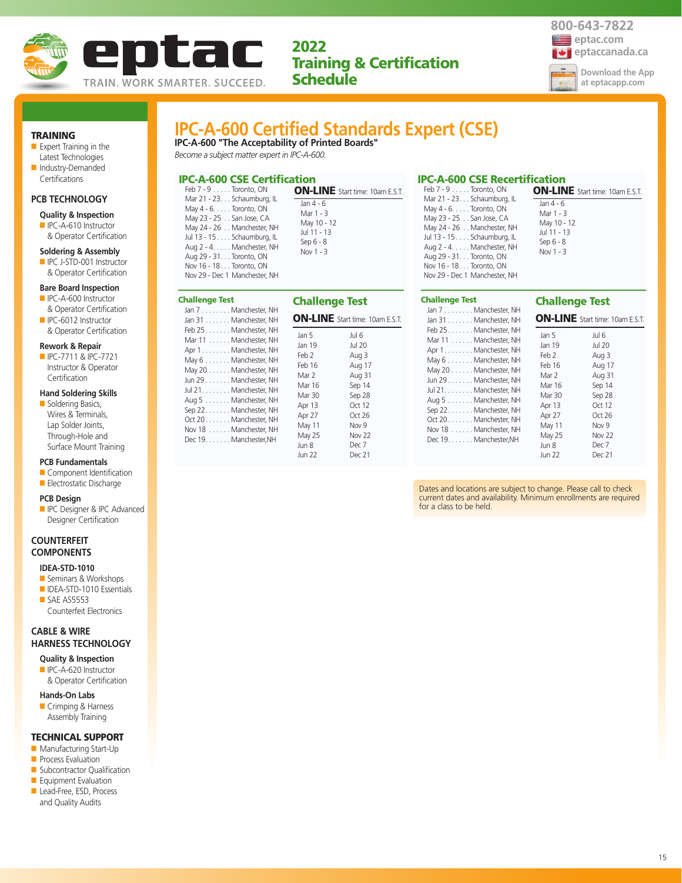



ON-LINE Start time: 10am E.S.T.

Challenge Test

Jan 4 - 6 Mar 1 - 3 May 10 - 12 Jul 11 - 13 Sep 6 - 8 Nov 1 - 3

TRAINING

- Expert Training in the Latest Technologies ■ Industry-Demanded
- Certifications

## **PCB TECHNOLOGY**

#### **Quality & Inspection**

■ IPC-A-610 Instructor & Operator Certification

#### **Soldering & Assembly**

■ IPC J-STD-001 Instructor & Operator Certification

### **Bare Board Inspection**

- IPC-A-600 Instructor & Operator Certification
- IPC-6012 Instructor & Operator Certification

#### **Rework & Repair**

■ IPC-7711 & IPC-7721 Instructor & Operator **Certification** 

## **Hand Soldering Skills**

■ Soldering Basics, Wires & Terminals, Lap Solder Joints, Through-Hole and Surface Mount Training

### **PCB Fundamentals**

■ Component Identification ■ Electrostatic Discharge

## **PCB Design**

**ID** IPC Designer & IPC Advanced Designer Certification

## **COUNTERFEIT COMPONENTS**

## **IDEA-STD-1010**

- Seminars & Workshops
- IDEA-STD-1010 Essentials ■ SAE AS5553 Counterfeit Electronics

## **CABLE & WIRE HARNESS TECHNOLOGY**

## **Quality & Inspection** ■ IPC-A-620 Instructor

& Operator Certification

#### **Hands-On Labs**

■ Crimping & Harness Assembly Training

### TECHNICAL SUPPORT

- Manufacturing Start-Up
- **Process Evaluation**
- Subcontractor Qualification
- Equipment Evaluation ■ Lead-Free, ESD, Process
- and Quality Audits

# **IPC-A-600 Certified Standards Expert (CSE)**

**IPC-A-600 "The Acceptability of Printed Boards"** *Become a subject matter expert in IPC-A-600.*

## IPC-A-600 CSE Certification

**Challenge Te**  $Jan 7......$ Jan  $31...$ ...  $Feb 25...$ Mar 11 . . . . Apr 1. . . . . . .

| <b>PC-A-600 CSE Certification</b>                                                                                                                                                                                                                                                           |                                                                                                                              | <b>IPC-A-600 CSE Recertification</b>                                                                                                                                                                                                                                                                    |                                                                                               |
|---------------------------------------------------------------------------------------------------------------------------------------------------------------------------------------------------------------------------------------------------------------------------------------------|------------------------------------------------------------------------------------------------------------------------------|---------------------------------------------------------------------------------------------------------------------------------------------------------------------------------------------------------------------------------------------------------------------------------------------------------|-----------------------------------------------------------------------------------------------|
| Feb 7 - 9 Toronto, ON<br>Mar 21 - 23. Schaumburg, IL<br>May 4 - 6. Toronto, ON<br>May 23 - 25 San Jose, CA<br>May 24 - 26 Manchester, NH<br>Jul 13 - 15 Schaumburg, IL<br>Aug 2 - 4. Manchester, NH<br>Aug 29 - 31. Toronto, ON<br>Nov 16 - 18 Toronto, ON<br>Nov 29 - Dec 1 Manchester, NH | <b>ON-LINE</b> Start time: 10am E.S.T.<br>Jan 4 - 6<br>Mar 1 - 3<br>May 10 - 12<br>Jul 11 - 13<br>Sep $6 - 8$<br>Nov $1 - 3$ | Feb $7 - 9$ Toronto, ON<br>Mar 21 - 23. Schaumburg, IL<br>May $4 - 6. \ldots$ Toronto, ON<br>May 23 - 25 San Jose, CA<br>May 24 - 26 Manchester, NH<br>Jul 13 - 15 Schaumburg, IL<br>Aug 2 - 4. Manchester, NH<br>Aug 29 - 31. Toronto, ON<br>Nov 16 - 18. Toronto, ON<br>Nov 29 - Dec 1 Manchester, NH | <b>ON-LIN</b><br>Jan 4 - 6<br>Mar 1 - 3<br>May 10 -<br>Jul 11 - 1<br>Sep 6 - 8<br>Nov $1 - 3$ |

| hallenge Test                                                                                                                                                                                                                                                                                               | <b>Challenge Test</b>                                                                                                             |                                                                                                                                                     |
|-------------------------------------------------------------------------------------------------------------------------------------------------------------------------------------------------------------------------------------------------------------------------------------------------------------|-----------------------------------------------------------------------------------------------------------------------------------|-----------------------------------------------------------------------------------------------------------------------------------------------------|
| Jan 7 Manchester, NH<br>Jan 31 Manchester, NH                                                                                                                                                                                                                                                               |                                                                                                                                   | <b>ON-LINE</b> Start time: 10am E.S.T.                                                                                                              |
| Feb 25. Manchester, NH<br>Mar 11 Manchester, NH<br>Apr 1. Manchester, NH<br>May 6 Manchester, NH<br>May 20 Manchester, NH<br>Jun 29 Manchester, NH<br>Jul 21. Manchester, NH<br>Aug 5 Manchester, NH<br>Sep 22. Manchester, NH<br>Oct 20. Manchester, NH<br>Nov 18 Manchester, NH<br>Dec 19. Manchester, NH | Jan 5<br>Jan 19<br>Feb 2<br>Feb 16<br>Mar 2<br>Mar 16<br>Mar 30<br>Apr 13<br>Apr 27<br>May 11<br>May 25<br>Jun 8<br><b>Jun 22</b> | Jul 6<br><b>Jul 20</b><br>Aug 3<br>Aug 17<br>Aug 31<br>Sep 14<br>Sep 28<br>Oct 12<br>Oct 26<br>Nov <sub>9</sub><br><b>Nov 22</b><br>Dec 7<br>Dec 21 |

#### May 24 - 26 . . Manchester, NH Jul 13 - 15 . . . . Schaumburg, IL Aug 2 - 4. . . . . Manchester, NH Aug 29 - 31. . . Toronto, ON Nov 16 - 18. . . Toronto, ON Nov 29 - Dec 1 Manchester, NH

## Challenge Test

|                                                                                                                                                                                                                                                                                                             | CHANGING ICSL                                                                                                                     |                                                                                                                                              |
|-------------------------------------------------------------------------------------------------------------------------------------------------------------------------------------------------------------------------------------------------------------------------------------------------------------|-----------------------------------------------------------------------------------------------------------------------------------|----------------------------------------------------------------------------------------------------------------------------------------------|
| Jan 7 Manchester, NH<br>Jan 31 Manchester, NH                                                                                                                                                                                                                                                               |                                                                                                                                   | <b>ON-LINE</b> Start time: 10am E.S.T.                                                                                                       |
| Feb 25. Manchester, NH<br>Mar 11 Manchester, NH<br>Apr 1. Manchester, NH<br>May 6 Manchester, NH<br>May 20 Manchester, NH<br>Jun 29 Manchester, NH<br>Jul 21. Manchester, NH<br>Aug 5 Manchester, NH<br>Sep 22. Manchester, NH<br>Oct 20. Manchester, NH<br>Nov 18 Manchester, NH<br>Dec 19. Manchester, NH | Jan 5<br>Jan 19<br>Feb 2<br>Feb 16<br>Mar 2<br>Mar 16<br>Mar 30<br>Apr 13<br>Apr 27<br>May 11<br>May 25<br>Jun 8<br><b>Jun 22</b> | Jul 6<br><b>Jul 20</b><br>Aug 3<br>Aug 17<br>Aug 31<br>Sep 14<br>Sep 28<br>Oct 12<br>Oct 26<br>Nov 9<br>Nov <sub>22</sub><br>Dec 7<br>Dec 21 |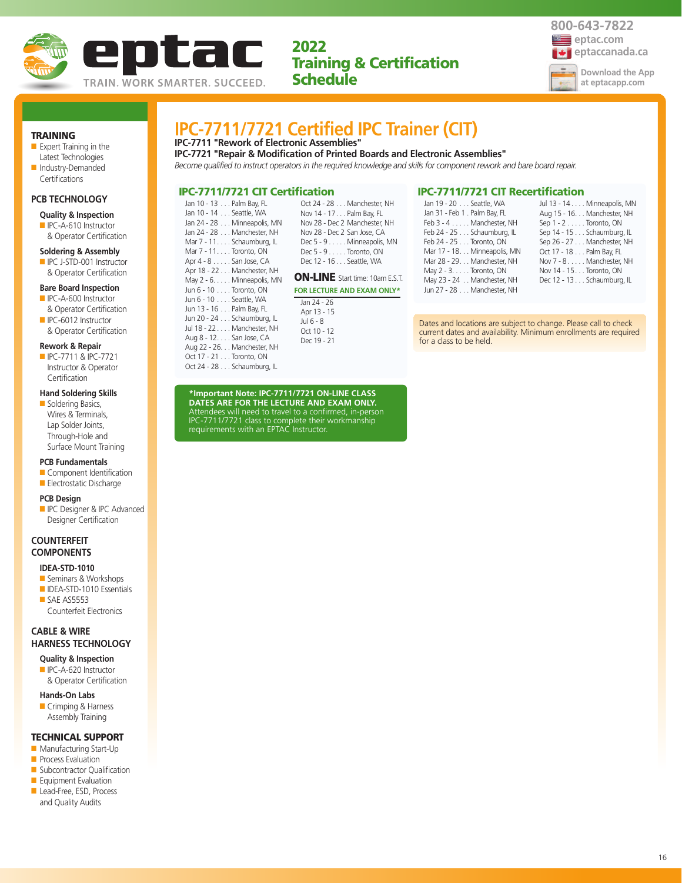



TRAINING

- Expert Training in the Latest Technologies
- Industry-Demanded Certifications

## **PCB TECHNOLOGY**

- **Quality & Inspection**
- IPC-A-610 Instructor & Operator Certification

#### **Soldering & Assembly**

■ IPC J-STD-001 Instructor & Operator Certification

#### **Bare Board Inspection**

- IPC-A-600 Instructor & Operator Certification
- IPC-6012 Instructor & Operator Certification

#### **Rework & Repair**

■ IPC-7711 & IPC-7721 Instructor & Operator **Certification** 

## **Hand Soldering Skills**

■ Soldering Basics, Wires & Terminals, Lap Solder Joints, Through-Hole and Surface Mount Training

#### **PCB Fundamentals**

- Component Identification
- Electrostatic Discharge

#### **PCB Design**

**ID** IPC Designer & IPC Advanced Designer Certification

## **COUNTERFEIT COMPONENTS**

## **IDEA-STD-1010**

- Seminars & Workshops ■ IDEA-STD-1010 Essentials
- SAE AS5553 Counterfeit Electronics

## **CABLE & WIRE HARNESS TECHNOLOGY**

**Quality & Inspection** ■ IPC-A-620 Instructor

& Operator Certification

## **Hands-On Labs**

■ Crimping & Harness Assembly Training

## TECHNICAL SUPPORT

- Manufacturing Start-Up
- **Process Evaluation**
- Subcontractor Qualification ■ Equipment Evaluation
- Lead-Free, ESD, Process
- and Quality Audits

## **IPC-7711/7721 Certified IPC Trainer (CIT)**

## **IPC-7711 "Rework of Electronic Assemblies"**

**IPC-7721 "Repair & Modification of Printed Boards and Electronic Assemblies"**

*Become qualified to instruct operators in the required knowledge and skills for component rework and bare board repair.*

## IPC-7711/7721 CIT Certification

| Jan 10 - 13 Palm Bay, FL    | Ω   |
|-----------------------------|-----|
| Jan 10 - 14 Seattle, WA     | Ν   |
| Jan 24 - 28 Minneapolis, MN | Ν   |
| Jan 24 - 28 Manchester, NH  | Ν   |
| Mar 7 - 11. Schaumburg, IL  | D   |
| Mar 7 - 11. Toronto, ON     | D   |
| Apr 4 - 8 San Jose, CA      | D   |
| Apr 18 - 22 Manchester, NH  |     |
| May 2 - 6. Minneapolis, MN  | Oľ  |
| Jun 6 - 10 Toronto, ON      | FOF |
| Jun 6 - 10 Seattle, WA      | Ja  |
| Jun 13 - 16 Palm Bay, FL    | А   |
| Jun 20 - 24 Schaumburg, IL  | Jι  |
| Jul 18 - 22 Manchester, NH  | ∩   |

Aug 8 - 12. . . . San Jose, CA Aug 22 - 26. . . Manchester, NH Oct 17 - 21 . . . Toronto, ON Oct 24 - 28 . . . Schaumburg, IL

| Oct 24 - 28 Manchester, NH       |
|----------------------------------|
| Nov 14 - 17 Palm Bay, FL         |
| Nov 28 - Dec 2 Manchester, NH    |
| Nov 28 - Dec 2 San Jose, CA      |
| Dec 5 - 9 Minneapolis, MN        |
| Dec $5 - 9 \ldots$ . Toronto, ON |
| Dec 12 - 16 Seattle, WA          |
|                                  |

## **N-LINE** Start time: 10am E.S.T.

#### **R LECTURE AND EXAM ONLY\***

 $an 24 - 26$ Apr 13 - 15 ..<br>ul 6 - 8 Oct 10 - 12 Dec 19 - 21

## IPC-7711/7721 CIT Recertification

| Jan 19 - 20 Seattle, WA       | Jul 13 - 14 Minneapolis, MN      |
|-------------------------------|----------------------------------|
| Jan 31 - Feb 1 . Palm Bay, FL | Aug 15 - 16. Manchester, NH      |
| Feb 3 - 4 Manchester, NH      | Sep $1 - 2 \ldots$ . Toronto, ON |
| Feb 24 - 25 Schaumburg, IL    | Sep 14 - 15 Schaumburg, IL       |
| Feb 24 - 25 Toronto, ON       | Sep 26 - 27 Manchester, NH       |
| Mar 17 - 18. Minneapolis, MN  | Oct 17 - 18 Palm Bay, FL         |
| Mar 28 - 29. Manchester, NH   | Nov 7 - 8 Manchester, NH         |
| May 2 - 3. Toronto, ON        | Nov 14 - 15 Toronto, ON          |
| May 23 - 24 Manchester, NH    | Dec 12 - 13 Schaumburg, IL       |
| Jun 27 - 28 Manchester, NH    |                                  |
|                               |                                  |

Dates and locations are subject to change. Please call to check current dates and availability. Minimum enrollments are required for a class to be held.

**\*Important Note: IPC-7711/7721 ON-LINE CLASS**

**DATES ARE FOR THE LECTURE AND EXAM ONLY.** Attendees will need to travel to a confirmed, in-person IPC-7711/7721 class to complete their workmanship requirements with an EPTAC Instructor.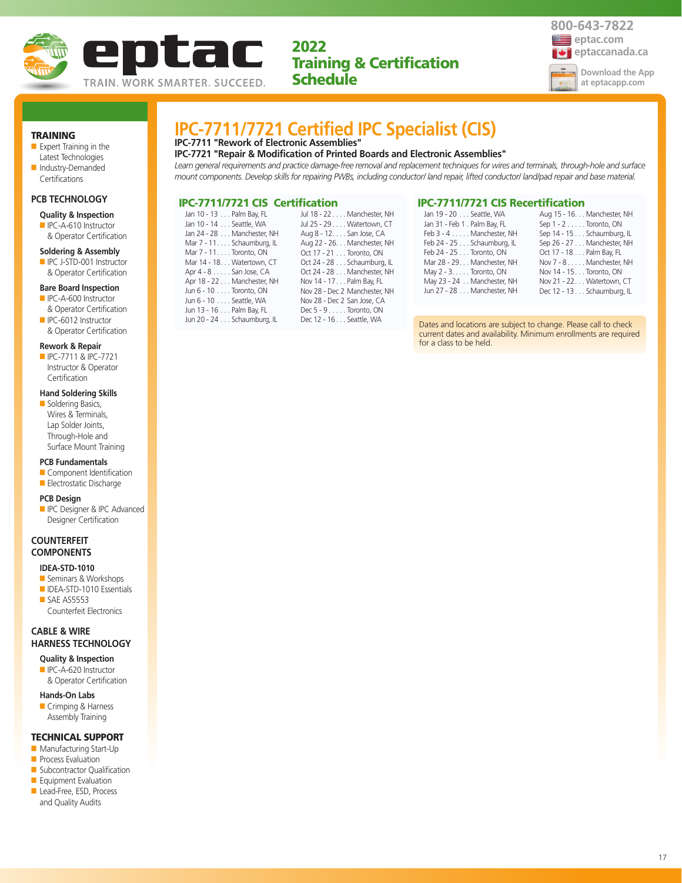



TRAINING

- Expert Training in the
- Latest Technologies ■ Industry-Demanded Certifications

#### **PCB TECHNOLOGY**

#### **Quality & Inspection**

■ IPC-A-610 Instructor & Operator Certification

#### **Soldering & Assembly**

■ IPC J-STD-001 Instructor & Operator Certification

#### **Bare Board Inspection**

- IPC-A-600 Instructor & Operator Certification
- IPC-6012 Instructor & Operator Certification

#### **Rework & Repair**

■ IPC-7711 & IPC-7721 Instructor & Operator **Certification** 

#### **Hand Soldering Skills**

■ Soldering Basics, Wires & Terminals, Lap Solder Joints, Through-Hole and Surface Mount Training

### **PCB Fundamentals**

- Component Identification
- Electrostatic Discharge

#### **PCB Design**

**ID** IPC Designer & IPC Advanced Designer Certification

## **COUNTERFEIT COMPONENTS**

#### **IDEA-STD-1010**

- Seminars & Workshops ■ IDEA-STD-1010 Essentials
- SAE AS5553 Counterfeit Electronics

## **CABLE & WIRE HARNESS TECHNOLOGY**

- **Quality & Inspection** ■ IPC-A-620 Instructor
- & Operator Certification
- **Hands-On Labs**
- Crimping & Harness Assembly Training

## TECHNICAL SUPPORT

- Manufacturing Start-Up
- **Process Evaluation**
- Subcontractor Qualification ■ Equipment Evaluation
- Lead-Free, ESD, Process
- and Quality Audits

# **IPC-7711/7721 Certified IPC Specialist (CIS)**

## **IPC-7711 "Rework of Electronic Assemblies"**

**IPC-7721 "Repair & Modification of Printed Boards and Electronic Assemblies"** *Learn general requirements and practice damage-free removal and replacement techniques for wires and terminals, through-hole and surface mount components. Develop skills for repairing PWBs, including conductor/ land repair, lifted conductor/ land/pad repair and base material.*

## IPC-7711/7721 CIS Certification

| Jan 10 - 13 Palm Bay, FL   | Jul 18 - 22 Manchester, NH       |
|----------------------------|----------------------------------|
| Jan 10 - 14 Seattle, WA    | Jul 25 - 29 Watertown, CT        |
| Jan 24 - 28 Manchester, NH | Aug 8 - 12. San Jose, CA         |
| Mar 7 - 11. Schaumburg, IL | Aug 22 - 26. Manchester, NH      |
| Mar 7 - 11. Toronto, ON    | Oct 17 - 21 Toronto, ON          |
| Mar 14 - 18. Watertown, CT | Oct 24 - 28 Schaumburg, IL       |
| Apr 4 - 8 San Jose, CA     | Oct 24 - 28 Manchester, NH       |
| Apr 18 - 22 Manchester, NH | Nov 14 - 17. Palm Bay, FL        |
| Jun 6 - 10 Toronto, ON     | Nov 28 - Dec 2 Manchester, NH    |
| Jun 6 - 10 Seattle, WA     | Nov 28 - Dec 2 San Jose, CA      |
| Jun 13 - 16 Palm Bay, FL   | Dec $5 - 9 \ldots$ . Toronto, ON |
| Jun 20 - 24 Schaumburg, IL | Dec 12 - 16 Seattle, WA          |

## IPC-7711/7721 CIS Recertification

| Aug 15 - 16. Manchester, NH    |
|--------------------------------|
| Sep $1 - 2 \ldots$ Toronto, ON |
| Sep 14 - 15 Schaumburg, IL     |
| Sep 26 - 27 Manchester, NH     |
| Oct 17 - 18 Palm Bay, FL       |
| Nov 7 - 8. Manchester, NH      |
| Nov 14 - 15 Toronto, ON        |
| Nov 21 - 22 Watertown, CT      |
| Dec 12 - 13 Schaumburg, IL     |
|                                |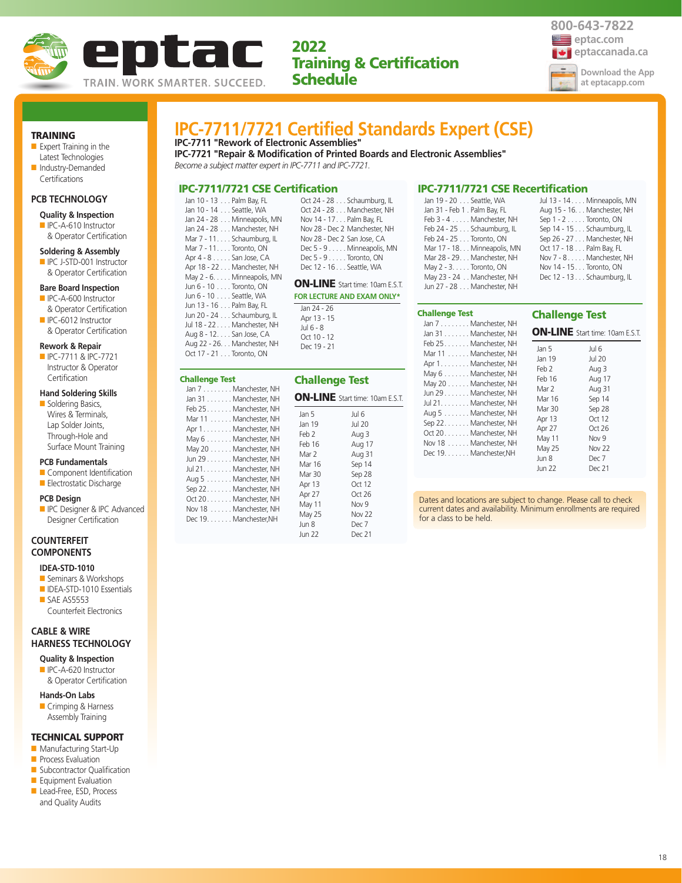



## TRAINING

- Expert Training in the Latest Technologies ■ Industry-Demanded
- Certifications

## **PCB TECHNOLOGY**

- **Quality & Inspection**
- IPC-A-610 Instructor & Operator Certification

#### **Soldering & Assembly**

■ IPC J-STD-001 Instructor & Operator Certification

#### **Bare Board Inspection**

- IPC-A-600 Instructor & Operator Certification
- IPC-6012 Instructor & Operator Certification

#### **Rework & Repair**

■ IPC-7711 & IPC-7721 Instructor & Operator

## **Certification**

**Hand Soldering Skills** ■ Soldering Basics, Wires & Terminals, Lap Solder Joints, Through-Hole and Surface Mount Training

#### **PCB Fundamentals**

- Component Identification ■ Electrostatic Discharge
- **PCB Design**
- 
- **ID** IPC Designer & IPC Advanced Designer Certification

## **COUNTERFEIT COMPONENTS**

## **IDEA-STD-1010**

- Seminars & Workshops
- IDEA-STD-1010 Essentials ■ SAE AS5553 Counterfeit Electronics

## **CABLE & WIRE HARNESS TECHNOLOGY**

**Quality & Inspection** ■ IPC-A-620 Instructor

& Operator Certification

## **Hands-On Labs**

■ Crimping & Harness Assembly Training

## TECHNICAL SUPPORT

- Manufacturing Start-Up
- **Process Evaluation**
- Subcontractor Qualification ■ Equipment Evaluation
- Lead-Free, ESD, Process
- and Quality Audits

# **IPC-7711/7721 Certified Standards Expert (CSE)**

**IPC-7711 "Rework of Electronic Assemblies" IPC-7721 "Repair & Modification of Printed Boards and Electronic Assemblies"**

*Become a subject matter expert in IPC-7711 and IPC-7721.*

## IPC-7711/7721 CSE Certification

|    | Jan 10 - 13 Palm Bay, FL    |
|----|-----------------------------|
|    | Jan 10 - 14 Seattle, WA     |
|    | Jan 24 - 28 Minneapolis, MN |
|    | Jan 24 - 28 Manchester, NH  |
|    | Mar 7 - 11. Schaumburg, IL  |
|    | Mar 7 - 11. Toronto, ON     |
|    | Apr 4 - 8 San Jose, CA      |
|    | Apr 18 - 22 Manchester, NH  |
|    | May 2 - 6. Minneapolis, MN  |
|    | Jun 6 - 10 Toronto, ON      |
| FС | Jun 6 - 10 Seattle, WA      |
|    | Jun 13 - 16 Palm Bay, FL    |
|    | Jun 20 - 24 Schaumburg, IL  |

Jul 18 - 22 . . . . Manchester, NH Aug 8 - 12. . . . San Jose, CA Aug 22 - 26. . . Manchester, NH Oct 17 - 21 . . . Toronto, ON

Challenge Test

|                                  | Oct 24 - 28 Schaumburg, IL    |
|----------------------------------|-------------------------------|
|                                  | Oct 24 - 28 Manchester, NH    |
| Nov 14 - 17 Palm Bay, FL         |                               |
|                                  | Nov 28 - Dec 2 Manchester, NH |
| Nov 28 - Dec 2 San Jose, CA      |                               |
|                                  | Dec 5 - 9 Minneapolis, MN     |
| Dec $5 - 9 \ldots$ . Toronto, ON |                               |
| Dec 12 - 16 Seattle, WA          |                               |
|                                  |                               |

## **N-LINE** Start time: 10am E.S.T.

**FR LECTURE AND EXAM ONLY\*** Jan 24 - 26 Apr 13 - 15 Jul 6 - 8 Oct 10 - 12 Dec 19 - 21

| hallenge Test<br>Jan 7 Manchester, NH                                                                                                                                                                                                                                                                                                | <b>Challenge Test</b>                                                                                                      |                                                                                                                                                                                               |
|--------------------------------------------------------------------------------------------------------------------------------------------------------------------------------------------------------------------------------------------------------------------------------------------------------------------------------------|----------------------------------------------------------------------------------------------------------------------------|-----------------------------------------------------------------------------------------------------------------------------------------------------------------------------------------------|
| Jan 31 Manchester, NH<br>Feb 25. Manchester, NH<br>Mar 11 Manchester, NH<br>Apr 1. Manchester, NH<br>May 6 Manchester, NH<br>May 20 Manchester, NH<br>Jun 29 Manchester, NH<br>Jul 21. Manchester, NH<br>Aug 5 Manchester, NH<br>Sep 22. Manchester, NH<br>Oct 20. Manchester, NH<br>Nov 18 Manchester, NH<br>Dec 19. Manchester, NH | Jan 5<br>Jan 19<br>Feb 2<br>Feb 16<br>Mar 2<br>Mar 16<br>Mar 30<br>Apr 13<br>Apr 27<br>May 11<br>May 25<br>Jun 8<br>Jun 22 | <b>ON-LINE</b> Start time: 10am E.S.T.<br>Jul 6<br><b>Jul 20</b><br>Aug 3<br>Aug 17<br>Aug 31<br>Sep 14<br>Sep 28<br>Oct 12<br>Oct 26<br>Nov <sub>9</sub><br><b>Nov 22</b><br>Dec 7<br>Dec 21 |

#### IPC-7711/7721 CSE Recertification

| Jan 19 - 20 Seattle, WA       | Jul 13 - 14 Minneapolis, MN |
|-------------------------------|-----------------------------|
| Jan 31 - Feb 1 . Palm Bay, FL | Aug 15 - 16. Manchester, NH |
| Feb 3 - 4 Manchester, NH      | Sep $1 - 2$ Toronto, ON     |
| Feb 24 - 25 Schaumburg, IL    | Sep 14 - 15 Schaumburg, IL  |
| Feb 24 - 25 Toronto, ON       | Sep 26 - 27 Manchester, NH  |
| Mar 17 - 18. Minneapolis, MN  | Oct 17 - 18 Palm Bay, FL    |
| Mar 28 - 29. Manchester, NH   | Nov 7 - 8 Manchester, NH    |
| May 2 - 3. Toronto, ON        | Nov 14 - 15. Toronto, ON    |
| May 23 - 24 Manchester, NH    | Dec 12 - 13 Schaumburg, IL  |
| Jun 27 - 28 Manchester, NH    |                             |

#### Challenge Test

| Jan 7 Manchester, NH<br>Jan 31 Manchester, NH                                                                                                                                                                                                                                                             | ON-LIN                                                                                                                         |
|-----------------------------------------------------------------------------------------------------------------------------------------------------------------------------------------------------------------------------------------------------------------------------------------------------------|--------------------------------------------------------------------------------------------------------------------------------|
| Feb 25 Manchester, NH<br>Mar 11 Manchester, NH<br>Apr 1. Manchester, NH<br>May 6 Manchester, NH<br>May 20 Manchester, NH<br>Jun 29 Manchester, NH<br>Jul 21. Manchester, NH<br>Aug 5 Manchester, NH<br>Sep 22. Manchester, NH<br>Oct 20 Manchester, NH<br>Nov 18 Manchester, NH<br>Dec 19. Manchester, NH | Jan 5<br>Jan 19<br>Feb 2<br>Feb 16<br>Mar 2<br>Mar 16<br>Mar 30<br>Apr 13<br>Apr 27<br>May 11<br>May 25<br>Jun 8<br>$\ln n$ 22 |

## Challenge Test

 $\mathbf{E}$  Start time: 10am E.S.T.

| ┫<br>ł | Jan 5         | Jul 6             |
|--------|---------------|-------------------|
| ł      | Jan 19        | <b>Jul 20</b>     |
| ł      | Feb 2         | Aug 3             |
| ł      | Feb 16        | Aug 17            |
| ł      | Mar 2         | Aug 31            |
| ł      | Mar 16        | Sep 14            |
| ł      | Mar 30        | Sep 28            |
| ł      | Apr 13        | Oct 12            |
| ł      | Apr 27        | Oct $26$          |
| ł      | May 11        | Nov 9             |
|        | May 25        | Nov <sub>22</sub> |
|        | Jun 8         | Dec 7             |
|        | <b>Jun 22</b> | Dec 21            |
|        |               |                   |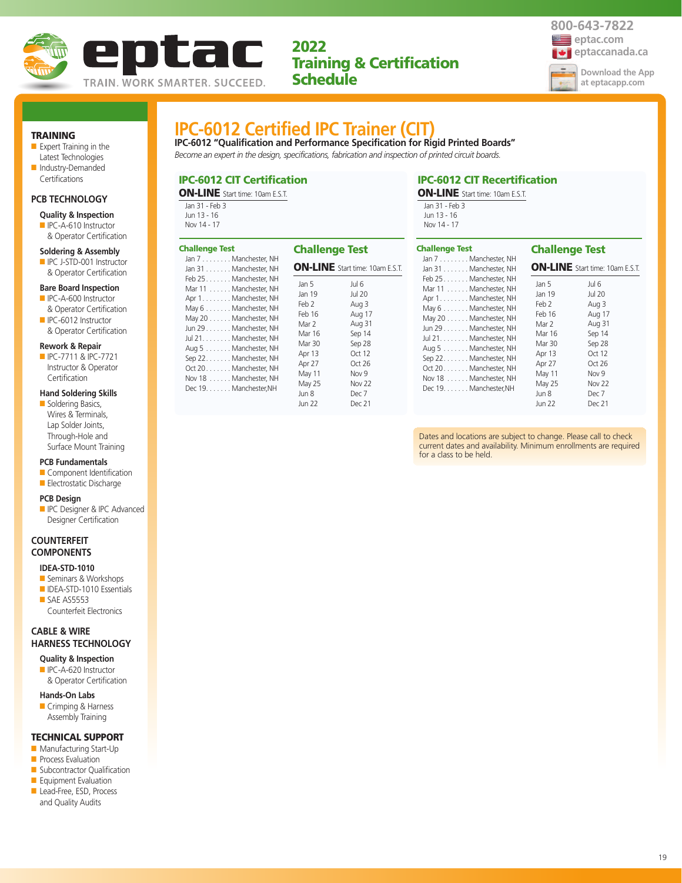



## TRAINING

■ Expert Training in the Latest Technologies ■ Industry-Demanded

## Certifications

## **PCB TECHNOLOGY**

- **Quality & Inspection** ■ IPC-A-610 Instructor
- & Operator Certification

## **Soldering & Assembly**

■ IPC J-STD-001 Instructor & Operator Certification

### **Bare Board Inspection**

- IPC-A-600 Instructor & Operator Certification
- IPC-6012 Instructor & Operator Certification

#### **Rework & Repair**

■ IPC-7711 & IPC-7721 Instructor & Operator **Certification** 

## **Hand Soldering Skills**

■ Soldering Basics, Wires & Terminals, Lap Solder Joints, Through-Hole and Surface Mount Training

### **PCB Fundamentals**

- Component Identification
- Electrostatic Discharge

#### **PCB Design**

■ IPC Designer & IPC Advanced Designer Certification

## **COUNTERFEIT COMPONENTS**

## **IDEA-STD-1010**

- Seminars & Workshops ■ IDEA-STD-1010 Essentials
- SAE AS5553 Counterfeit Electronics

## **CABLE & WIRE HARNESS TECHNOLOGY**

- **Quality & Inspection** ■ IPC-A-620 Instructor
- & Operator Certification

#### **Hands-On Labs**

■ Crimping & Harness Assembly Training

### TECHNICAL SUPPORT

- Manufacturing Start-Up
- **Process Evaluation**
- Subcontractor Qualification ■ Equipment Evaluation
- Lead-Free, ESD, Process
- and Quality Audits

## **IPC-6012 Certified IPC Trainer (CIT)**

**IPC-6012 "Qualification and Performance Specification for Rigid Printed Boards"** *Become an expert in the design, specifications, fabrication and inspection of printed circuit boards.*

## IPC-6012 CIT Certification

ON-LINE Start time: 10am E.S.T.

| Jan 31 - Feb 3 |  |
|----------------|--|
| Jun 13 - 16    |  |
| Nov 14 - 17    |  |

#### IPC-6012 CIT Recertification ON-LINE Start time: 10am E.S.T.

Jan 31 - Feb 3 Jun 13 - 16 Nov 14 - 17

| <b>Challenge Test</b><br>Jan 7 Manchester, NH | <b>Challenge Test</b> | <b>ON-LINE</b> Start time: 10am E.S.T. |
|-----------------------------------------------|-----------------------|----------------------------------------|
| Jan 31 Manchester, NH                         | Jan 5                 | Jul 6                                  |
| Feb 25. Manchester, NH                        | Jan 19                | Jul 20                                 |
| Mar 11 Manchester, NH                         | Feb 2                 | Aug 3                                  |
| Apr 1. Manchester, NH                         | Feb 16                | Aug 17                                 |
| May 6 Manchester, NH                          | Mar 2                 | Aug 31                                 |
| May 20 Manchester, NH                         | Mar 16                | Sep 14                                 |
| Jun 29 Manchester, NH                         | Mar 30                | Sep 28                                 |
| Jul 21. Manchester, NH                        | Apr 13                | Oct $12$                               |
| Aug 5 Manchester, NH                          | Apr 27                | Oct $26$                               |
| Sep 22. Manchester, NH                        | May 11                | Nov 9                                  |
| Oct 20. Manchester, NH                        | May 25                | Nov 22                                 |
| Nov 18 Manchester, NH                         | Jun 8                 | Dec 7                                  |
| Dec 19. Manchester, NH                        | <b>Jun 22</b>         | Dec 21                                 |

| <b>Challenge Test</b><br>Jan 7 Manchester, NH<br>Jan 31 Manchester, NH                                                                                                                                                                                                                                    | <b>Challenge Test</b>                                                                                                      | <b>ON-LINE</b> Start time: 10am E.S.T.                                                                                                  |
|-----------------------------------------------------------------------------------------------------------------------------------------------------------------------------------------------------------------------------------------------------------------------------------------------------------|----------------------------------------------------------------------------------------------------------------------------|-----------------------------------------------------------------------------------------------------------------------------------------|
| Feb 25 Manchester, NH<br>Mar 11 Manchester, NH<br>Apr 1. Manchester, NH<br>May 6 Manchester, NH<br>May 20 Manchester, NH<br>Jun 29 Manchester, NH<br>Jul 21. Manchester, NH<br>Aug 5 Manchester, NH<br>Sep 22. Manchester, NH<br>Oct 20 Manchester, NH<br>Nov 18 Manchester, NH<br>Dec 19. Manchester, NH | Jan 5<br>Jan 19<br>Feb 2<br>Feb 16<br>Mar 2<br>Mar 16<br>Mar 30<br>Apr 13<br>Apr 27<br>May 11<br>May 25<br>Jun 8<br>Jun 22 | Jul 6<br>Jul 20<br>Aug 3<br>Aug 17<br>Aug 31<br>Sep 14<br>Sep 28<br>Oct 12<br>Oct $26$<br>Nov 9<br>Nov <sub>22</sub><br>Dec 7<br>Dec 21 |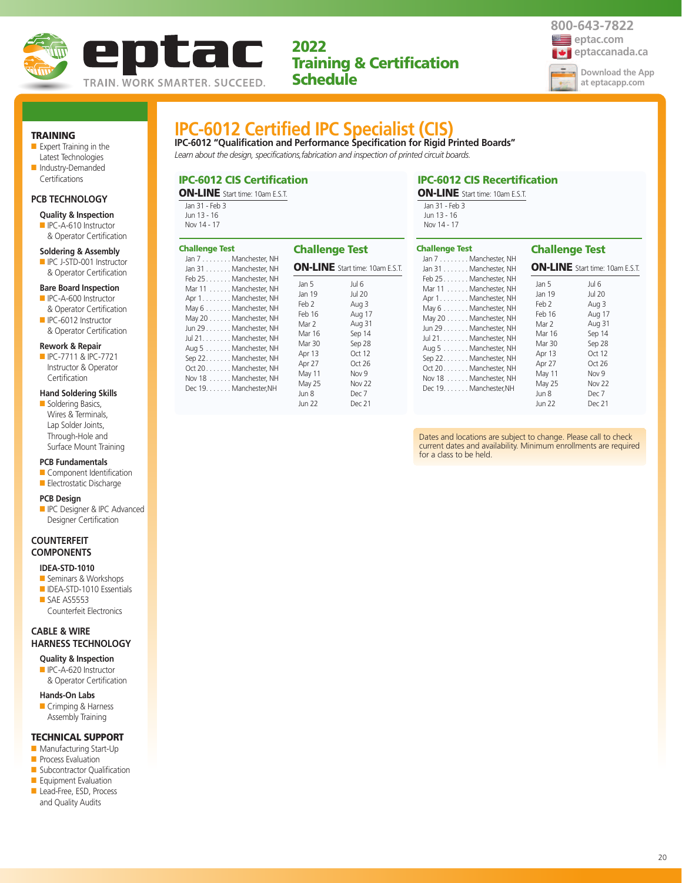



## TRAINING

■ Expert Training in the Latest Technologies ■ Industry-Demanded

## **PCB TECHNOLOGY**

Certifications

**Quality & Inspection**

■ IPC-A-610 Instructor & Operator Certification

#### **Soldering & Assembly**

■ IPC J-STD-001 Instructor & Operator Certification

#### **Bare Board Inspection**

- IPC-A-600 Instructor & Operator Certification
- IPC-6012 Instructor & Operator Certification

#### **Rework & Repair**

■ IPC-7711 & IPC-7721 Instructor & Operator **Certification** 

## **Hand Soldering Skills**

■ Soldering Basics, Wires & Terminals, Lap Solder Joints, Through-Hole and Surface Mount Training

### **PCB Fundamentals**

- Component Identification
- Electrostatic Discharge

#### **PCB Design**

■ IPC Designer & IPC Advanced Designer Certification

## **COUNTERFEIT COMPONENTS**

## **IDEA-STD-1010**

- Seminars & Workshops ■ IDEA-STD-1010 Essentials
- SAE AS5553 Counterfeit Electronics

## **CABLE & WIRE HARNESS TECHNOLOGY**

## **Quality & Inspection** ■ IPC-A-620 Instructor

& Operator Certification

#### **Hands-On Labs**

■ Crimping & Harness Assembly Training

## TECHNICAL SUPPORT

- Manufacturing Start-Up
- **Process Evaluation**
- Subcontractor Qualification ■ Equipment Evaluation
- Lead-Free, ESD, Process
- and Quality Audits

## **IPC-6012 Certified IPC Specialist (CIS)**

**IPC-6012 "Qualification and Performance Specification for Rigid Printed Boards"** *Learn about the design, specifications,fabrication and inspection of printed circuit boards.* 

## IPC-6012 CIS Certification

ON-LINE Start time: 10am E.S.T.  $\overline{I}$  -  $\overline{I}$ 

| Jan 31 - Feb 3 |  |  |
|----------------|--|--|
| Jun 13 - 16    |  |  |
| Nov 14 - 17    |  |  |

#### IPC-6012 CIS Recertification ON-LINE Start time: 10am E.S.T.

| Jan 31 - Feb 3 |  |
|----------------|--|
| Jun 13 - 16    |  |
| Nov 14 - 17    |  |
|                |  |

| <b>Challenge Test</b>                                                                                                                                                                                                                                 | <b>Challenge Test</b>                                           |                                                                                                                   |  |
|-------------------------------------------------------------------------------------------------------------------------------------------------------------------------------------------------------------------------------------------------------|-----------------------------------------------------------------|-------------------------------------------------------------------------------------------------------------------|--|
| Jan 7 Manchester, NH<br>Jan 31 Manchester, NH<br>Feb 25. Manchester, NH<br>Mar 11 Manchester, NH<br>Apr 1. Manchester, NH<br>May 6 Manchester, NH<br>May 20 Manchester, NH<br>Jun 29 Manchester, NH<br>Jul 21. Manchester, NH<br>Aug 5 Manchester, NH | Jan 5<br>Jan 19<br>Feb 2<br>Feb 16<br>Mar 2<br>Mar 16<br>Mar 30 | <b>ON-LINE</b> Start time: 10am E.S.T.<br>Jul 6<br><b>Jul 20</b><br>Aug 3<br>Aug 17<br>Aug 31<br>Sep 14<br>Sep 28 |  |
| Sep 22. Manchester, NH<br>Oct 20. Manchester, NH<br>Nov 18 Manchester, NH<br>Dec 19. Manchester, NH                                                                                                                                                   | Apr 13<br>Apr 27<br>May 11<br>May 25<br>Jun 8<br>Jun 22         | Oct 12<br>Oct 26<br>Nov <sub>9</sub><br><b>Nov 22</b><br>Dec 7<br>Dec 21                                          |  |

| <b>Challenge Test</b><br>Jan 7 Manchester, NH                                                                                                                                                                                                                                                             | <b>Challenge Test</b>                                                                                                      |                                                                                                                              |
|-----------------------------------------------------------------------------------------------------------------------------------------------------------------------------------------------------------------------------------------------------------------------------------------------------------|----------------------------------------------------------------------------------------------------------------------------|------------------------------------------------------------------------------------------------------------------------------|
| Jan 31 Manchester, NH                                                                                                                                                                                                                                                                                     |                                                                                                                            | <b>ON-LINE</b> Start time: 10am E.S.T.                                                                                       |
| Feb 25 Manchester, NH<br>Mar 11 Manchester, NH<br>Apr 1. Manchester, NH<br>May 6 Manchester, NH<br>May 20 Manchester, NH<br>Jun 29 Manchester, NH<br>Jul 21. Manchester, NH<br>Aug 5 Manchester, NH<br>Sep 22. Manchester, NH<br>Oct 20 Manchester, NH<br>Nov 18 Manchester, NH<br>Dec 19. Manchester, NH | Jan 5<br>Jan 19<br>Feb 2<br>Feb 16<br>Mar 2<br>Mar 16<br>Mar 30<br>Apr 13<br>Apr 27<br>May 11<br>May 25<br>Jun 8<br>Jun 22 | Jul 6<br>Jul 20<br>Aug 3<br>Aug 17<br>Aug 31<br>Sep 14<br>Sep 28<br>Oct 12<br>Oct $26$<br>Nov 9<br>Nov 22<br>Dec 7<br>Dec 21 |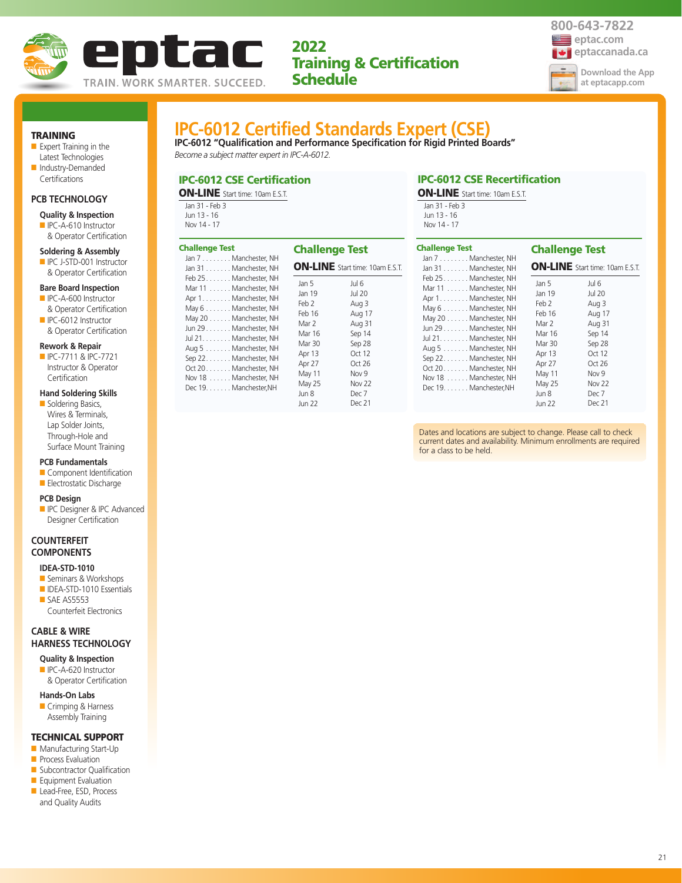



## TRAINING

■ Expert Training in the Latest Technologies ■ Industry-Demanded

#### **PCB TECHNOLOGY**

Certifications

**Quality & Inspection**

■ IPC-A-610 Instructor & Operator Certification

#### **Soldering & Assembly**

■ IPC J-STD-001 Instructor & Operator Certification

#### **Bare Board Inspection**

- IPC-A-600 Instructor & Operator Certification
- IPC-6012 Instructor & Operator Certification

#### **Rework & Repair**

■ IPC-7711 & IPC-7721 Instructor & Operator **Certification** 

#### **Hand Soldering Skills**

■ Soldering Basics, Wires & Terminals, Lap Solder Joints, Through-Hole and Surface Mount Training

### **PCB Fundamentals**

- Component Identification
- Electrostatic Discharge

#### **PCB Design**

**ID** IPC Designer & IPC Advanced Designer Certification

## **COUNTERFEIT COMPONENTS**

## **IDEA-STD-1010**

- Seminars & Workshops ■ IDEA-STD-1010 Essentials
- SAE AS5553 Counterfeit Electronics

## **CABLE & WIRE HARNESS TECHNOLOGY**

## **Quality & Inspection** ■ IPC-A-620 Instructor

& Operator Certification

#### **Hands-On Labs**

■ Crimping & Harness Assembly Training

## TECHNICAL SUPPORT

- Manufacturing Start-Up
- **Process Evaluation**
- Subcontractor Qualification ■ Equipment Evaluation
- Lead-Free, ESD, Process
- and Quality Audits

## **IPC-6012 Certified Standards Expert (CSE)**

**IPC-6012 "Qualification and Performance Specification for Rigid Printed Boards"** *Become a subject matter expert in IPC-A-6012.*

ON-LINE Start time: 10am E.S.T.

Jul 6 Jul 20 Aug 3 Aug 17 Aug 31 Sep 14 Sep 28 Oct 12 Oct 26 Nov 9 Nov 22 Dec 7 Dec 21

Jan 5 Jan 19 Feb 2 Feb 16 Mar 2 Mar 16 Mar 30 Apr 13 Apr 27 May 11 May 25 Jun 8 Jun 22

## IPC-6012 CSE Certification

ON-LINE Start time: 10am E.S.T.

| Jan 31 - Feb 3 |
|----------------|
| Jun 13 - 16    |
| Nov 14 - 17    |

Jan 7 . . . . . . . . Manchester, NH Jan 31 . . . . . . . Manchester, NH Feb 25. . . . . . . Manchester, NH Mar 11 . . . . . . Manchester, NH Apr 1. . . . . . . . Manchester, NH May 6 . . . . . . . Manchester, NH May 20 . . . . . . Manchester, NH Jun 29 . . . . . . . Manchester, NH Jul 21. . . . . . . . Manchester, NH Aug 5 . . . . . . . Manchester, NH Sep 22. . . . . . . Manchester, NH Oct 20. . . . . . . Manchester, NH Nov 18 . . . . . . Manchester, NH Dec 19. . . . . . . Manchester,NH

Challenge Test

## Jan 31 - Feb 3 Jun 13 - 16 Nov 14 - 17 Challenge Test

| <b>Challenge Test</b><br>Jan 7 Manchester, NH<br>Jan 31 Manchester, NH                                                                                                                                                                                                                                    | <b>Challenge Test</b>                                                                                                      | <b>ON-LINE</b> Start time: 10am E.S.T.                                                                                                     |
|-----------------------------------------------------------------------------------------------------------------------------------------------------------------------------------------------------------------------------------------------------------------------------------------------------------|----------------------------------------------------------------------------------------------------------------------------|--------------------------------------------------------------------------------------------------------------------------------------------|
| Feb 25 Manchester, NH<br>Mar 11 Manchester, NH<br>Apr 1. Manchester, NH<br>May 6 Manchester, NH<br>May 20 Manchester, NH<br>Jun 29 Manchester, NH<br>Jul 21. Manchester, NH<br>Aug 5 Manchester, NH<br>Sep 22. Manchester, NH<br>Oct 20 Manchester, NH<br>Nov 18 Manchester, NH<br>Dec 19. Manchester, NH | Jan 5<br>Jan 19<br>Feb 2<br>Feb 16<br>Mar 2<br>Mar 16<br>Mar 30<br>Apr 13<br>Apr 27<br>May 11<br>May 25<br>Jun 8<br>Jun 22 | Jul 6<br><b>Jul 20</b><br>Aug 3<br>Aug 17<br>Aug 31<br>Sep 14<br>Sep 28<br>Oct 12<br>Oct $26$<br>Nov 9<br><b>Nov 22</b><br>Dec 7<br>Dec 21 |

IPC-6012 CSE Recertification ON-LINE Start time: 10am E.S.T.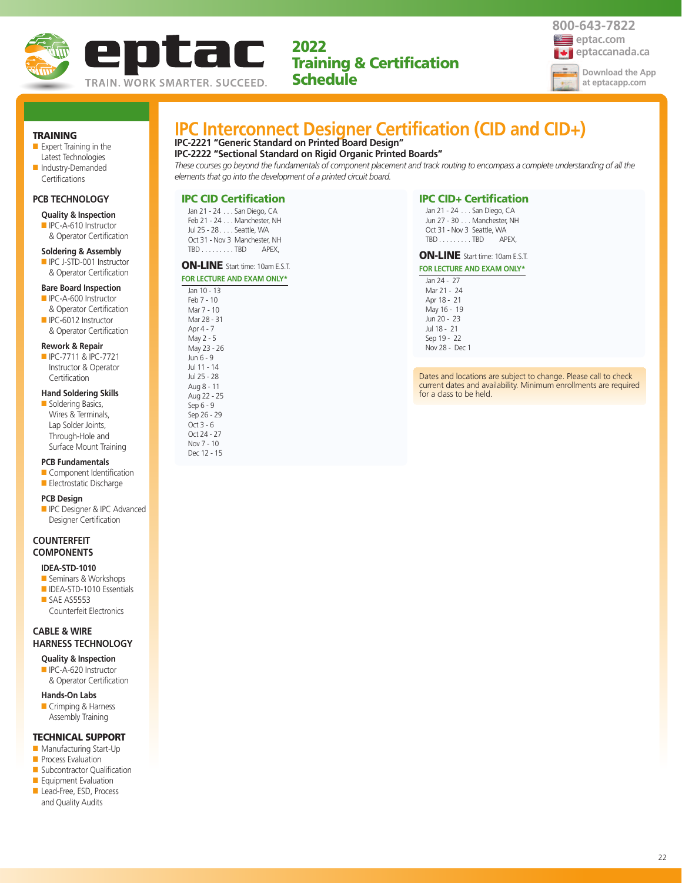



#### TRAINING

- Expert Training in the Latest Technologies
- Industry-Demanded **Certifications**

## **PCB TECHNOLOGY**

- **Quality & Inspection**
- IPC-A-610 Instructor & Operator Certification

#### **Soldering & Assembly**

■ IPC J-STD-001 Instructor & Operator Certification

#### **Bare Board Inspection**

- IPC-A-600 Instructor & Operator Certification
- IPC-6012 Instructor & Operator Certification

#### **Rework & Repair**

■ IPC-7711 & IPC-7721 Instructor & Operator Certification

#### **Hand Soldering Skills**

■ Soldering Basics, Wires & Terminals, Lap Solder Joints, Through-Hole and Surface Mount Training

#### **PCB Fundamentals**

- Component Identification
- Electrostatic Discharge

#### **PCB Design**

**ID** IPC Designer & IPC Advanced Designer Certification

## **COUNTERFEIT COMPONENTS**

## **IDEA-STD-1010**

- Seminars & Workshops
- IDEA-STD-1010 Essentials ■ SAE AS5553 Counterfeit Electronics

## **CABLE & WIRE HARNESS TECHNOLOGY**

- **Quality & Inspection** ■ IPC-A-620 Instructor
- & Operator Certification

## **Hands-On Labs**

■ Crimping & Harness Assembly Training

## TECHNICAL SUPPORT

- Manufacturing Start-Up
- **Process Evaluation**
- Subcontractor Qualification
- Equipment Evaluation
- Lead-Free, ESD, Process and Quality Audits

## **IPC Interconnect Designer Certification (CID and CID+)**

**IPC-2221 "Generic Standard on Printed Board Design"**

**IPC-2222 "Sectional Standard on Rigid Organic Printed Boards"**

*These courses go beyond the fundamentals of component placement and track routing to encompass a complete understanding of all the elements that go into the development of a printed circuit board.*

## IPC CID Certification

Jan 21 - 24 . . . San Diego, CA Feb 21 - 24 . . . Manchester, NH Jul 25 - 28 . . . . Seattle, WA Oct 31 - Nov 3 Manchester, NH TBD . . . . . . . . . TBD APEX,

### ON-LINE Start time: 10am E.S.T. **FXAM ONLY\***

| FOR LECTURE AND E |
|-------------------|
| Jan 10 - 13       |
| Feb 7 - 10        |
| Mar 7 - 10        |
| Mar 28 - 31       |
| Apr 4 - 7         |
| May 2 - 5         |
| May 23 - 26       |
| Jun 6 - 9         |
| Jul 11 - 14       |
| Jul 25 - 28       |
| Aug 8 - 11        |
| Aug 22 - 25       |
| Sep 6 - 9         |
| Sep 26 - 29       |
| Oct 3 - 6         |
| Oct 24 - 27       |
| Nov 7 - 10        |
| Dec 12 - 15       |

## IPC CID+ Certification

Jan 21 - 24 . . . San Diego, CA Jun 27 - 30 . . . Manchester, NH Oct 31 - Nov 3 Seattle, WA TBD . . . . . . . . . TBD APEX,

## ON-LINE Start time: 10am E.S.T.

- **FOR LECTURE AND EXAM ONLY\*** Jan 24 - 27
	- Mar 21 24 Apr 18 - 21 May 16 - 19 Jun 20 - 23 Jul 18 - 21 Sep 19 - 22 Nov 28 - Dec 1

Dates and locations are subject to change. Please call to check current dates and availability. Minimum enrollments are required for a class to be held.

22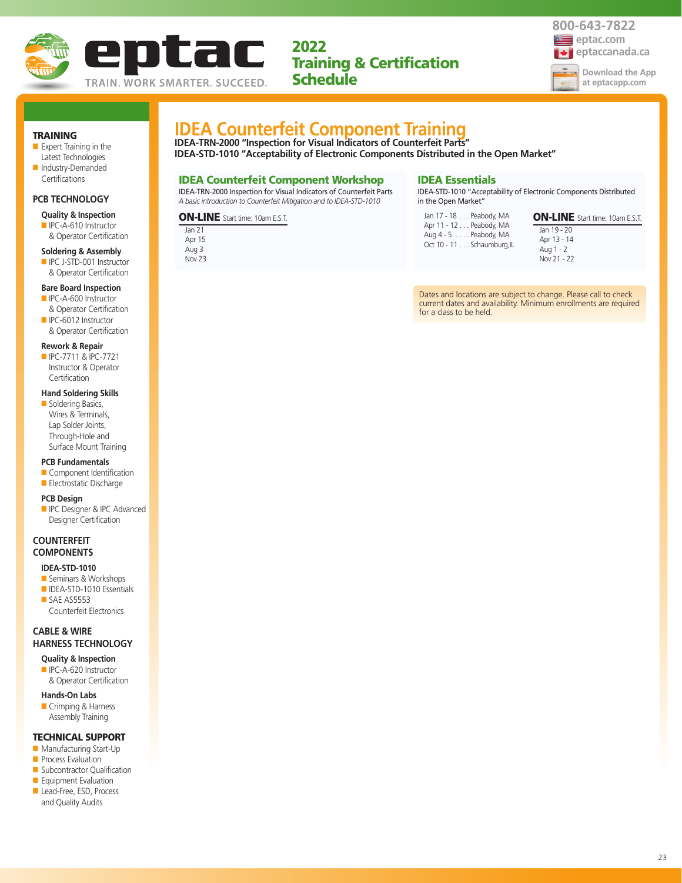



#### TRAINING

- Expert Training in the Latest Technologies
- Industry-Demanded **Certifications**

## **PCB TECHNOLOGY**

## **Quality & Inspection**

■ IPC-A-610 Instructor & Operator Certification

#### **Soldering & Assembly**

■ IPC J-STD-001 Instructor & Operator Certification

#### **Bare Board Inspection**

- IPC-A-600 Instructor & Operator Certification
- IPC-6012 Instructor & Operator Certification

#### **Rework & Repair**

■ IPC-7711 & IPC-7721 Instructor & Operator **Certification** 

#### **Hand Soldering Skills**

■ Soldering Basics, Wires & Terminals, Lap Solder Joints, Through-Hole and Surface Mount Training

#### **PCB Fundamentals**

■ Component Identification ■ Electrostatic Discharge

- **PCB Design**
- **ID** IPC Designer & IPC Advanced Designer Certification

## **COUNTERFEIT COMPONENTS**

#### **IDEA-STD-1010**

- Seminars & Workshops ■ IDEA-STD-1010 Essentials
- SAE AS5553 Counterfeit Electronics

## **CABLE & WIRE HARNESS TECHNOLOGY**

- **Quality & Inspection** ■ IPC-A-620 Instructor
- & Operator Certification

## **Hands-On Labs**

■ Crimping & Harness Assembly Training

## TECHNICAL SUPPORT

- Manufacturing Start-Up
- **Process Evaluation**
- Subcontractor Qualification ■ Equipment Evaluation
- Lead-Free, ESD, Process
- and Quality Audits

## **IDEA Counterfeit Component Training**

**IDEA-TRN-2000 "Inspection for Visual Indicators of Counterfeit Parts" IDEA-STD-1010 "Acceptability of Electronic Components Distributed in the Open Market"**

## IDEA Counterfeit Component Workshop

IDEA-TRN-2000 Inspection for Visual Indicators of Counterfeit Parts *A basic introduction to Counterfeit Mitigation and to IDEA-STD-1010*

ON-LINE Start time: 10am E.S.T.

#### Jan 21 Apr 15 Aug 3 Nov 23

## IDEA Essentials

IDEA-STD-1010 "Acceptability of Electronic Components Distributed in the Open Market"

| Jan 17 - 18 Peabody, MA<br>Apr 11 - 12 Peabody, MA<br>Aug 4 - 5. Peabody, MA |
|------------------------------------------------------------------------------|
| Oct 10 - 11 Schaumburg, IL                                                   |

ON-LINE Start time: 10am E.S.T. Jan 19 - 20

Apr 13 - 14 Aug 1 - 2 Nov 21 - 22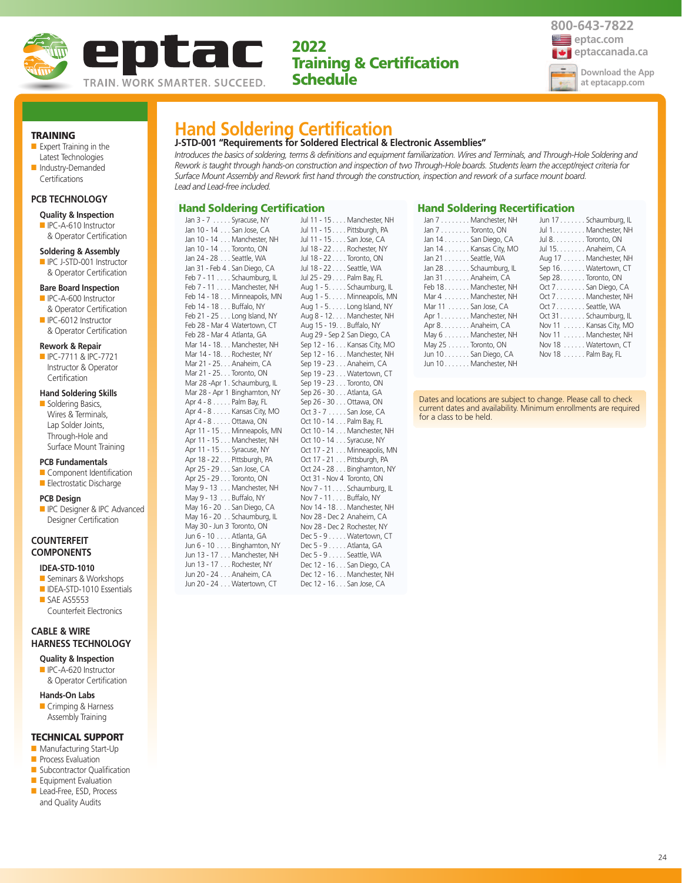



TRAINING

- Expert Training in the Latest Technologies
- Industry-Demanded Certifications

## **PCB TECHNOLOGY**

- **Quality & Inspection**
- IPC-A-610 Instructor & Operator Certification

## **Soldering & Assembly**

■ IPC J-STD-001 Instructor & Operator Certification

## **Bare Board Inspection**

- IPC-A-600 Instructor & Operator Certification
- IPC-6012 Instructor & Operator Certification

#### **Rework & Repair**

■ IPC-7711 & IPC-7721 Instructor & Operator **Certification** 

## **Hand Soldering Skills**

■ Soldering Basics, Wires & Terminals, Lap Solder Joints, Through-Hole and Surface Mount Training

#### **PCB Fundamentals**

- Component Identification
- Electrostatic Discharge

#### **PCB Design**

**ID** IPC Designer & IPC Advanced Designer Certification

## **COUNTERFEIT COMPONENTS**

## **IDEA-STD-1010**

- Seminars & Workshops
- IDEA-STD-1010 Essentials ■ SAE AS5553 Counterfeit Electronics

## **CABLE & WIRE HARNESS TECHNOLOGY**

**Quality & Inspection** ■ IPC-A-620 Instructor

& Operator Certification

#### **Hands-On Labs**

■ Crimping & Harness Assembly Training

## TECHNICAL SUPPORT

- Manufacturing Start-Up
- **Process Evaluation**
- Subcontractor Qualification ■ Equipment Evaluation
- Lead-Free, ESD, Process
- and Quality Audits

| <b>Hand Soldering Certification</b> |  |  |  |
|-------------------------------------|--|--|--|

### **J-STD-001 "Requirements for Soldered Electrical & Electronic Assemblies"**

*Introduces the basics of soldering, terms & definitions and equipment familiarization. Wires and Terminals, and Through-Hole Soldering and Rework is taught through hands-on construction and inspection of two Through-Hole boards. Students learn the accept/reject criteria for Surface Mount Assembly and Rework first hand through the construction, inspection and rework of a surface mount board. Lead and Lead-free included.*

## Hand Soldering Certification

Jan 3 - 7 . . . . . Syracuse, NY Jan 10 - 14 . . . San Jose, CA Jan 10 - 14 . . . Manchester, NH Jan 10 - 14 . . . Toronto, ON Jan 24 - 28 . . . Seattle, WA Jan 31 - Feb 4 . San Diego, CA Feb 7 - 11 . . . . Schaumburg, IL Feb 7 - 11 . . . . Manchester, NH Feb 14 - 18 . . . Minneapolis, MN Feb 14 - 18 . . . Buffalo, NY Feb 21 - 25 . . . Long Island, NY Feb 28 - Mar 4 Watertown, CT Feb 28 - Mar 4 Atlanta, GA Mar 14 - 18. . . Manchester, NH Mar 14 - 18. . . Rochester, NY Mar 21 - 25. . . Anaheim, CA Mar 21 - 25. . . Toronto, ON Mar 28 -Apr 1. Schaumburg, IL Mar 28 - Apr 1 Binghamton, NY Apr 4 - 8 . . . . . Palm Bay, FL Apr 4 - 8 . . . . . Kansas City, MO Apr 4 - 8 . . . . . Ottawa, ON Apr 11 - 15 . . . Minneapolis, MN Apr 11 - 15 . . . Manchester, NH Apr 11 - 15 . . . Syracuse, NY Apr 18 - 22 . . . Pittsburgh, PA Apr 25 - 29 . . . San Jose, CA Apr 25 - 29 . . . Toronto, ON May 9 - 13 . . . Manchester, NH May 9 - 13 . . . Buffalo, NY May 16 - 20 . . San Diego, CA May 16 - 20 . . Schaumburg, IL May 30 - Jun 3 Toronto, ON Jun 6 - 10 . . . . Atlanta, GA Jun 6 - 10 . . . . Binghamton, NY Jun 13 - 17 . . . Manchester, NH Jun 13 - 17 . . . Rochester, NY Jun 20 - 24 . . . Anaheim, CA Jun 20 - 24 . . . Watertown, CT

| Jul 11 - 15 Manchester, NH   |
|------------------------------|
| Jul 11 - 15 Pittsburgh, PA   |
|                              |
| Jul 11 - 15 San Jose, CA     |
| Jul 18 - 22 Rochester, NY    |
| Jul 18 - 22 Toronto, ON      |
| Jul 18 - 22 Seattle, WA      |
| Jul 25 - 29 Palm Bay, FL     |
| Aug 1 - 5. Schaumburg, IL    |
| Aug 1 - 5. Minneapolis, MN   |
| Aug 1 - 5. Long Island, NY   |
| Aug 8 - 12. Manchester, NH   |
| Aug 15 - 19. Buffalo, NY     |
| Aug 29 - Sep 2 San Diego, CA |
|                              |
| Sep 12 - 16 Kansas City, MO  |
| Sep 12 - 16 Manchester, NH   |
| Sep 19 - 23 Anaheim, CA      |
| Sep 19 - 23 Watertown, CT    |
| Sep 19 - 23 Toronto, ON      |
| Sep 26 - 30 Atlanta, GA      |
| Sep 26 - 30 Ottawa, ON       |
| Oct 3 - 7 San Jose, CA       |
| Oct 10 - 14 Palm Bay, FL     |
| Oct 10 - 14 Manchester, NH   |
| Oct 10 - 14 Syracuse, NY     |
| Oct 17 - 21 Minneapolis, MN  |
| Oct 17 - 21 Pittsburgh, PA   |
| Oct 24 - 28 Binghamton, NY   |
|                              |
| Oct 31 - Nov 4 Toronto, ON   |
| Nov 7 - 11 Schaumburg, IL    |
| Nov 7 - 11. Buffalo, NY      |
| Nov 14 - 18. Manchester, NH  |
| Nov 28 - Dec 2 Anaheim, CA   |
| Nov 28 - Dec 2 Rochester, NY |
| Dec 5 - 9 Watertown, CT      |
| Dec 5 - 9 Atlanta, GA        |
| Dec 5 - 9 Seattle, WA        |
| Dec 12 - 16 San Diego, CA    |
| Dec 12 - 16 Manchester, NH   |
| Dec 12 - 16 San Jose, CA     |
|                              |

## Hand Soldering Recertification

| Jan 7 Manchester, NH   | Jun 17 Schaumburg, IL  |
|------------------------|------------------------|
| Jan 7 Toronto, ON      | Jul 1. Manchester, NH  |
| Jan 14 San Diego, CA   | Jul 8. Toronto, ON     |
| Jan 14 Kansas City, MO | Jul 15. Anaheim, CA    |
| Jan 21 Seattle, WA     | Aug 17 Manchester, NH  |
| Jan 28 Schaumburg, IL  | Sep 16. Watertown, CT  |
| Jan 31 Anaheim, CA     | Sep 28. Toronto, ON    |
| Feb 18. Manchester, NH | Oct 7. San Diego, CA   |
| Mar 4 Manchester, NH   | Oct 7 Manchester, NH   |
| Mar 11 San Jose, CA    | Oct 7 Seattle, WA      |
| Apr 1. Manchester, NH  | Oct 31Schaumburg, IL   |
| Apr 8. Anaheim, CA     | Nov 11 Kansas City, MO |
| May 6 Manchester, NH   | Nov 11 Manchester, NH  |
| May 25 Toronto, ON     | Nov 18 Watertown, CT   |
| Jun 10 San Diego, CA   | Nov 18 Palm Bay, FL    |
| Jun 10Manchester, NH   |                        |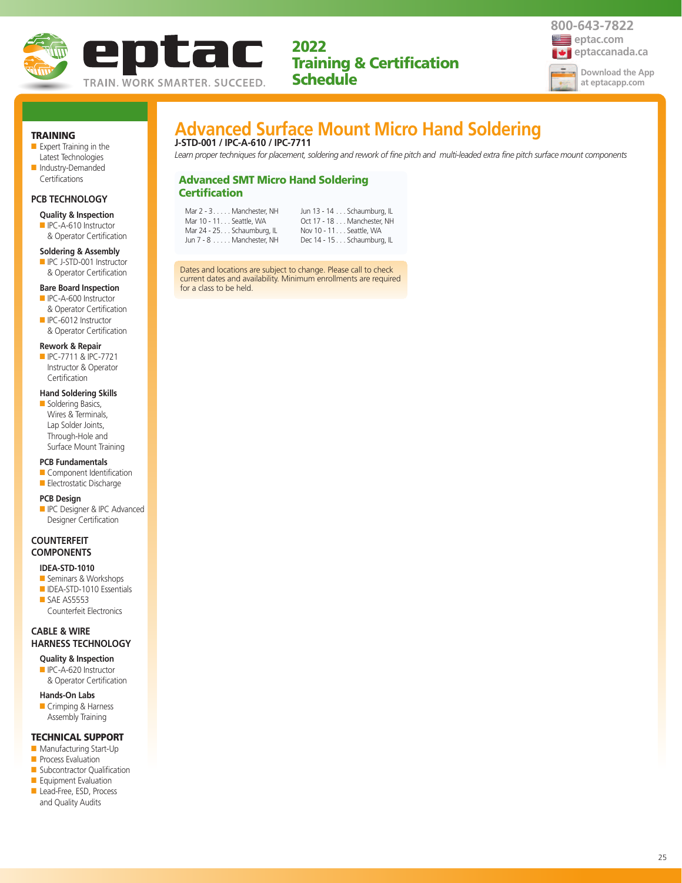



## TRAINING

- Expert Training in the Latest Technologies ■ Industry-Demanded
- Certifications

## **PCB TECHNOLOGY**

- **Quality & Inspection**
- IPC-A-610 Instructor & Operator Certification

#### **Soldering & Assembly**

■ IPC J-STD-001 Instructor & Operator Certification

#### **Bare Board Inspection**

- IPC-A-600 Instructor & Operator Certification
- IPC-6012 Instructor & Operator Certification

#### **Rework & Repair**

■ IPC-7711 & IPC-7721 Instructor & Operator **Certification** 

### **Hand Soldering Skills**

■ Soldering Basics, Wires & Terminals, Lap Solder Joints, Through-Hole and Surface Mount Training

#### **PCB Fundamentals**

■ Component Identification ■ Electrostatic Discharge

## **PCB Design**

■ IPC Designer & IPC Advanced Designer Certification

## **COUNTERFEIT COMPONENTS**

#### **IDEA-STD-1010**

- Seminars & Workshops ■ IDEA-STD-1010 Essentials
- SAE AS5553 Counterfeit Electronics

## **CABLE & WIRE HARNESS TECHNOLOGY**

- **Quality & Inspection** ■ IPC-A-620 Instructor
- & Operator Certification
- **Hands-On Labs**
- Crimping & Harness Assembly Training

## TECHNICAL SUPPORT

- Manufacturing Start-Up
- **Process Evaluation**
- Subcontractor Qualification ■ Equipment Evaluation
- Lead-Free, ESD, Process
- and Quality Audits

## **Advanced Surface Mount Micro Hand Soldering J-STD-001 / IPC-A-610 / IPC-7711**

*Learn proper techniques for placement, soldering and rework of fine pitch and multi-leaded extra fine pitch surface mount components*

## Advanced SMT Micro Hand Soldering **Certification**

| Mar 2 - 3. Manchester. NH   | Jun 13 - 14 Schaumburg, IL |
|-----------------------------|----------------------------|
| Mar 10 - 11. Seattle, WA    | Oct 17 - 18 Manchester. NH |
| Mar 24 - 25. Schaumburg, IL | Nov 10 - 11. Seattle, WA   |
| Jun 7 - 8 Manchester. NH    | Dec 14 - 15 Schaumburg, IL |